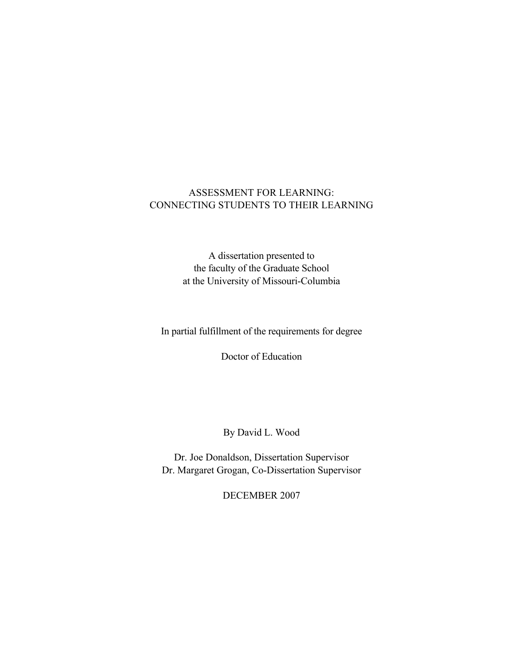# ASSESSMENT FOR LEARNING: CONNECTING STUDENTS TO THEIR LEARNING

A dissertation presented to the faculty of the Graduate School at the University of Missouri-Columbia

In partial fulfillment of the requirements for degree

Doctor of Education

By David L. Wood

Dr. Joe Donaldson, Dissertation Supervisor Dr. Margaret Grogan, Co-Dissertation Supervisor

DECEMBER 2007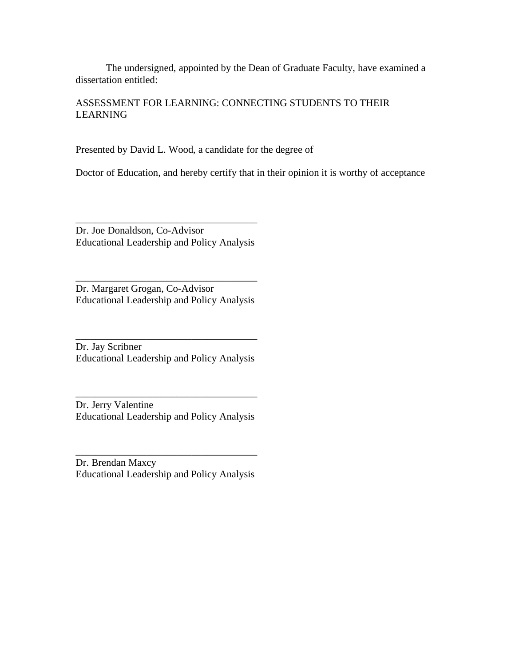The undersigned, appointed by the Dean of Graduate Faculty, have examined a dissertation entitled:

# ASSESSMENT FOR LEARNING: CONNECTING STUDENTS TO THEIR LEARNING

Presented by David L. Wood, a candidate for the degree of

Doctor of Education, and hereby certify that in their opinion it is worthy of acceptance

Dr. Joe Donaldson, Co-Advisor Educational Leadership and Policy Analysis

\_\_\_\_\_\_\_\_\_\_\_\_\_\_\_\_\_\_\_\_\_\_\_\_\_\_\_\_\_\_\_\_\_\_\_\_

Dr. Margaret Grogan, Co-Advisor Educational Leadership and Policy Analysis

\_\_\_\_\_\_\_\_\_\_\_\_\_\_\_\_\_\_\_\_\_\_\_\_\_\_\_\_\_\_\_\_\_\_\_\_

Dr. Jay Scribner Educational Leadership and Policy Analysis

\_\_\_\_\_\_\_\_\_\_\_\_\_\_\_\_\_\_\_\_\_\_\_\_\_\_\_\_\_\_\_\_\_\_\_\_

Dr. Jerry Valentine Educational Leadership and Policy Analysis

\_\_\_\_\_\_\_\_\_\_\_\_\_\_\_\_\_\_\_\_\_\_\_\_\_\_\_\_\_\_\_\_\_\_\_\_

Dr. Brendan Maxcy Educational Leadership and Policy Analysis

\_\_\_\_\_\_\_\_\_\_\_\_\_\_\_\_\_\_\_\_\_\_\_\_\_\_\_\_\_\_\_\_\_\_\_\_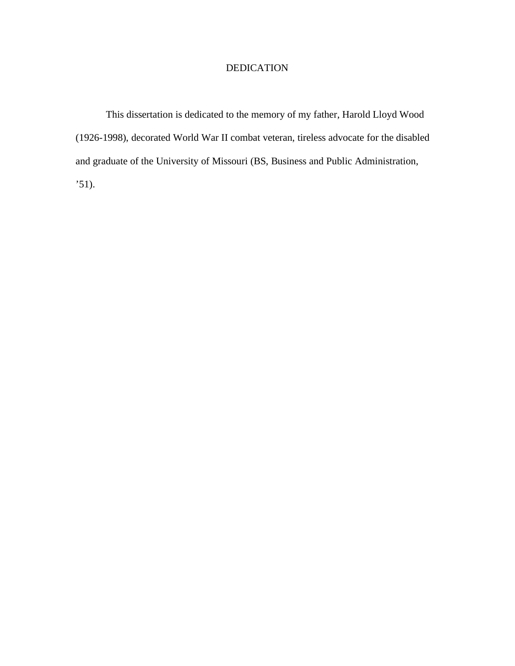# DEDICATION

 This dissertation is dedicated to the memory of my father, Harold Lloyd Wood (1926-1998), decorated World War II combat veteran, tireless advocate for the disabled and graduate of the University of Missouri (BS, Business and Public Administration,  $\cdot$ 51).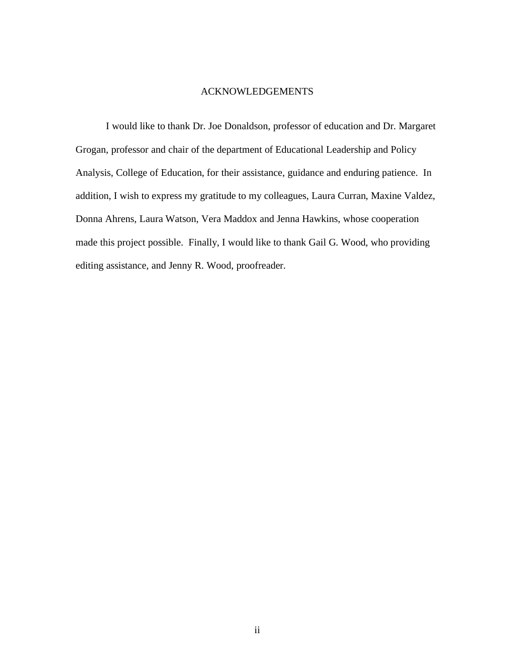### ACKNOWLEDGEMENTS

 I would like to thank Dr. Joe Donaldson, professor of education and Dr. Margaret Grogan, professor and chair of the department of Educational Leadership and Policy Analysis, College of Education, for their assistance, guidance and enduring patience. In addition, I wish to express my gratitude to my colleagues, Laura Curran, Maxine Valdez, Donna Ahrens, Laura Watson, Vera Maddox and Jenna Hawkins, whose cooperation made this project possible. Finally, I would like to thank Gail G. Wood, who providing editing assistance, and Jenny R. Wood, proofreader.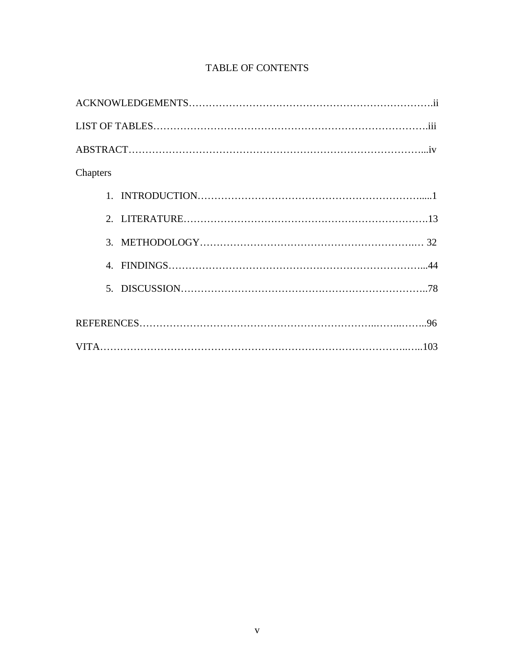# TABLE OF CONTENTS

| Chapters |
|----------|
|          |
|          |
|          |
|          |
|          |
|          |
|          |
|          |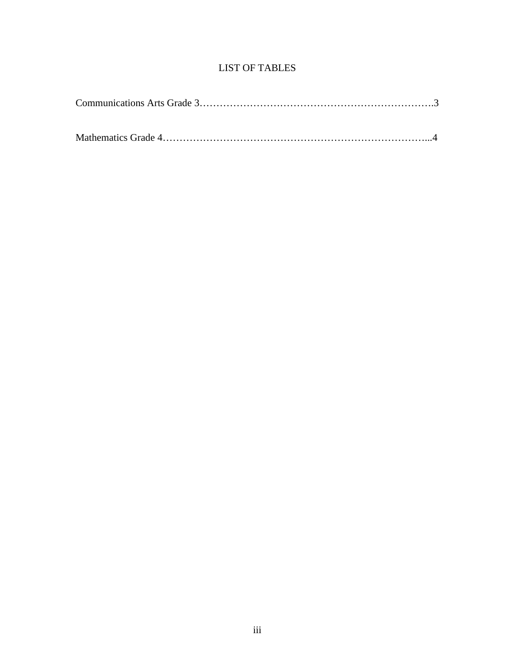# LIST OF TABLES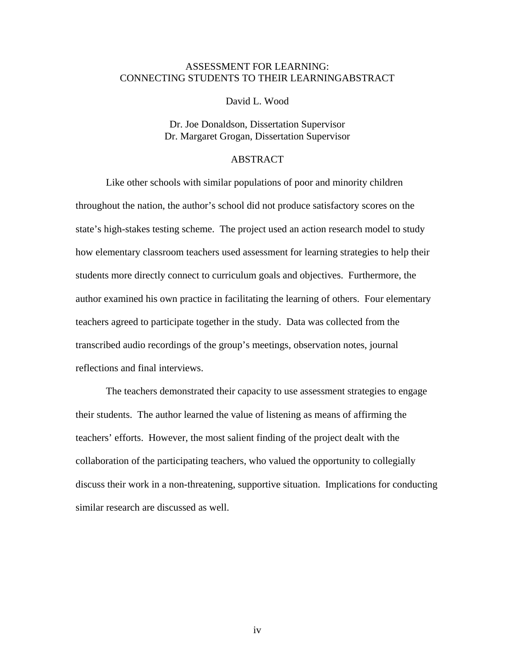# ASSESSMENT FOR LEARNING: CONNECTING STUDENTS TO THEIR LEARNINGABSTRACT

David L. Wood

Dr. Joe Donaldson, Dissertation Supervisor Dr. Margaret Grogan, Dissertation Supervisor

# ABSTRACT

Like other schools with similar populations of poor and minority children throughout the nation, the author's school did not produce satisfactory scores on the state's high-stakes testing scheme. The project used an action research model to study how elementary classroom teachers used assessment for learning strategies to help their students more directly connect to curriculum goals and objectives. Furthermore, the author examined his own practice in facilitating the learning of others. Four elementary teachers agreed to participate together in the study. Data was collected from the transcribed audio recordings of the group's meetings, observation notes, journal reflections and final interviews.

The teachers demonstrated their capacity to use assessment strategies to engage their students. The author learned the value of listening as means of affirming the teachers' efforts. However, the most salient finding of the project dealt with the collaboration of the participating teachers, who valued the opportunity to collegially discuss their work in a non-threatening, supportive situation. Implications for conducting similar research are discussed as well.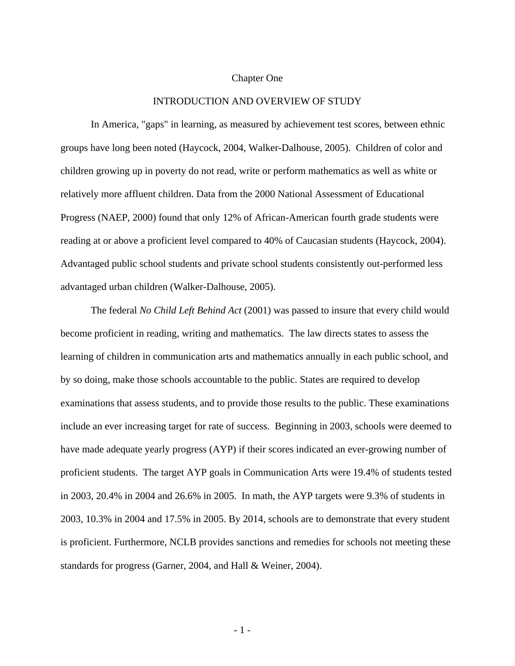#### Chapter One

# INTRODUCTION AND OVERVIEW OF STUDY

 In America, "gaps" in learning, as measured by achievement test scores, between ethnic groups have long been noted (Haycock, 2004, Walker-Dalhouse, 2005). Children of color and children growing up in poverty do not read, write or perform mathematics as well as white or relatively more affluent children. Data from the 2000 National Assessment of Educational Progress (NAEP, 2000) found that only 12% of African-American fourth grade students were reading at or above a proficient level compared to 40% of Caucasian students (Haycock, 2004). Advantaged public school students and private school students consistently out-performed less advantaged urban children (Walker-Dalhouse, 2005).

The federal *No Child Left Behind Act* (2001) was passed to insure that every child would become proficient in reading, writing and mathematics. The law directs states to assess the learning of children in communication arts and mathematics annually in each public school, and by so doing, make those schools accountable to the public. States are required to develop examinations that assess students, and to provide those results to the public. These examinations include an ever increasing target for rate of success. Beginning in 2003, schools were deemed to have made adequate yearly progress (AYP) if their scores indicated an ever-growing number of proficient students. The target AYP goals in Communication Arts were 19.4% of students tested in 2003, 20.4% in 2004 and 26.6% in 2005. In math, the AYP targets were 9.3% of students in 2003, 10.3% in 2004 and 17.5% in 2005. By 2014, schools are to demonstrate that every student is proficient. Furthermore, NCLB provides sanctions and remedies for schools not meeting these standards for progress (Garner, 2004, and Hall & Weiner, 2004).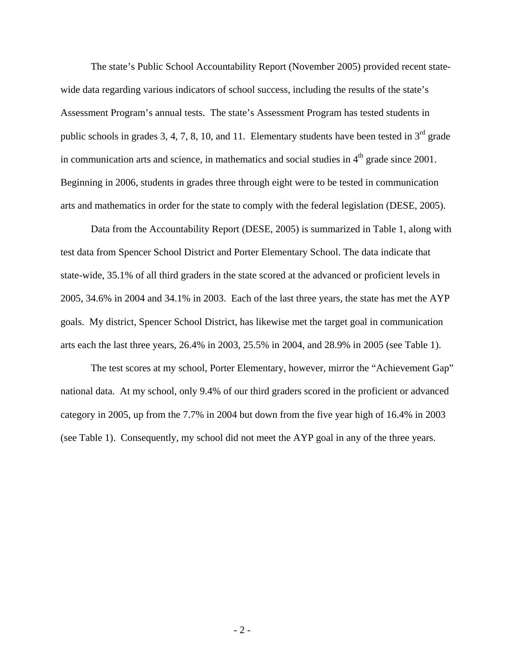The state's Public School Accountability Report (November 2005) provided recent statewide data regarding various indicators of school success, including the results of the state's Assessment Program's annual tests. The state's Assessment Program has tested students in public schools in grades 3, 4, 7, 8, 10, and 11. Elementary students have been tested in  $3<sup>rd</sup>$  grade in communication arts and science, in mathematics and social studies in  $4<sup>th</sup>$  grade since 2001. Beginning in 2006, students in grades three through eight were to be tested in communication arts and mathematics in order for the state to comply with the federal legislation (DESE, 2005).

 Data from the Accountability Report (DESE, 2005) is summarized in Table 1, along with test data from Spencer School District and Porter Elementary School. The data indicate that state-wide, 35.1% of all third graders in the state scored at the advanced or proficient levels in 2005, 34.6% in 2004 and 34.1% in 2003. Each of the last three years, the state has met the AYP goals. My district, Spencer School District, has likewise met the target goal in communication arts each the last three years, 26.4% in 2003, 25.5% in 2004, and 28.9% in 2005 (see Table 1).

 The test scores at my school, Porter Elementary, however, mirror the "Achievement Gap" national data. At my school, only 9.4% of our third graders scored in the proficient or advanced category in 2005, up from the 7.7% in 2004 but down from the five year high of 16.4% in 2003 (see Table 1). Consequently, my school did not meet the AYP goal in any of the three years.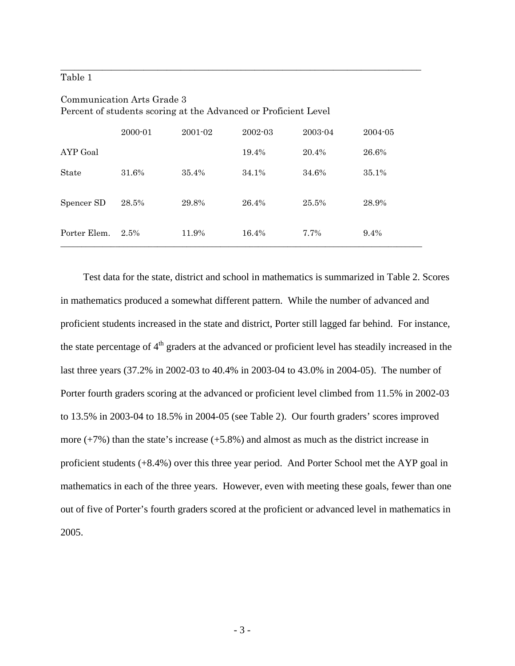# Table 1

|              | $2000 - 01$ | $2001 - 02$ | $2002 - 03$ | 2003-04 | $2004 - 05$ |
|--------------|-------------|-------------|-------------|---------|-------------|
| AYP Goal     |             |             | 19.4%       | 20.4%   | 26.6%       |
| <b>State</b> | 31.6%       | 35.4%       | 34.1%       | 34.6%   | 35.1%       |
| Spencer SD   | 28.5%       | 29.8%       | 26.4%       | 25.5%   | 28.9%       |
| Porter Elem. | 2.5%        | 11.9%       | 16.4%       | 7.7%    | 9.4%        |

\_\_\_\_\_\_\_\_\_\_\_\_\_\_\_\_\_\_\_\_\_\_\_\_\_\_\_\_\_\_\_\_\_\_\_\_\_\_\_\_\_\_\_\_\_\_\_\_\_\_\_\_\_\_\_\_\_\_\_\_\_\_\_\_\_\_\_\_\_\_\_\_\_\_\_\_\_\_

# Communication Arts Grade 3 Percent of students scoring at the Advanced or Proficient Level

 Test data for the state, district and school in mathematics is summarized in Table 2. Scores in mathematics produced a somewhat different pattern. While the number of advanced and proficient students increased in the state and district, Porter still lagged far behind. For instance, the state percentage of  $4<sup>th</sup>$  graders at the advanced or proficient level has steadily increased in the last three years (37.2% in 2002-03 to 40.4% in 2003-04 to 43.0% in 2004-05). The number of Porter fourth graders scoring at the advanced or proficient level climbed from 11.5% in 2002-03 to 13.5% in 2003-04 to 18.5% in 2004-05 (see Table 2). Our fourth graders' scores improved more (+7%) than the state's increase (+5.8%) and almost as much as the district increase in proficient students (+8.4%) over this three year period. And Porter School met the AYP goal in mathematics in each of the three years. However, even with meeting these goals, fewer than one out of five of Porter's fourth graders scored at the proficient or advanced level in mathematics in 2005.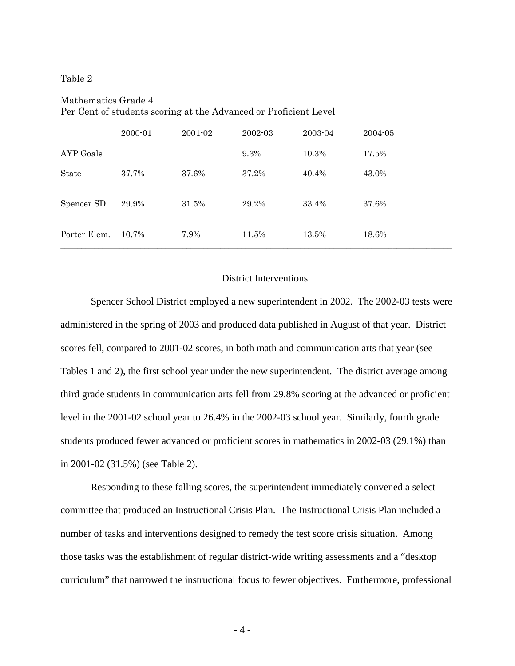# Table 2

# 2000-01 2001-02 2002-03 2003-04 2004-05 AYP Goals 9.3% 10.3% 17.5% State 37.7% 37.6% 37.2% 40.4% 43.0% Spencer SD 29.9% 31.5% 29.2% 33.4% 37.6% Porter Elem. 10.7% 7.9% 11.5% 13.5% 18.6%  $\overline{\phantom{a}}$  , and the contribution of the contribution of the contribution of the contribution of the contribution of the contribution of the contribution of the contribution of the contribution of the contribution of the

 $\_$  , and the set of the set of the set of the set of the set of the set of the set of the set of the set of the set of the set of the set of the set of the set of the set of the set of the set of the set of the set of th

#### Mathematics Grade 4 Per Cent of students scoring at the Advanced or Proficient Level

## District Interventions

 Spencer School District employed a new superintendent in 2002. The 2002-03 tests were administered in the spring of 2003 and produced data published in August of that year. District scores fell, compared to 2001-02 scores, in both math and communication arts that year (see Tables 1 and 2), the first school year under the new superintendent. The district average among third grade students in communication arts fell from 29.8% scoring at the advanced or proficient level in the 2001-02 school year to 26.4% in the 2002-03 school year. Similarly, fourth grade students produced fewer advanced or proficient scores in mathematics in 2002-03 (29.1%) than in 2001-02 (31.5%) (see Table 2).

 Responding to these falling scores, the superintendent immediately convened a select committee that produced an Instructional Crisis Plan. The Instructional Crisis Plan included a number of tasks and interventions designed to remedy the test score crisis situation. Among those tasks was the establishment of regular district-wide writing assessments and a "desktop curriculum" that narrowed the instructional focus to fewer objectives. Furthermore, professional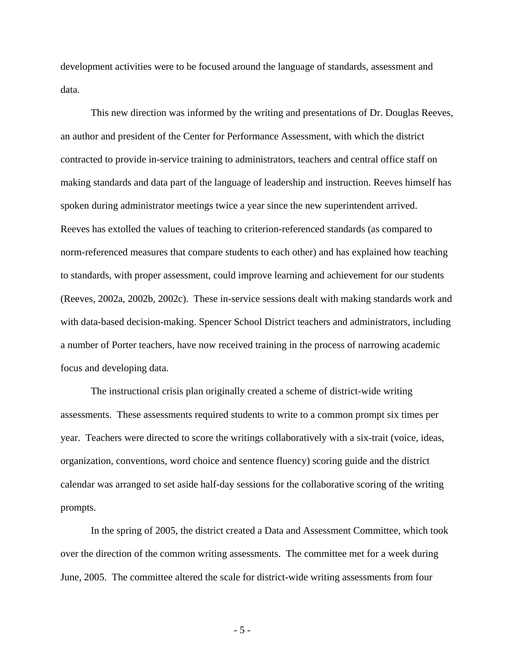development activities were to be focused around the language of standards, assessment and data.

 This new direction was informed by the writing and presentations of Dr. Douglas Reeves, an author and president of the Center for Performance Assessment, with which the district contracted to provide in-service training to administrators, teachers and central office staff on making standards and data part of the language of leadership and instruction. Reeves himself has spoken during administrator meetings twice a year since the new superintendent arrived. Reeves has extolled the values of teaching to criterion-referenced standards (as compared to norm-referenced measures that compare students to each other) and has explained how teaching to standards, with proper assessment, could improve learning and achievement for our students (Reeves, 2002a, 2002b, 2002c). These in-service sessions dealt with making standards work and with data-based decision-making. Spencer School District teachers and administrators, including a number of Porter teachers, have now received training in the process of narrowing academic focus and developing data.

 The instructional crisis plan originally created a scheme of district-wide writing assessments. These assessments required students to write to a common prompt six times per year. Teachers were directed to score the writings collaboratively with a six-trait (voice, ideas, organization, conventions, word choice and sentence fluency) scoring guide and the district calendar was arranged to set aside half-day sessions for the collaborative scoring of the writing prompts.

 In the spring of 2005, the district created a Data and Assessment Committee, which took over the direction of the common writing assessments. The committee met for a week during June, 2005. The committee altered the scale for district-wide writing assessments from four

- 5 -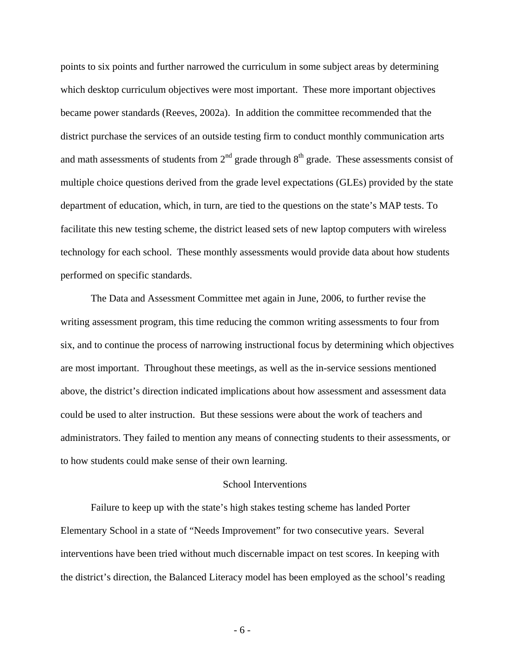points to six points and further narrowed the curriculum in some subject areas by determining which desktop curriculum objectives were most important. These more important objectives became power standards (Reeves, 2002a). In addition the committee recommended that the district purchase the services of an outside testing firm to conduct monthly communication arts and math assessments of students from  $2<sup>nd</sup>$  grade through  $8<sup>th</sup>$  grade. These assessments consist of multiple choice questions derived from the grade level expectations (GLEs) provided by the state department of education, which, in turn, are tied to the questions on the state's MAP tests. To facilitate this new testing scheme, the district leased sets of new laptop computers with wireless technology for each school. These monthly assessments would provide data about how students performed on specific standards.

 The Data and Assessment Committee met again in June, 2006, to further revise the writing assessment program, this time reducing the common writing assessments to four from six, and to continue the process of narrowing instructional focus by determining which objectives are most important. Throughout these meetings, as well as the in-service sessions mentioned above, the district's direction indicated implications about how assessment and assessment data could be used to alter instruction. But these sessions were about the work of teachers and administrators. They failed to mention any means of connecting students to their assessments, or to how students could make sense of their own learning.

#### School Interventions

 Failure to keep up with the state's high stakes testing scheme has landed Porter Elementary School in a state of "Needs Improvement" for two consecutive years. Several interventions have been tried without much discernable impact on test scores. In keeping with the district's direction, the Balanced Literacy model has been employed as the school's reading

- 6 -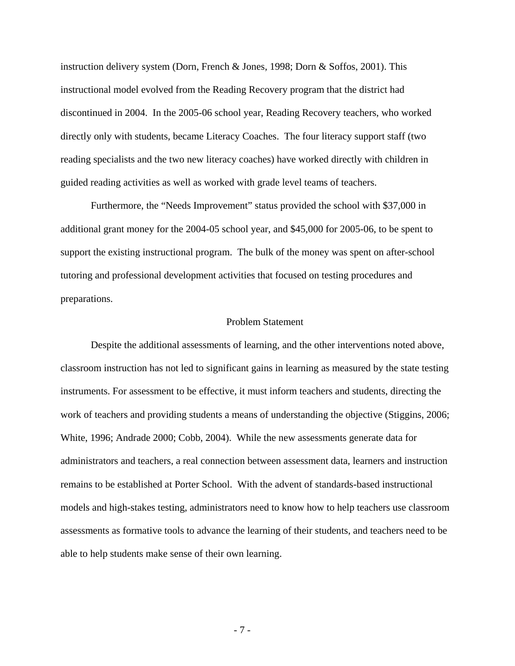instruction delivery system (Dorn, French & Jones, 1998; Dorn & Soffos, 2001). This instructional model evolved from the Reading Recovery program that the district had discontinued in 2004. In the 2005-06 school year, Reading Recovery teachers, who worked directly only with students, became Literacy Coaches. The four literacy support staff (two reading specialists and the two new literacy coaches) have worked directly with children in guided reading activities as well as worked with grade level teams of teachers.

 Furthermore, the "Needs Improvement" status provided the school with \$37,000 in additional grant money for the 2004-05 school year, and \$45,000 for 2005-06, to be spent to support the existing instructional program. The bulk of the money was spent on after-school tutoring and professional development activities that focused on testing procedures and preparations.

#### Problem Statement

 Despite the additional assessments of learning, and the other interventions noted above, classroom instruction has not led to significant gains in learning as measured by the state testing instruments. For assessment to be effective, it must inform teachers and students, directing the work of teachers and providing students a means of understanding the objective (Stiggins, 2006; White, 1996; Andrade 2000; Cobb, 2004). While the new assessments generate data for administrators and teachers, a real connection between assessment data, learners and instruction remains to be established at Porter School. With the advent of standards-based instructional models and high-stakes testing, administrators need to know how to help teachers use classroom assessments as formative tools to advance the learning of their students, and teachers need to be able to help students make sense of their own learning.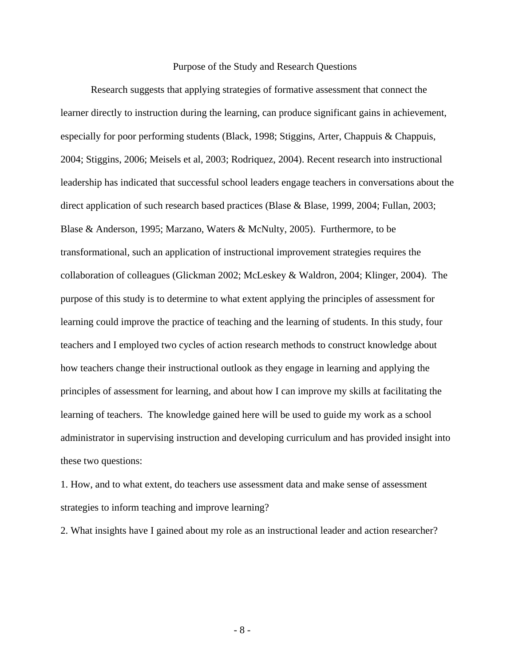#### Purpose of the Study and Research Questions

 Research suggests that applying strategies of formative assessment that connect the learner directly to instruction during the learning, can produce significant gains in achievement, especially for poor performing students (Black, 1998; Stiggins, Arter, Chappuis & Chappuis, 2004; Stiggins, 2006; Meisels et al, 2003; Rodriquez, 2004). Recent research into instructional leadership has indicated that successful school leaders engage teachers in conversations about the direct application of such research based practices (Blase & Blase, 1999, 2004; Fullan, 2003; Blase & Anderson, 1995; Marzano, Waters & McNulty, 2005). Furthermore, to be transformational, such an application of instructional improvement strategies requires the collaboration of colleagues (Glickman 2002; McLeskey & Waldron, 2004; Klinger, 2004). The purpose of this study is to determine to what extent applying the principles of assessment for learning could improve the practice of teaching and the learning of students. In this study, four teachers and I employed two cycles of action research methods to construct knowledge about how teachers change their instructional outlook as they engage in learning and applying the principles of assessment for learning, and about how I can improve my skills at facilitating the learning of teachers. The knowledge gained here will be used to guide my work as a school administrator in supervising instruction and developing curriculum and has provided insight into these two questions:

1. How, and to what extent, do teachers use assessment data and make sense of assessment strategies to inform teaching and improve learning?

2. What insights have I gained about my role as an instructional leader and action researcher?

- 8 -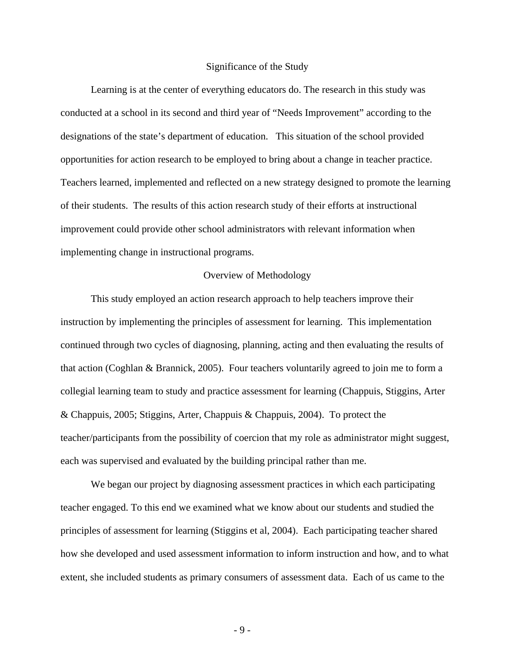#### Significance of the Study

 Learning is at the center of everything educators do. The research in this study was conducted at a school in its second and third year of "Needs Improvement" according to the designations of the state's department of education. This situation of the school provided opportunities for action research to be employed to bring about a change in teacher practice. Teachers learned, implemented and reflected on a new strategy designed to promote the learning of their students. The results of this action research study of their efforts at instructional improvement could provide other school administrators with relevant information when implementing change in instructional programs.

### Overview of Methodology

 This study employed an action research approach to help teachers improve their instruction by implementing the principles of assessment for learning. This implementation continued through two cycles of diagnosing, planning, acting and then evaluating the results of that action (Coghlan & Brannick, 2005). Four teachers voluntarily agreed to join me to form a collegial learning team to study and practice assessment for learning (Chappuis, Stiggins, Arter & Chappuis, 2005; Stiggins, Arter, Chappuis & Chappuis, 2004). To protect the teacher/participants from the possibility of coercion that my role as administrator might suggest, each was supervised and evaluated by the building principal rather than me.

 We began our project by diagnosing assessment practices in which each participating teacher engaged. To this end we examined what we know about our students and studied the principles of assessment for learning (Stiggins et al, 2004). Each participating teacher shared how she developed and used assessment information to inform instruction and how, and to what extent, she included students as primary consumers of assessment data. Each of us came to the

- 9 -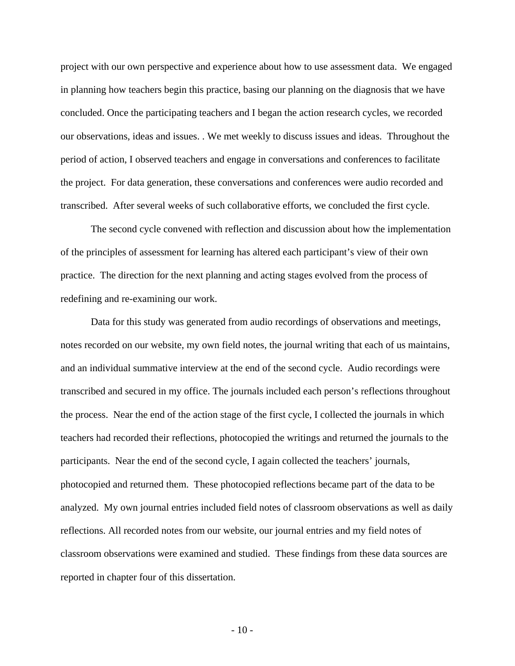project with our own perspective and experience about how to use assessment data. We engaged in planning how teachers begin this practice, basing our planning on the diagnosis that we have concluded. Once the participating teachers and I began the action research cycles, we recorded our observations, ideas and issues. . We met weekly to discuss issues and ideas. Throughout the period of action, I observed teachers and engage in conversations and conferences to facilitate the project. For data generation, these conversations and conferences were audio recorded and transcribed. After several weeks of such collaborative efforts, we concluded the first cycle.

 The second cycle convened with reflection and discussion about how the implementation of the principles of assessment for learning has altered each participant's view of their own practice. The direction for the next planning and acting stages evolved from the process of redefining and re-examining our work.

 Data for this study was generated from audio recordings of observations and meetings, notes recorded on our website, my own field notes, the journal writing that each of us maintains, and an individual summative interview at the end of the second cycle. Audio recordings were transcribed and secured in my office. The journals included each person's reflections throughout the process. Near the end of the action stage of the first cycle, I collected the journals in which teachers had recorded their reflections, photocopied the writings and returned the journals to the participants. Near the end of the second cycle, I again collected the teachers' journals, photocopied and returned them. These photocopied reflections became part of the data to be analyzed. My own journal entries included field notes of classroom observations as well as daily reflections. All recorded notes from our website, our journal entries and my field notes of classroom observations were examined and studied. These findings from these data sources are reported in chapter four of this dissertation.

 $-10-$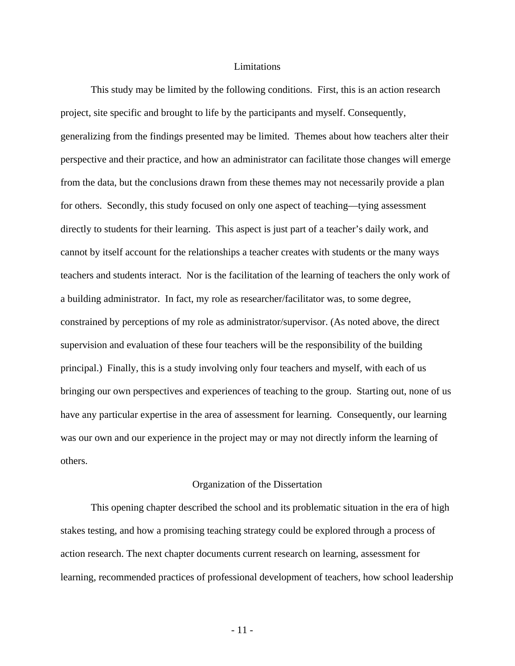#### Limitations

 This study may be limited by the following conditions. First, this is an action research project, site specific and brought to life by the participants and myself. Consequently, generalizing from the findings presented may be limited. Themes about how teachers alter their perspective and their practice, and how an administrator can facilitate those changes will emerge from the data, but the conclusions drawn from these themes may not necessarily provide a plan for others. Secondly, this study focused on only one aspect of teaching—tying assessment directly to students for their learning. This aspect is just part of a teacher's daily work, and cannot by itself account for the relationships a teacher creates with students or the many ways teachers and students interact. Nor is the facilitation of the learning of teachers the only work of a building administrator. In fact, my role as researcher/facilitator was, to some degree, constrained by perceptions of my role as administrator/supervisor. (As noted above, the direct supervision and evaluation of these four teachers will be the responsibility of the building principal.) Finally, this is a study involving only four teachers and myself, with each of us bringing our own perspectives and experiences of teaching to the group. Starting out, none of us have any particular expertise in the area of assessment for learning. Consequently, our learning was our own and our experience in the project may or may not directly inform the learning of others.

#### Organization of the Dissertation

 This opening chapter described the school and its problematic situation in the era of high stakes testing, and how a promising teaching strategy could be explored through a process of action research. The next chapter documents current research on learning, assessment for learning, recommended practices of professional development of teachers, how school leadership

- 11 -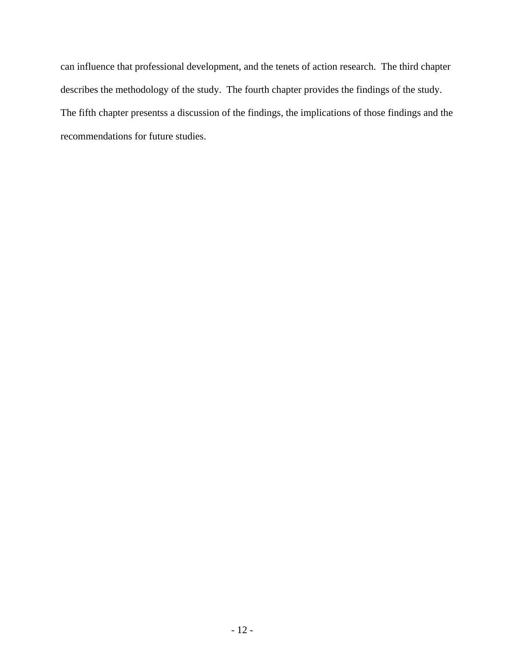can influence that professional development, and the tenets of action research. The third chapter describes the methodology of the study. The fourth chapter provides the findings of the study. The fifth chapter presentss a discussion of the findings, the implications of those findings and the recommendations for future studies.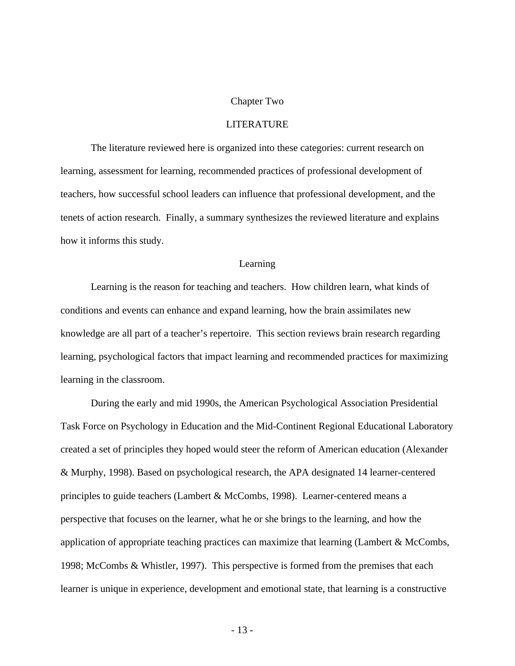#### Chapter Two

# LITERATURE

 The literature reviewed here is organized into these categories: current research on learning, assessment for learning, recommended practices of professional development of teachers, how successful school leaders can influence that professional development, and the tenets of action research. Finally, a summary synthesizes the reviewed literature and explains how it informs this study.

#### Learning

 Learning is the reason for teaching and teachers. How children learn, what kinds of conditions and events can enhance and expand learning, how the brain assimilates new knowledge are all part of a teacher's repertoire. This section reviews brain research regarding learning, psychological factors that impact learning and recommended practices for maximizing learning in the classroom.

 During the early and mid 1990s, the American Psychological Association Presidential Task Force on Psychology in Education and the Mid-Continent Regional Educational Laboratory created a set of principles they hoped would steer the reform of American education (Alexander & Murphy, 1998). Based on psychological research, the APA designated 14 learner-centered principles to guide teachers (Lambert & McCombs, 1998). Learner-centered means a perspective that focuses on the learner, what he or she brings to the learning, and how the application of appropriate teaching practices can maximize that learning (Lambert & McCombs, 1998; McCombs & Whistler, 1997). This perspective is formed from the premises that each learner is unique in experience, development and emotional state, that learning is a constructive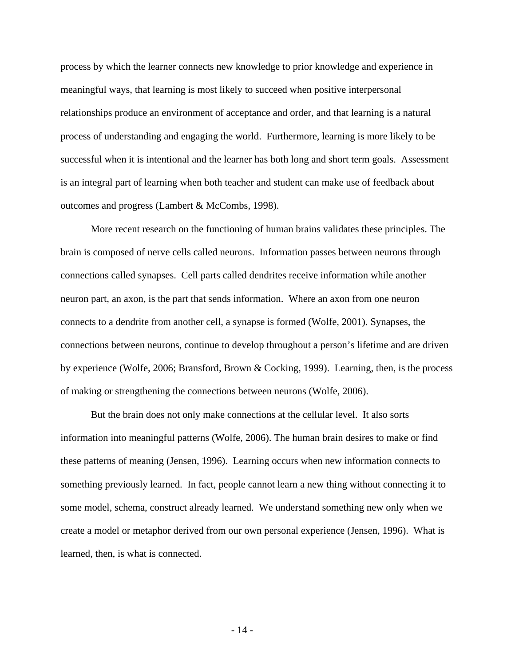process by which the learner connects new knowledge to prior knowledge and experience in meaningful ways, that learning is most likely to succeed when positive interpersonal relationships produce an environment of acceptance and order, and that learning is a natural process of understanding and engaging the world. Furthermore, learning is more likely to be successful when it is intentional and the learner has both long and short term goals. Assessment is an integral part of learning when both teacher and student can make use of feedback about outcomes and progress (Lambert & McCombs, 1998).

 More recent research on the functioning of human brains validates these principles. The brain is composed of nerve cells called neurons. Information passes between neurons through connections called synapses. Cell parts called dendrites receive information while another neuron part, an axon, is the part that sends information. Where an axon from one neuron connects to a dendrite from another cell, a synapse is formed (Wolfe, 2001). Synapses, the connections between neurons, continue to develop throughout a person's lifetime and are driven by experience (Wolfe, 2006; Bransford, Brown & Cocking, 1999). Learning, then, is the process of making or strengthening the connections between neurons (Wolfe, 2006).

 But the brain does not only make connections at the cellular level. It also sorts information into meaningful patterns (Wolfe, 2006). The human brain desires to make or find these patterns of meaning (Jensen, 1996). Learning occurs when new information connects to something previously learned. In fact, people cannot learn a new thing without connecting it to some model, schema, construct already learned. We understand something new only when we create a model or metaphor derived from our own personal experience (Jensen, 1996). What is learned, then, is what is connected.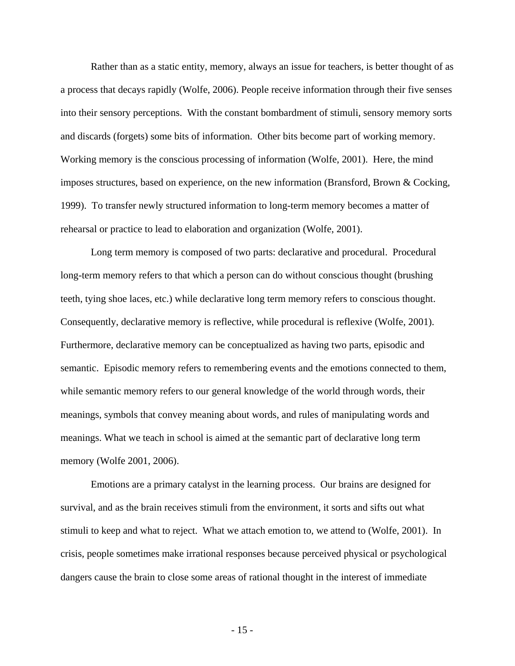Rather than as a static entity, memory, always an issue for teachers, is better thought of as a process that decays rapidly (Wolfe, 2006). People receive information through their five senses into their sensory perceptions. With the constant bombardment of stimuli, sensory memory sorts and discards (forgets) some bits of information. Other bits become part of working memory. Working memory is the conscious processing of information (Wolfe, 2001). Here, the mind imposes structures, based on experience, on the new information (Bransford, Brown & Cocking, 1999). To transfer newly structured information to long-term memory becomes a matter of rehearsal or practice to lead to elaboration and organization (Wolfe, 2001).

 Long term memory is composed of two parts: declarative and procedural. Procedural long-term memory refers to that which a person can do without conscious thought (brushing teeth, tying shoe laces, etc.) while declarative long term memory refers to conscious thought. Consequently, declarative memory is reflective, while procedural is reflexive (Wolfe, 2001). Furthermore, declarative memory can be conceptualized as having two parts, episodic and semantic. Episodic memory refers to remembering events and the emotions connected to them, while semantic memory refers to our general knowledge of the world through words, their meanings, symbols that convey meaning about words, and rules of manipulating words and meanings. What we teach in school is aimed at the semantic part of declarative long term memory (Wolfe 2001, 2006).

 Emotions are a primary catalyst in the learning process. Our brains are designed for survival, and as the brain receives stimuli from the environment, it sorts and sifts out what stimuli to keep and what to reject. What we attach emotion to, we attend to (Wolfe, 2001). In crisis, people sometimes make irrational responses because perceived physical or psychological dangers cause the brain to close some areas of rational thought in the interest of immediate

- 15 -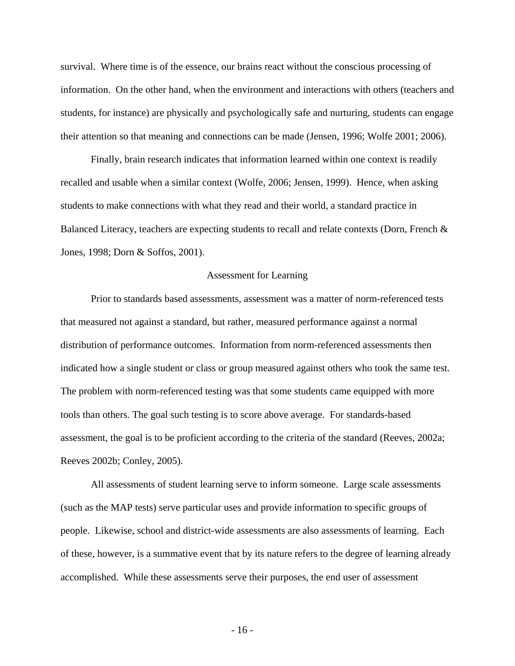survival. Where time is of the essence, our brains react without the conscious processing of information. On the other hand, when the environment and interactions with others (teachers and students, for instance) are physically and psychologically safe and nurturing, students can engage their attention so that meaning and connections can be made (Jensen, 1996; Wolfe 2001; 2006).

 Finally, brain research indicates that information learned within one context is readily recalled and usable when a similar context (Wolfe, 2006; Jensen, 1999). Hence, when asking students to make connections with what they read and their world, a standard practice in Balanced Literacy, teachers are expecting students to recall and relate contexts (Dorn, French & Jones, 1998; Dorn & Soffos, 2001).

#### Assessment for Learning

 Prior to standards based assessments, assessment was a matter of norm-referenced tests that measured not against a standard, but rather, measured performance against a normal distribution of performance outcomes. Information from norm-referenced assessments then indicated how a single student or class or group measured against others who took the same test. The problem with norm-referenced testing was that some students came equipped with more tools than others. The goal such testing is to score above average. For standards-based assessment, the goal is to be proficient according to the criteria of the standard (Reeves, 2002a; Reeves 2002b; Conley, 2005).

 All assessments of student learning serve to inform someone. Large scale assessments (such as the MAP tests) serve particular uses and provide information to specific groups of people. Likewise, school and district-wide assessments are also assessments of learning. Each of these, however, is a summative event that by its nature refers to the degree of learning already accomplished. While these assessments serve their purposes, the end user of assessment

- 16 -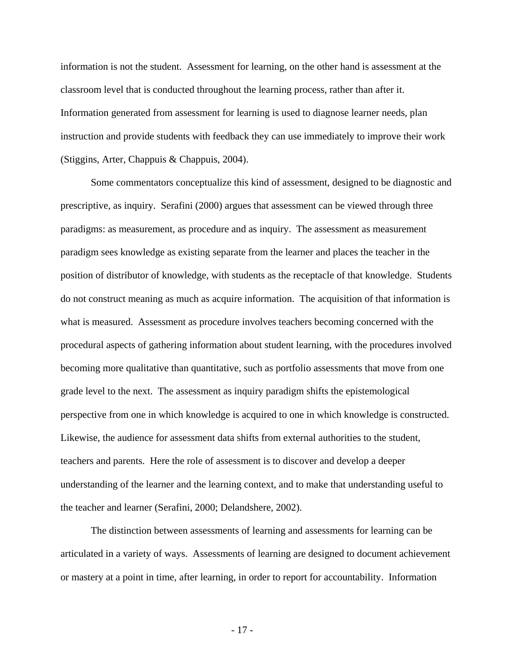information is not the student. Assessment for learning, on the other hand is assessment at the classroom level that is conducted throughout the learning process, rather than after it. Information generated from assessment for learning is used to diagnose learner needs, plan instruction and provide students with feedback they can use immediately to improve their work (Stiggins, Arter, Chappuis & Chappuis, 2004).

 Some commentators conceptualize this kind of assessment, designed to be diagnostic and prescriptive, as inquiry. Serafini (2000) argues that assessment can be viewed through three paradigms: as measurement, as procedure and as inquiry. The assessment as measurement paradigm sees knowledge as existing separate from the learner and places the teacher in the position of distributor of knowledge, with students as the receptacle of that knowledge. Students do not construct meaning as much as acquire information. The acquisition of that information is what is measured. Assessment as procedure involves teachers becoming concerned with the procedural aspects of gathering information about student learning, with the procedures involved becoming more qualitative than quantitative, such as portfolio assessments that move from one grade level to the next. The assessment as inquiry paradigm shifts the epistemological perspective from one in which knowledge is acquired to one in which knowledge is constructed. Likewise, the audience for assessment data shifts from external authorities to the student, teachers and parents. Here the role of assessment is to discover and develop a deeper understanding of the learner and the learning context, and to make that understanding useful to the teacher and learner (Serafini, 2000; Delandshere, 2002).

 The distinction between assessments of learning and assessments for learning can be articulated in a variety of ways. Assessments of learning are designed to document achievement or mastery at a point in time, after learning, in order to report for accountability. Information

- 17 -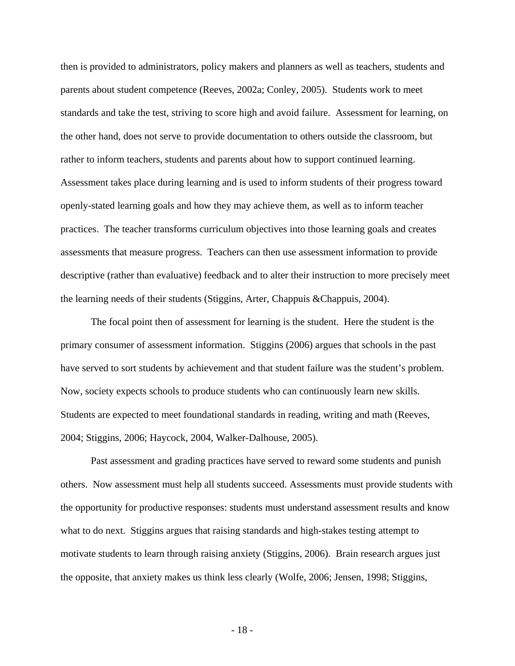then is provided to administrators, policy makers and planners as well as teachers, students and parents about student competence (Reeves, 2002a; Conley, 2005). Students work to meet standards and take the test, striving to score high and avoid failure. Assessment for learning, on the other hand, does not serve to provide documentation to others outside the classroom, but rather to inform teachers, students and parents about how to support continued learning. Assessment takes place during learning and is used to inform students of their progress toward openly-stated learning goals and how they may achieve them, as well as to inform teacher practices. The teacher transforms curriculum objectives into those learning goals and creates assessments that measure progress. Teachers can then use assessment information to provide descriptive (rather than evaluative) feedback and to alter their instruction to more precisely meet the learning needs of their students (Stiggins, Arter, Chappuis &Chappuis, 2004).

 The focal point then of assessment for learning is the student. Here the student is the primary consumer of assessment information. Stiggins (2006) argues that schools in the past have served to sort students by achievement and that student failure was the student's problem. Now, society expects schools to produce students who can continuously learn new skills. Students are expected to meet foundational standards in reading, writing and math (Reeves, 2004; Stiggins, 2006; Haycock, 2004, Walker-Dalhouse, 2005).

 Past assessment and grading practices have served to reward some students and punish others. Now assessment must help all students succeed. Assessments must provide students with the opportunity for productive responses: students must understand assessment results and know what to do next. Stiggins argues that raising standards and high-stakes testing attempt to motivate students to learn through raising anxiety (Stiggins, 2006). Brain research argues just the opposite, that anxiety makes us think less clearly (Wolfe, 2006; Jensen, 1998; Stiggins,

- 18 -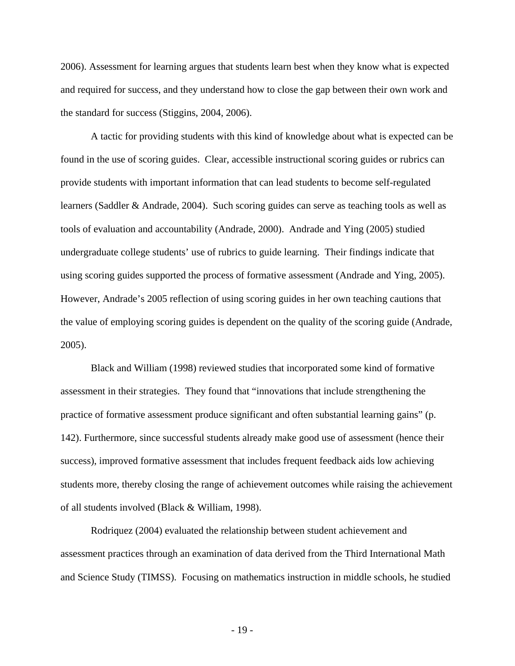2006). Assessment for learning argues that students learn best when they know what is expected and required for success, and they understand how to close the gap between their own work and the standard for success (Stiggins, 2004, 2006).

A tactic for providing students with this kind of knowledge about what is expected can be found in the use of scoring guides. Clear, accessible instructional scoring guides or rubrics can provide students with important information that can lead students to become self-regulated learners (Saddler & Andrade, 2004). Such scoring guides can serve as teaching tools as well as tools of evaluation and accountability (Andrade, 2000). Andrade and Ying (2005) studied undergraduate college students' use of rubrics to guide learning. Their findings indicate that using scoring guides supported the process of formative assessment (Andrade and Ying, 2005). However, Andrade's 2005 reflection of using scoring guides in her own teaching cautions that the value of employing scoring guides is dependent on the quality of the scoring guide (Andrade, 2005).

 Black and William (1998) reviewed studies that incorporated some kind of formative assessment in their strategies. They found that "innovations that include strengthening the practice of formative assessment produce significant and often substantial learning gains" (p. 142). Furthermore, since successful students already make good use of assessment (hence their success), improved formative assessment that includes frequent feedback aids low achieving students more, thereby closing the range of achievement outcomes while raising the achievement of all students involved (Black & William, 1998).

 Rodriquez (2004) evaluated the relationship between student achievement and assessment practices through an examination of data derived from the Third International Math and Science Study (TIMSS). Focusing on mathematics instruction in middle schools, he studied

- 19 -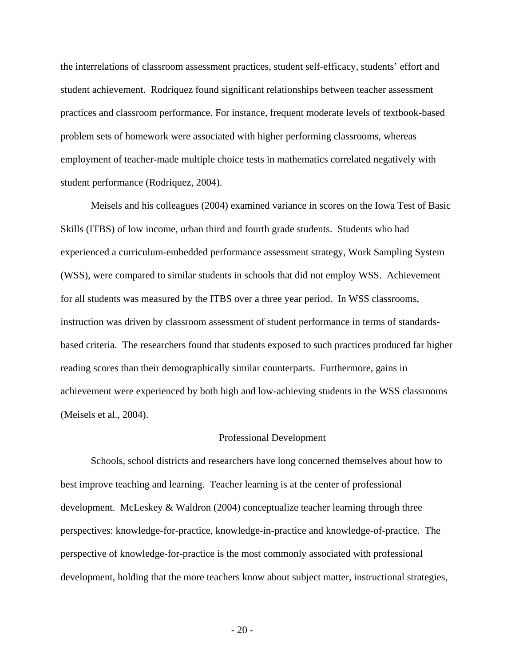the interrelations of classroom assessment practices, student self-efficacy, students' effort and student achievement. Rodriquez found significant relationships between teacher assessment practices and classroom performance. For instance, frequent moderate levels of textbook-based problem sets of homework were associated with higher performing classrooms, whereas employment of teacher-made multiple choice tests in mathematics correlated negatively with student performance (Rodriquez, 2004).

 Meisels and his colleagues (2004) examined variance in scores on the Iowa Test of Basic Skills (ITBS) of low income, urban third and fourth grade students. Students who had experienced a curriculum-embedded performance assessment strategy, Work Sampling System (WSS), were compared to similar students in schools that did not employ WSS. Achievement for all students was measured by the ITBS over a three year period. In WSS classrooms, instruction was driven by classroom assessment of student performance in terms of standardsbased criteria. The researchers found that students exposed to such practices produced far higher reading scores than their demographically similar counterparts. Furthermore, gains in achievement were experienced by both high and low-achieving students in the WSS classrooms (Meisels et al., 2004).

#### Professional Development

 Schools, school districts and researchers have long concerned themselves about how to best improve teaching and learning. Teacher learning is at the center of professional development. McLeskey & Waldron (2004) conceptualize teacher learning through three perspectives: knowledge-for-practice, knowledge-in-practice and knowledge-of-practice. The perspective of knowledge-for-practice is the most commonly associated with professional development, holding that the more teachers know about subject matter, instructional strategies,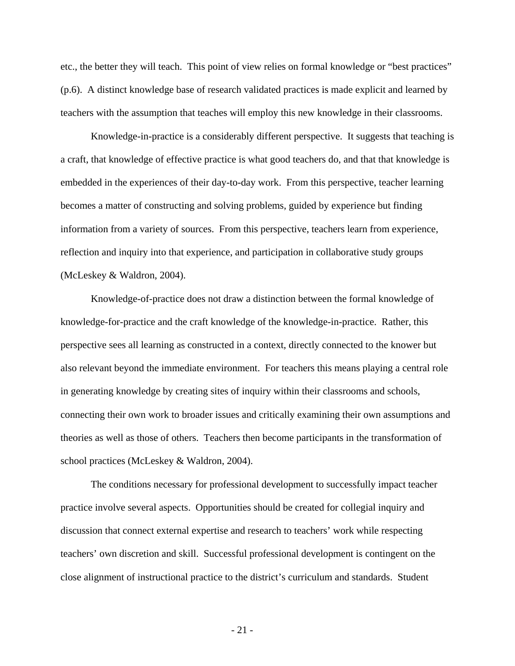etc., the better they will teach. This point of view relies on formal knowledge or "best practices" (p.6). A distinct knowledge base of research validated practices is made explicit and learned by teachers with the assumption that teaches will employ this new knowledge in their classrooms.

 Knowledge-in-practice is a considerably different perspective. It suggests that teaching is a craft, that knowledge of effective practice is what good teachers do, and that that knowledge is embedded in the experiences of their day-to-day work. From this perspective, teacher learning becomes a matter of constructing and solving problems, guided by experience but finding information from a variety of sources. From this perspective, teachers learn from experience, reflection and inquiry into that experience, and participation in collaborative study groups (McLeskey & Waldron, 2004).

 Knowledge-of-practice does not draw a distinction between the formal knowledge of knowledge-for-practice and the craft knowledge of the knowledge-in-practice. Rather, this perspective sees all learning as constructed in a context, directly connected to the knower but also relevant beyond the immediate environment. For teachers this means playing a central role in generating knowledge by creating sites of inquiry within their classrooms and schools, connecting their own work to broader issues and critically examining their own assumptions and theories as well as those of others. Teachers then become participants in the transformation of school practices (McLeskey & Waldron, 2004).

The conditions necessary for professional development to successfully impact teacher practice involve several aspects. Opportunities should be created for collegial inquiry and discussion that connect external expertise and research to teachers' work while respecting teachers' own discretion and skill. Successful professional development is contingent on the close alignment of instructional practice to the district's curriculum and standards. Student

- 21 -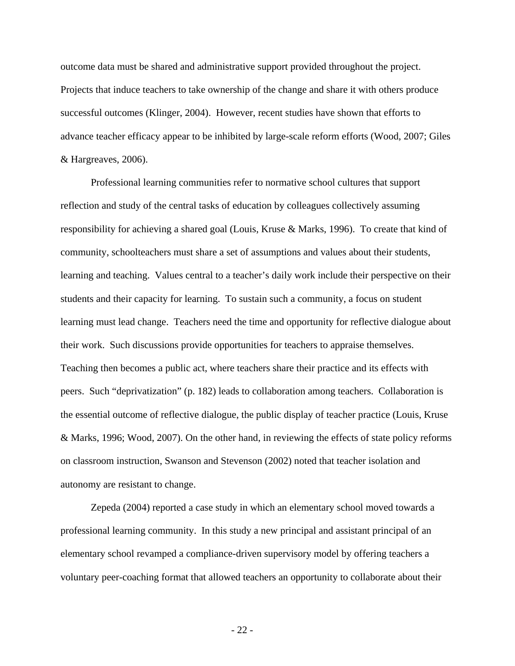outcome data must be shared and administrative support provided throughout the project. Projects that induce teachers to take ownership of the change and share it with others produce successful outcomes (Klinger, 2004). However, recent studies have shown that efforts to advance teacher efficacy appear to be inhibited by large-scale reform efforts (Wood, 2007; Giles & Hargreaves, 2006).

Professional learning communities refer to normative school cultures that support reflection and study of the central tasks of education by colleagues collectively assuming responsibility for achieving a shared goal (Louis, Kruse & Marks, 1996). To create that kind of community, schoolteachers must share a set of assumptions and values about their students, learning and teaching. Values central to a teacher's daily work include their perspective on their students and their capacity for learning. To sustain such a community, a focus on student learning must lead change. Teachers need the time and opportunity for reflective dialogue about their work. Such discussions provide opportunities for teachers to appraise themselves. Teaching then becomes a public act, where teachers share their practice and its effects with peers. Such "deprivatization" (p. 182) leads to collaboration among teachers. Collaboration is the essential outcome of reflective dialogue, the public display of teacher practice (Louis, Kruse & Marks, 1996; Wood, 2007). On the other hand, in reviewing the effects of state policy reforms on classroom instruction, Swanson and Stevenson (2002) noted that teacher isolation and autonomy are resistant to change.

 Zepeda (2004) reported a case study in which an elementary school moved towards a professional learning community. In this study a new principal and assistant principal of an elementary school revamped a compliance-driven supervisory model by offering teachers a voluntary peer-coaching format that allowed teachers an opportunity to collaborate about their

- 22 -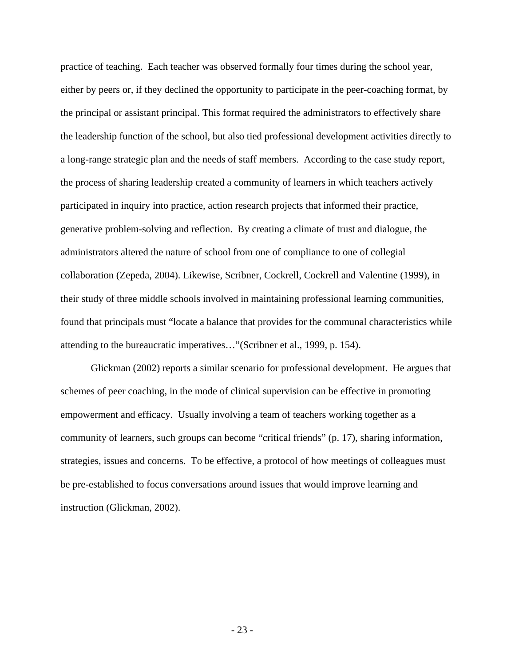practice of teaching. Each teacher was observed formally four times during the school year, either by peers or, if they declined the opportunity to participate in the peer-coaching format, by the principal or assistant principal. This format required the administrators to effectively share the leadership function of the school, but also tied professional development activities directly to a long-range strategic plan and the needs of staff members. According to the case study report, the process of sharing leadership created a community of learners in which teachers actively participated in inquiry into practice, action research projects that informed their practice, generative problem-solving and reflection. By creating a climate of trust and dialogue, the administrators altered the nature of school from one of compliance to one of collegial collaboration (Zepeda, 2004). Likewise, Scribner, Cockrell, Cockrell and Valentine (1999), in their study of three middle schools involved in maintaining professional learning communities, found that principals must "locate a balance that provides for the communal characteristics while attending to the bureaucratic imperatives…"(Scribner et al., 1999, p. 154).

 Glickman (2002) reports a similar scenario for professional development. He argues that schemes of peer coaching, in the mode of clinical supervision can be effective in promoting empowerment and efficacy. Usually involving a team of teachers working together as a community of learners, such groups can become "critical friends" (p. 17), sharing information, strategies, issues and concerns. To be effective, a protocol of how meetings of colleagues must be pre-established to focus conversations around issues that would improve learning and instruction (Glickman, 2002).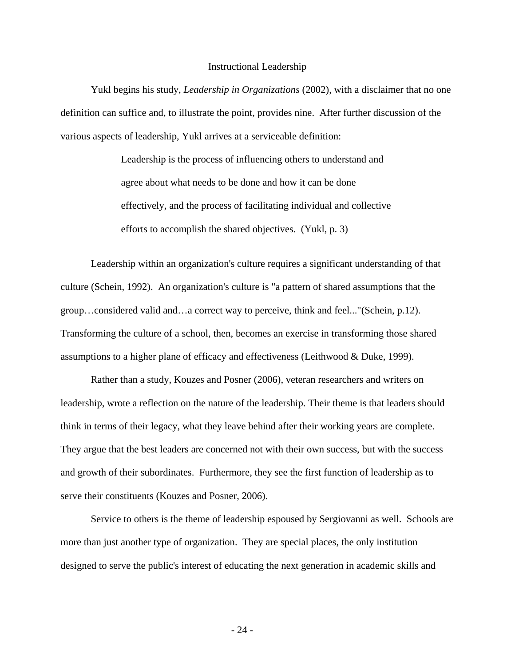#### Instructional Leadership

Yukl begins his study, *Leadership in Organizations* (2002), with a disclaimer that no one definition can suffice and, to illustrate the point, provides nine. After further discussion of the various aspects of leadership, Yukl arrives at a serviceable definition:

> Leadership is the process of influencing others to understand and agree about what needs to be done and how it can be done effectively, and the process of facilitating individual and collective efforts to accomplish the shared objectives. (Yukl, p. 3)

Leadership within an organization's culture requires a significant understanding of that culture (Schein, 1992). An organization's culture is "a pattern of shared assumptions that the group…considered valid and…a correct way to perceive, think and feel..."(Schein, p.12). Transforming the culture of a school, then, becomes an exercise in transforming those shared assumptions to a higher plane of efficacy and effectiveness (Leithwood & Duke, 1999).

 Rather than a study, Kouzes and Posner (2006), veteran researchers and writers on leadership, wrote a reflection on the nature of the leadership. Their theme is that leaders should think in terms of their legacy, what they leave behind after their working years are complete. They argue that the best leaders are concerned not with their own success, but with the success and growth of their subordinates. Furthermore, they see the first function of leadership as to serve their constituents (Kouzes and Posner, 2006).

Service to others is the theme of leadership espoused by Sergiovanni as well. Schools are more than just another type of organization. They are special places, the only institution designed to serve the public's interest of educating the next generation in academic skills and

- 24 -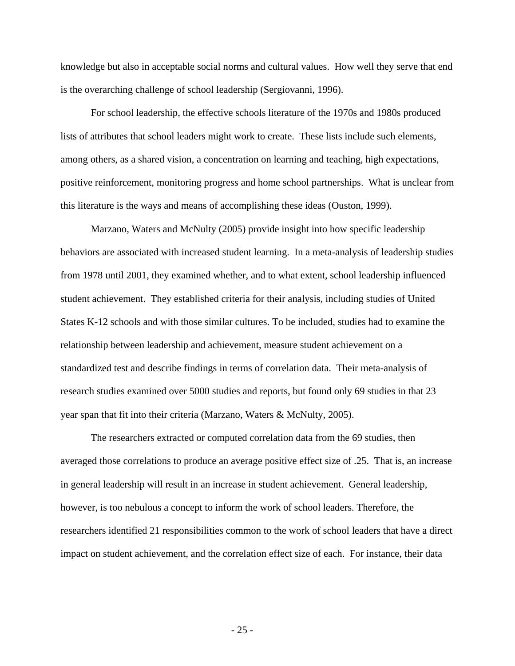knowledge but also in acceptable social norms and cultural values. How well they serve that end is the overarching challenge of school leadership (Sergiovanni, 1996).

 For school leadership, the effective schools literature of the 1970s and 1980s produced lists of attributes that school leaders might work to create. These lists include such elements, among others, as a shared vision, a concentration on learning and teaching, high expectations, positive reinforcement, monitoring progress and home school partnerships. What is unclear from this literature is the ways and means of accomplishing these ideas (Ouston, 1999).

 Marzano, Waters and McNulty (2005) provide insight into how specific leadership behaviors are associated with increased student learning. In a meta-analysis of leadership studies from 1978 until 2001, they examined whether, and to what extent, school leadership influenced student achievement. They established criteria for their analysis, including studies of United States K-12 schools and with those similar cultures. To be included, studies had to examine the relationship between leadership and achievement, measure student achievement on a standardized test and describe findings in terms of correlation data. Their meta-analysis of research studies examined over 5000 studies and reports, but found only 69 studies in that 23 year span that fit into their criteria (Marzano, Waters & McNulty, 2005).

 The researchers extracted or computed correlation data from the 69 studies, then averaged those correlations to produce an average positive effect size of .25. That is, an increase in general leadership will result in an increase in student achievement. General leadership, however, is too nebulous a concept to inform the work of school leaders. Therefore, the researchers identified 21 responsibilities common to the work of school leaders that have a direct impact on student achievement, and the correlation effect size of each. For instance, their data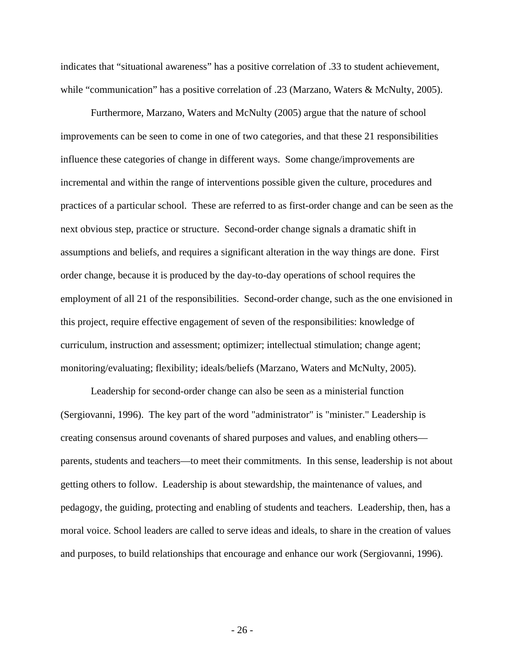indicates that "situational awareness" has a positive correlation of .33 to student achievement, while "communication" has a positive correlation of .23 (Marzano, Waters & McNulty, 2005).

 Furthermore, Marzano, Waters and McNulty (2005) argue that the nature of school improvements can be seen to come in one of two categories, and that these 21 responsibilities influence these categories of change in different ways. Some change/improvements are incremental and within the range of interventions possible given the culture, procedures and practices of a particular school. These are referred to as first-order change and can be seen as the next obvious step, practice or structure. Second-order change signals a dramatic shift in assumptions and beliefs, and requires a significant alteration in the way things are done. First order change, because it is produced by the day-to-day operations of school requires the employment of all 21 of the responsibilities. Second-order change, such as the one envisioned in this project, require effective engagement of seven of the responsibilities: knowledge of curriculum, instruction and assessment; optimizer; intellectual stimulation; change agent; monitoring/evaluating; flexibility; ideals/beliefs (Marzano, Waters and McNulty, 2005).

Leadership for second-order change can also be seen as a ministerial function (Sergiovanni, 1996). The key part of the word "administrator" is "minister." Leadership is creating consensus around covenants of shared purposes and values, and enabling others parents, students and teachers—to meet their commitments. In this sense, leadership is not about getting others to follow. Leadership is about stewardship, the maintenance of values, and pedagogy, the guiding, protecting and enabling of students and teachers. Leadership, then, has a moral voice. School leaders are called to serve ideas and ideals, to share in the creation of values and purposes, to build relationships that encourage and enhance our work (Sergiovanni, 1996).

- 26 -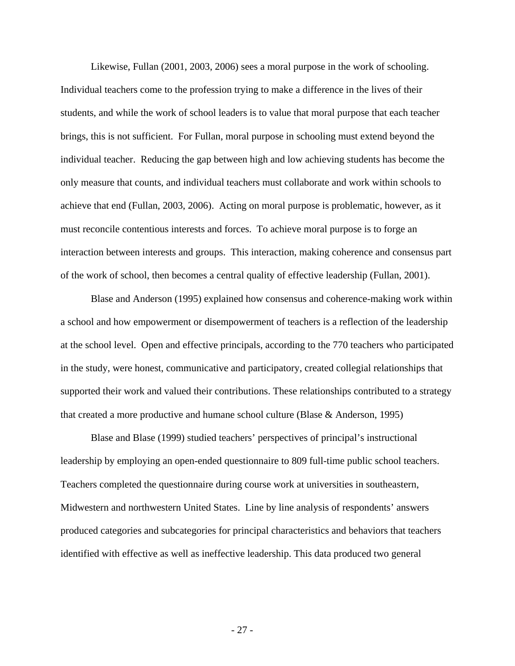Likewise, Fullan (2001, 2003, 2006) sees a moral purpose in the work of schooling. Individual teachers come to the profession trying to make a difference in the lives of their students, and while the work of school leaders is to value that moral purpose that each teacher brings, this is not sufficient. For Fullan, moral purpose in schooling must extend beyond the individual teacher. Reducing the gap between high and low achieving students has become the only measure that counts, and individual teachers must collaborate and work within schools to achieve that end (Fullan, 2003, 2006). Acting on moral purpose is problematic, however, as it must reconcile contentious interests and forces. To achieve moral purpose is to forge an interaction between interests and groups. This interaction, making coherence and consensus part of the work of school, then becomes a central quality of effective leadership (Fullan, 2001).

 Blase and Anderson (1995) explained how consensus and coherence-making work within a school and how empowerment or disempowerment of teachers is a reflection of the leadership at the school level. Open and effective principals, according to the 770 teachers who participated in the study, were honest, communicative and participatory, created collegial relationships that supported their work and valued their contributions. These relationships contributed to a strategy that created a more productive and humane school culture (Blase & Anderson, 1995)

 Blase and Blase (1999) studied teachers' perspectives of principal's instructional leadership by employing an open-ended questionnaire to 809 full-time public school teachers. Teachers completed the questionnaire during course work at universities in southeastern, Midwestern and northwestern United States. Line by line analysis of respondents' answers produced categories and subcategories for principal characteristics and behaviors that teachers identified with effective as well as ineffective leadership. This data produced two general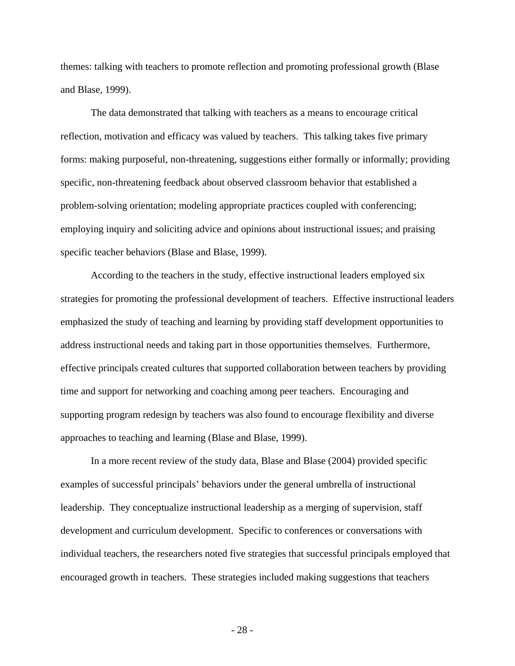themes: talking with teachers to promote reflection and promoting professional growth (Blase and Blase, 1999).

 The data demonstrated that talking with teachers as a means to encourage critical reflection, motivation and efficacy was valued by teachers. This talking takes five primary forms: making purposeful, non-threatening, suggestions either formally or informally; providing specific, non-threatening feedback about observed classroom behavior that established a problem-solving orientation; modeling appropriate practices coupled with conferencing; employing inquiry and soliciting advice and opinions about instructional issues; and praising specific teacher behaviors (Blase and Blase, 1999).

According to the teachers in the study, effective instructional leaders employed six strategies for promoting the professional development of teachers. Effective instructional leaders emphasized the study of teaching and learning by providing staff development opportunities to address instructional needs and taking part in those opportunities themselves. Furthermore, effective principals created cultures that supported collaboration between teachers by providing time and support for networking and coaching among peer teachers. Encouraging and supporting program redesign by teachers was also found to encourage flexibility and diverse approaches to teaching and learning (Blase and Blase, 1999).

In a more recent review of the study data, Blase and Blase (2004) provided specific examples of successful principals' behaviors under the general umbrella of instructional leadership. They conceptualize instructional leadership as a merging of supervision, staff development and curriculum development. Specific to conferences or conversations with individual teachers, the researchers noted five strategies that successful principals employed that encouraged growth in teachers. These strategies included making suggestions that teachers

- 28 -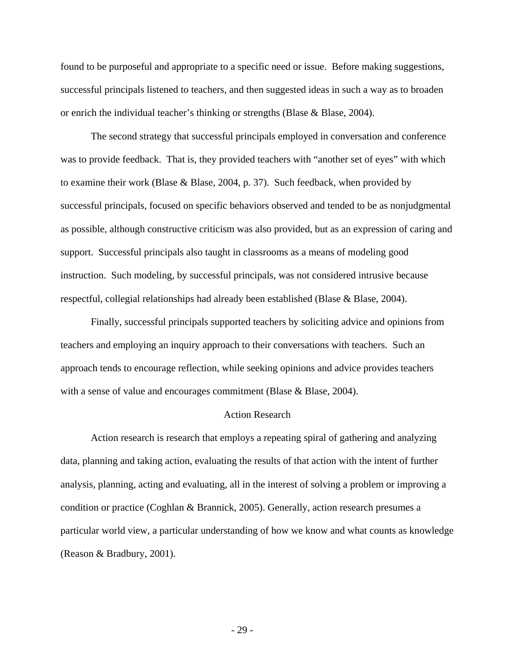found to be purposeful and appropriate to a specific need or issue. Before making suggestions, successful principals listened to teachers, and then suggested ideas in such a way as to broaden or enrich the individual teacher's thinking or strengths (Blase & Blase, 2004).

The second strategy that successful principals employed in conversation and conference was to provide feedback. That is, they provided teachers with "another set of eyes" with which to examine their work (Blase & Blase, 2004, p. 37). Such feedback, when provided by successful principals, focused on specific behaviors observed and tended to be as nonjudgmental as possible, although constructive criticism was also provided, but as an expression of caring and support. Successful principals also taught in classrooms as a means of modeling good instruction. Such modeling, by successful principals, was not considered intrusive because respectful, collegial relationships had already been established (Blase & Blase, 2004).

Finally, successful principals supported teachers by soliciting advice and opinions from teachers and employing an inquiry approach to their conversations with teachers. Such an approach tends to encourage reflection, while seeking opinions and advice provides teachers with a sense of value and encourages commitment (Blase & Blase, 2004).

#### Action Research

 Action research is research that employs a repeating spiral of gathering and analyzing data, planning and taking action, evaluating the results of that action with the intent of further analysis, planning, acting and evaluating, all in the interest of solving a problem or improving a condition or practice (Coghlan & Brannick, 2005). Generally, action research presumes a particular world view, a particular understanding of how we know and what counts as knowledge (Reason & Bradbury, 2001).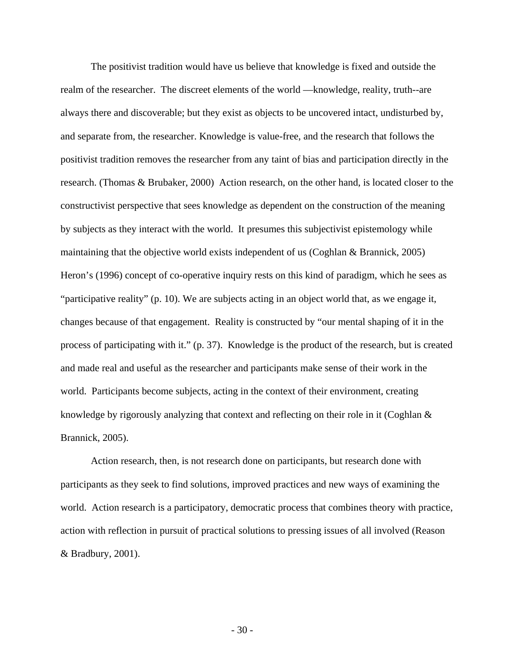The positivist tradition would have us believe that knowledge is fixed and outside the realm of the researcher. The discreet elements of the world —knowledge, reality, truth--are always there and discoverable; but they exist as objects to be uncovered intact, undisturbed by, and separate from, the researcher. Knowledge is value-free, and the research that follows the positivist tradition removes the researcher from any taint of bias and participation directly in the research. (Thomas & Brubaker, 2000) Action research, on the other hand, is located closer to the constructivist perspective that sees knowledge as dependent on the construction of the meaning by subjects as they interact with the world. It presumes this subjectivist epistemology while maintaining that the objective world exists independent of us (Coghlan & Brannick, 2005) Heron's (1996) concept of co-operative inquiry rests on this kind of paradigm, which he sees as "participative reality" (p. 10). We are subjects acting in an object world that, as we engage it, changes because of that engagement. Reality is constructed by "our mental shaping of it in the process of participating with it." (p. 37). Knowledge is the product of the research, but is created and made real and useful as the researcher and participants make sense of their work in the world. Participants become subjects, acting in the context of their environment, creating knowledge by rigorously analyzing that context and reflecting on their role in it (Coghlan & Brannick, 2005).

 Action research, then, is not research done on participants, but research done with participants as they seek to find solutions, improved practices and new ways of examining the world. Action research is a participatory, democratic process that combines theory with practice, action with reflection in pursuit of practical solutions to pressing issues of all involved (Reason & Bradbury, 2001).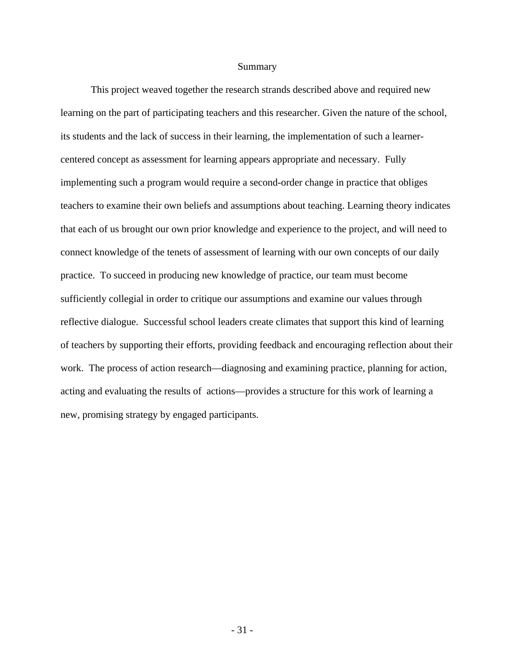# Summary

 This project weaved together the research strands described above and required new learning on the part of participating teachers and this researcher. Given the nature of the school, its students and the lack of success in their learning, the implementation of such a learnercentered concept as assessment for learning appears appropriate and necessary. Fully implementing such a program would require a second-order change in practice that obliges teachers to examine their own beliefs and assumptions about teaching. Learning theory indicates that each of us brought our own prior knowledge and experience to the project, and will need to connect knowledge of the tenets of assessment of learning with our own concepts of our daily practice. To succeed in producing new knowledge of practice, our team must become sufficiently collegial in order to critique our assumptions and examine our values through reflective dialogue. Successful school leaders create climates that support this kind of learning of teachers by supporting their efforts, providing feedback and encouraging reflection about their work. The process of action research—diagnosing and examining practice, planning for action, acting and evaluating the results of actions—provides a structure for this work of learning a new, promising strategy by engaged participants.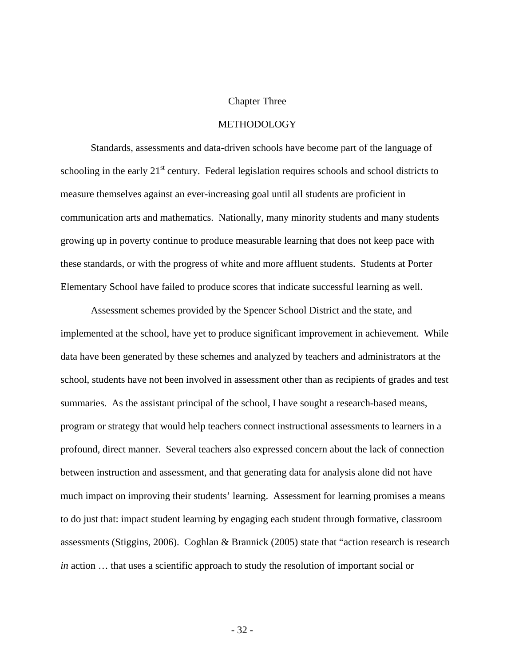### Chapter Three

# **METHODOLOGY**

 Standards, assessments and data-driven schools have become part of the language of schooling in the early  $21<sup>st</sup>$  century. Federal legislation requires schools and school districts to measure themselves against an ever-increasing goal until all students are proficient in communication arts and mathematics. Nationally, many minority students and many students growing up in poverty continue to produce measurable learning that does not keep pace with these standards, or with the progress of white and more affluent students. Students at Porter Elementary School have failed to produce scores that indicate successful learning as well.

 Assessment schemes provided by the Spencer School District and the state, and implemented at the school, have yet to produce significant improvement in achievement. While data have been generated by these schemes and analyzed by teachers and administrators at the school, students have not been involved in assessment other than as recipients of grades and test summaries. As the assistant principal of the school, I have sought a research-based means, program or strategy that would help teachers connect instructional assessments to learners in a profound, direct manner. Several teachers also expressed concern about the lack of connection between instruction and assessment, and that generating data for analysis alone did not have much impact on improving their students' learning. Assessment for learning promises a means to do just that: impact student learning by engaging each student through formative, classroom assessments (Stiggins, 2006). Coghlan & Brannick (2005) state that "action research is research *in* action ... that uses a scientific approach to study the resolution of important social or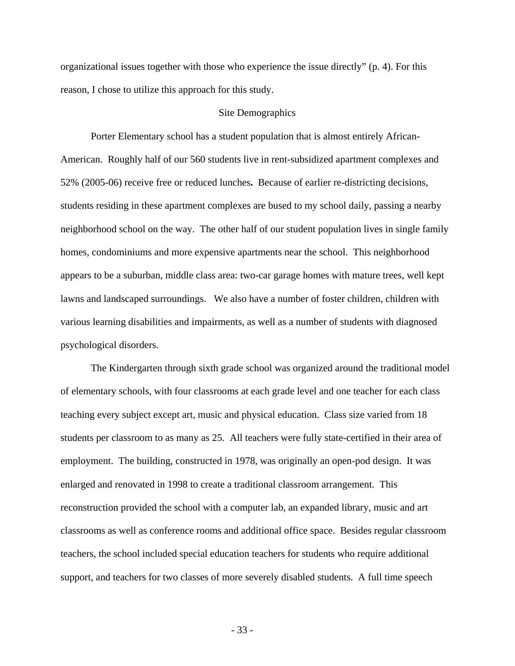organizational issues together with those who experience the issue directly" (p. 4). For this reason, I chose to utilize this approach for this study.

### Site Demographics

Porter Elementary school has a student population that is almost entirely African-American. Roughly half of our 560 students live in rent-subsidized apartment complexes and 52% (2005-06) receive free or reduced lunches**.** Because of earlier re-districting decisions, students residing in these apartment complexes are bused to my school daily, passing a nearby neighborhood school on the way. The other half of our student population lives in single family homes, condominiums and more expensive apartments near the school. This neighborhood appears to be a suburban, middle class area: two-car garage homes with mature trees, well kept lawns and landscaped surroundings. We also have a number of foster children, children with various learning disabilities and impairments, as well as a number of students with diagnosed psychological disorders.

 The Kindergarten through sixth grade school was organized around the traditional model of elementary schools, with four classrooms at each grade level and one teacher for each class teaching every subject except art, music and physical education. Class size varied from 18 students per classroom to as many as 25. All teachers were fully state-certified in their area of employment. The building, constructed in 1978, was originally an open-pod design. It was enlarged and renovated in 1998 to create a traditional classroom arrangement. This reconstruction provided the school with a computer lab, an expanded library, music and art classrooms as well as conference rooms and additional office space. Besides regular classroom teachers, the school included special education teachers for students who require additional support, and teachers for two classes of more severely disabled students. A full time speech

- 33 -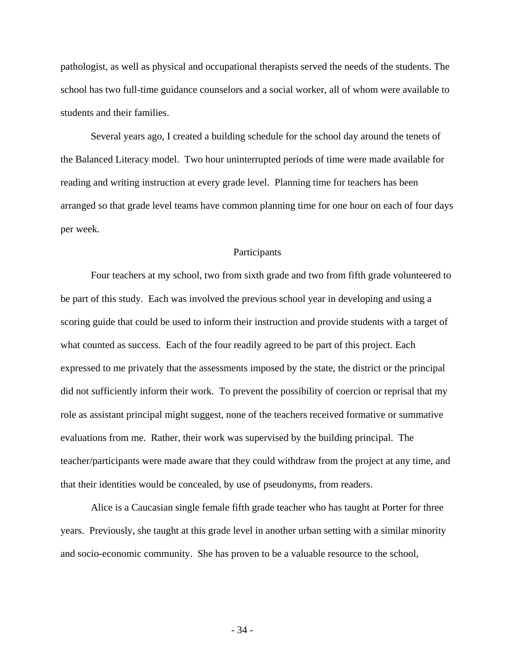pathologist, as well as physical and occupational therapists served the needs of the students. The school has two full-time guidance counselors and a social worker, all of whom were available to students and their families.

 Several years ago, I created a building schedule for the school day around the tenets of the Balanced Literacy model. Two hour uninterrupted periods of time were made available for reading and writing instruction at every grade level. Planning time for teachers has been arranged so that grade level teams have common planning time for one hour on each of four days per week.

# Participants

 Four teachers at my school, two from sixth grade and two from fifth grade volunteered to be part of this study. Each was involved the previous school year in developing and using a scoring guide that could be used to inform their instruction and provide students with a target of what counted as success. Each of the four readily agreed to be part of this project. Each expressed to me privately that the assessments imposed by the state, the district or the principal did not sufficiently inform their work. To prevent the possibility of coercion or reprisal that my role as assistant principal might suggest, none of the teachers received formative or summative evaluations from me. Rather, their work was supervised by the building principal. The teacher/participants were made aware that they could withdraw from the project at any time, and that their identities would be concealed, by use of pseudonyms, from readers.

 Alice is a Caucasian single female fifth grade teacher who has taught at Porter for three years. Previously, she taught at this grade level in another urban setting with a similar minority and socio-economic community. She has proven to be a valuable resource to the school,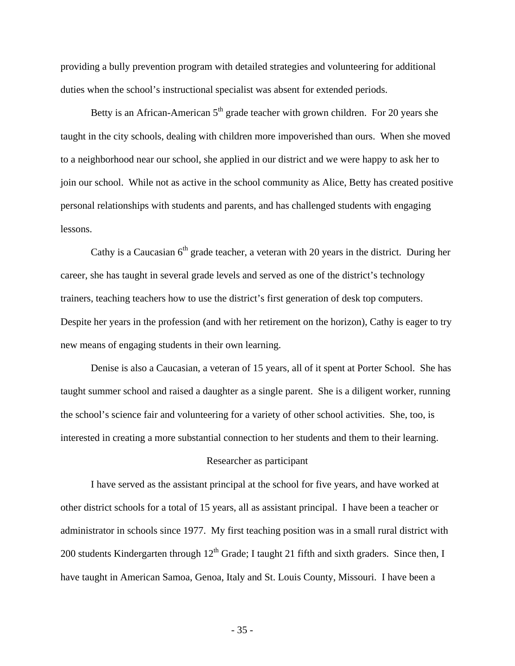providing a bully prevention program with detailed strategies and volunteering for additional duties when the school's instructional specialist was absent for extended periods.

Betty is an African-American  $5<sup>th</sup>$  grade teacher with grown children. For 20 years she taught in the city schools, dealing with children more impoverished than ours. When she moved to a neighborhood near our school, she applied in our district and we were happy to ask her to join our school. While not as active in the school community as Alice, Betty has created positive personal relationships with students and parents, and has challenged students with engaging lessons.

Cathy is a Caucasian  $6<sup>th</sup>$  grade teacher, a veteran with 20 years in the district. During her career, she has taught in several grade levels and served as one of the district's technology trainers, teaching teachers how to use the district's first generation of desk top computers. Despite her years in the profession (and with her retirement on the horizon), Cathy is eager to try new means of engaging students in their own learning.

 Denise is also a Caucasian, a veteran of 15 years, all of it spent at Porter School. She has taught summer school and raised a daughter as a single parent. She is a diligent worker, running the school's science fair and volunteering for a variety of other school activities. She, too, is interested in creating a more substantial connection to her students and them to their learning.

### Researcher as participant

 I have served as the assistant principal at the school for five years, and have worked at other district schools for a total of 15 years, all as assistant principal. I have been a teacher or administrator in schools since 1977. My first teaching position was in a small rural district with 200 students Kindergarten through  $12<sup>th</sup>$  Grade; I taught 21 fifth and sixth graders. Since then, I have taught in American Samoa, Genoa, Italy and St. Louis County, Missouri. I have been a

- 35 -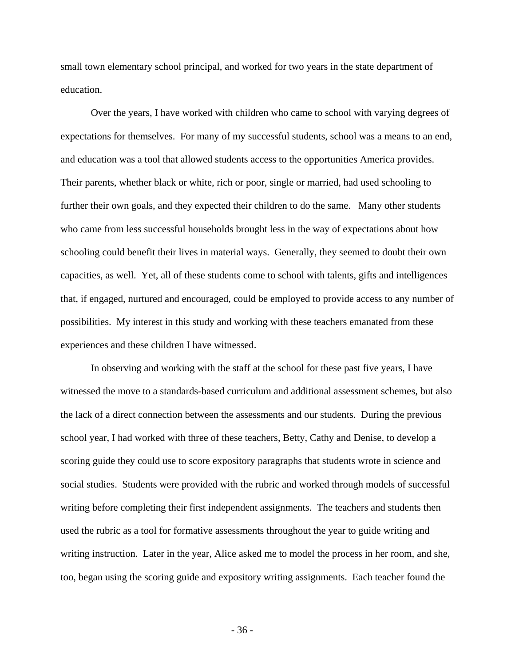small town elementary school principal, and worked for two years in the state department of education.

 Over the years, I have worked with children who came to school with varying degrees of expectations for themselves. For many of my successful students, school was a means to an end, and education was a tool that allowed students access to the opportunities America provides. Their parents, whether black or white, rich or poor, single or married, had used schooling to further their own goals, and they expected their children to do the same. Many other students who came from less successful households brought less in the way of expectations about how schooling could benefit their lives in material ways. Generally, they seemed to doubt their own capacities, as well. Yet, all of these students come to school with talents, gifts and intelligences that, if engaged, nurtured and encouraged, could be employed to provide access to any number of possibilities. My interest in this study and working with these teachers emanated from these experiences and these children I have witnessed.

 In observing and working with the staff at the school for these past five years, I have witnessed the move to a standards-based curriculum and additional assessment schemes, but also the lack of a direct connection between the assessments and our students. During the previous school year, I had worked with three of these teachers, Betty, Cathy and Denise, to develop a scoring guide they could use to score expository paragraphs that students wrote in science and social studies. Students were provided with the rubric and worked through models of successful writing before completing their first independent assignments. The teachers and students then used the rubric as a tool for formative assessments throughout the year to guide writing and writing instruction. Later in the year, Alice asked me to model the process in her room, and she, too, began using the scoring guide and expository writing assignments. Each teacher found the

- 36 -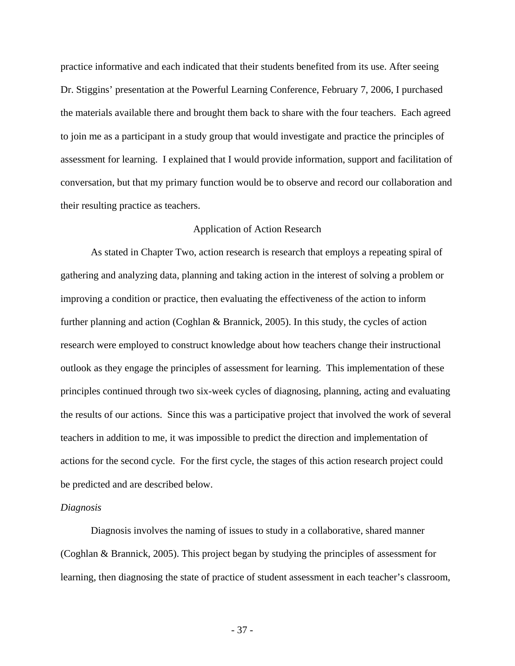practice informative and each indicated that their students benefited from its use. After seeing Dr. Stiggins' presentation at the Powerful Learning Conference, February 7, 2006, I purchased the materials available there and brought them back to share with the four teachers. Each agreed to join me as a participant in a study group that would investigate and practice the principles of assessment for learning. I explained that I would provide information, support and facilitation of conversation, but that my primary function would be to observe and record our collaboration and their resulting practice as teachers.

## Application of Action Research

 As stated in Chapter Two, action research is research that employs a repeating spiral of gathering and analyzing data, planning and taking action in the interest of solving a problem or improving a condition or practice, then evaluating the effectiveness of the action to inform further planning and action (Coghlan & Brannick, 2005). In this study, the cycles of action research were employed to construct knowledge about how teachers change their instructional outlook as they engage the principles of assessment for learning. This implementation of these principles continued through two six-week cycles of diagnosing, planning, acting and evaluating the results of our actions. Since this was a participative project that involved the work of several teachers in addition to me, it was impossible to predict the direction and implementation of actions for the second cycle. For the first cycle, the stages of this action research project could be predicted and are described below.

### *Diagnosis*

 Diagnosis involves the naming of issues to study in a collaborative, shared manner (Coghlan & Brannick, 2005). This project began by studying the principles of assessment for learning, then diagnosing the state of practice of student assessment in each teacher's classroom,

- 37 -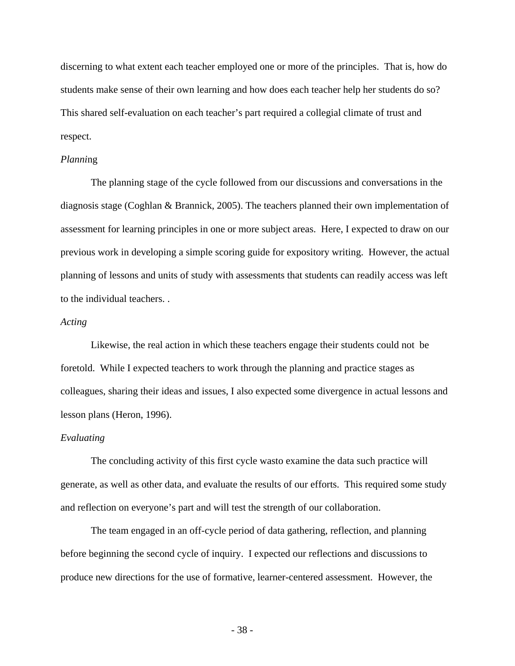discerning to what extent each teacher employed one or more of the principles. That is, how do students make sense of their own learning and how does each teacher help her students do so? This shared self-evaluation on each teacher's part required a collegial climate of trust and respect.

### *Planni*ng

 The planning stage of the cycle followed from our discussions and conversations in the diagnosis stage (Coghlan & Brannick, 2005). The teachers planned their own implementation of assessment for learning principles in one or more subject areas. Here, I expected to draw on our previous work in developing a simple scoring guide for expository writing. However, the actual planning of lessons and units of study with assessments that students can readily access was left to the individual teachers. .

### *Acting*

 Likewise, the real action in which these teachers engage their students could not be foretold. While I expected teachers to work through the planning and practice stages as colleagues, sharing their ideas and issues, I also expected some divergence in actual lessons and lesson plans (Heron, 1996).

### *Evaluating*

 The concluding activity of this first cycle wasto examine the data such practice will generate, as well as other data, and evaluate the results of our efforts. This required some study and reflection on everyone's part and will test the strength of our collaboration.

 The team engaged in an off-cycle period of data gathering, reflection, and planning before beginning the second cycle of inquiry. I expected our reflections and discussions to produce new directions for the use of formative, learner-centered assessment. However, the

- 38 -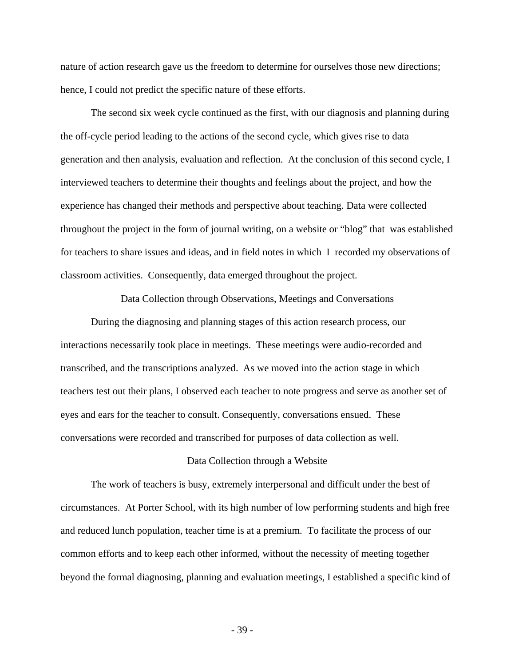nature of action research gave us the freedom to determine for ourselves those new directions; hence, I could not predict the specific nature of these efforts.

 The second six week cycle continued as the first, with our diagnosis and planning during the off-cycle period leading to the actions of the second cycle, which gives rise to data generation and then analysis, evaluation and reflection. At the conclusion of this second cycle, I interviewed teachers to determine their thoughts and feelings about the project, and how the experience has changed their methods and perspective about teaching. Data were collected throughout the project in the form of journal writing, on a website or "blog" that was established for teachers to share issues and ideas, and in field notes in which I recorded my observations of classroom activities. Consequently, data emerged throughout the project.

Data Collection through Observations, Meetings and Conversations

 During the diagnosing and planning stages of this action research process, our interactions necessarily took place in meetings. These meetings were audio-recorded and transcribed, and the transcriptions analyzed. As we moved into the action stage in which teachers test out their plans, I observed each teacher to note progress and serve as another set of eyes and ears for the teacher to consult. Consequently, conversations ensued. These conversations were recorded and transcribed for purposes of data collection as well.

### Data Collection through a Website

 The work of teachers is busy, extremely interpersonal and difficult under the best of circumstances. At Porter School, with its high number of low performing students and high free and reduced lunch population, teacher time is at a premium. To facilitate the process of our common efforts and to keep each other informed, without the necessity of meeting together beyond the formal diagnosing, planning and evaluation meetings, I established a specific kind of

- 39 -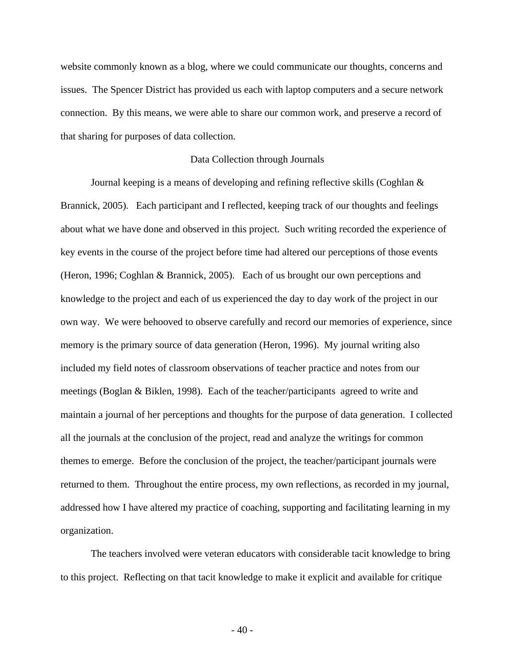website commonly known as a blog, where we could communicate our thoughts, concerns and issues. The Spencer District has provided us each with laptop computers and a secure network connection. By this means, we were able to share our common work, and preserve a record of that sharing for purposes of data collection.

### Data Collection through Journals

 Journal keeping is a means of developing and refining reflective skills (Coghlan & Brannick, 2005). Each participant and I reflected, keeping track of our thoughts and feelings about what we have done and observed in this project. Such writing recorded the experience of key events in the course of the project before time had altered our perceptions of those events (Heron, 1996; Coghlan & Brannick, 2005). Each of us brought our own perceptions and knowledge to the project and each of us experienced the day to day work of the project in our own way. We were behooved to observe carefully and record our memories of experience, since memory is the primary source of data generation (Heron, 1996). My journal writing also included my field notes of classroom observations of teacher practice and notes from our meetings (Boglan & Biklen, 1998). Each of the teacher/participants agreed to write and maintain a journal of her perceptions and thoughts for the purpose of data generation. I collected all the journals at the conclusion of the project, read and analyze the writings for common themes to emerge. Before the conclusion of the project, the teacher/participant journals were returned to them. Throughout the entire process, my own reflections, as recorded in my journal, addressed how I have altered my practice of coaching, supporting and facilitating learning in my organization.

 The teachers involved were veteran educators with considerable tacit knowledge to bring to this project. Reflecting on that tacit knowledge to make it explicit and available for critique

 $-40-$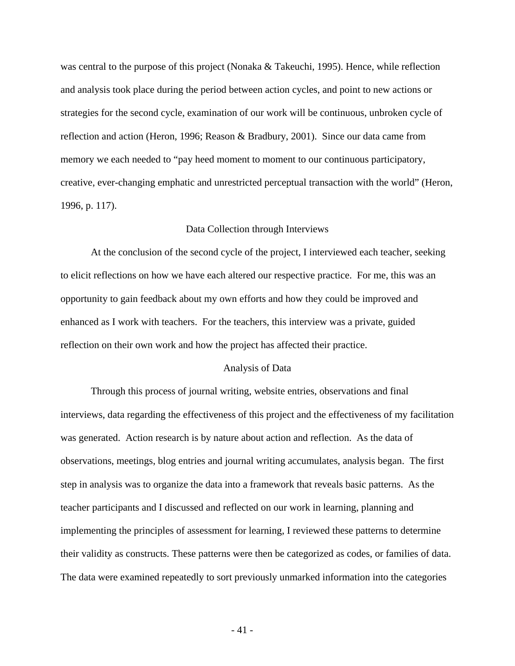was central to the purpose of this project (Nonaka & Takeuchi, 1995). Hence, while reflection and analysis took place during the period between action cycles, and point to new actions or strategies for the second cycle, examination of our work will be continuous, unbroken cycle of reflection and action (Heron, 1996; Reason & Bradbury, 2001). Since our data came from memory we each needed to "pay heed moment to moment to our continuous participatory, creative, ever-changing emphatic and unrestricted perceptual transaction with the world" (Heron, 1996, p. 117).

#### Data Collection through Interviews

 At the conclusion of the second cycle of the project, I interviewed each teacher, seeking to elicit reflections on how we have each altered our respective practice. For me, this was an opportunity to gain feedback about my own efforts and how they could be improved and enhanced as I work with teachers. For the teachers, this interview was a private, guided reflection on their own work and how the project has affected their practice.

### Analysis of Data

 Through this process of journal writing, website entries, observations and final interviews, data regarding the effectiveness of this project and the effectiveness of my facilitation was generated. Action research is by nature about action and reflection. As the data of observations, meetings, blog entries and journal writing accumulates, analysis began. The first step in analysis was to organize the data into a framework that reveals basic patterns. As the teacher participants and I discussed and reflected on our work in learning, planning and implementing the principles of assessment for learning, I reviewed these patterns to determine their validity as constructs. These patterns were then be categorized as codes, or families of data. The data were examined repeatedly to sort previously unmarked information into the categories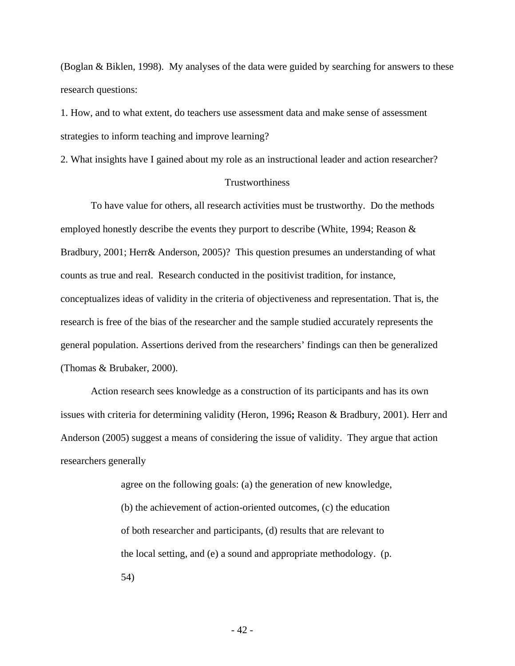(Boglan & Biklen, 1998). My analyses of the data were guided by searching for answers to these research questions:

1. How, and to what extent, do teachers use assessment data and make sense of assessment strategies to inform teaching and improve learning?

2. What insights have I gained about my role as an instructional leader and action researcher?

## **Trustworthiness**

 To have value for others, all research activities must be trustworthy. Do the methods employed honestly describe the events they purport to describe (White, 1994; Reason & Bradbury, 2001; Herr& Anderson, 2005)? This question presumes an understanding of what counts as true and real. Research conducted in the positivist tradition, for instance, conceptualizes ideas of validity in the criteria of objectiveness and representation. That is, the research is free of the bias of the researcher and the sample studied accurately represents the general population. Assertions derived from the researchers' findings can then be generalized (Thomas & Brubaker, 2000).

 Action research sees knowledge as a construction of its participants and has its own issues with criteria for determining validity (Heron, 1996**;** Reason & Bradbury, 2001). Herr and Anderson (2005) suggest a means of considering the issue of validity. They argue that action researchers generally

> agree on the following goals: (a) the generation of new knowledge, (b) the achievement of action-oriented outcomes, (c) the education of both researcher and participants, (d) results that are relevant to the local setting, and (e) a sound and appropriate methodology. (p. 54)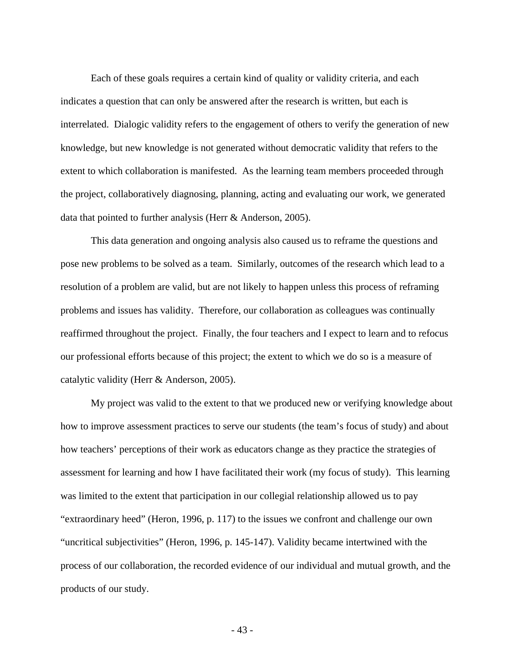Each of these goals requires a certain kind of quality or validity criteria, and each indicates a question that can only be answered after the research is written, but each is interrelated. Dialogic validity refers to the engagement of others to verify the generation of new knowledge, but new knowledge is not generated without democratic validity that refers to the extent to which collaboration is manifested. As the learning team members proceeded through the project, collaboratively diagnosing, planning, acting and evaluating our work, we generated data that pointed to further analysis (Herr & Anderson, 2005).

 This data generation and ongoing analysis also caused us to reframe the questions and pose new problems to be solved as a team. Similarly, outcomes of the research which lead to a resolution of a problem are valid, but are not likely to happen unless this process of reframing problems and issues has validity. Therefore, our collaboration as colleagues was continually reaffirmed throughout the project. Finally, the four teachers and I expect to learn and to refocus our professional efforts because of this project; the extent to which we do so is a measure of catalytic validity (Herr & Anderson, 2005).

 My project was valid to the extent to that we produced new or verifying knowledge about how to improve assessment practices to serve our students (the team's focus of study) and about how teachers' perceptions of their work as educators change as they practice the strategies of assessment for learning and how I have facilitated their work (my focus of study). This learning was limited to the extent that participation in our collegial relationship allowed us to pay "extraordinary heed" (Heron, 1996, p. 117) to the issues we confront and challenge our own "uncritical subjectivities" (Heron, 1996, p. 145-147). Validity became intertwined with the process of our collaboration, the recorded evidence of our individual and mutual growth, and the products of our study.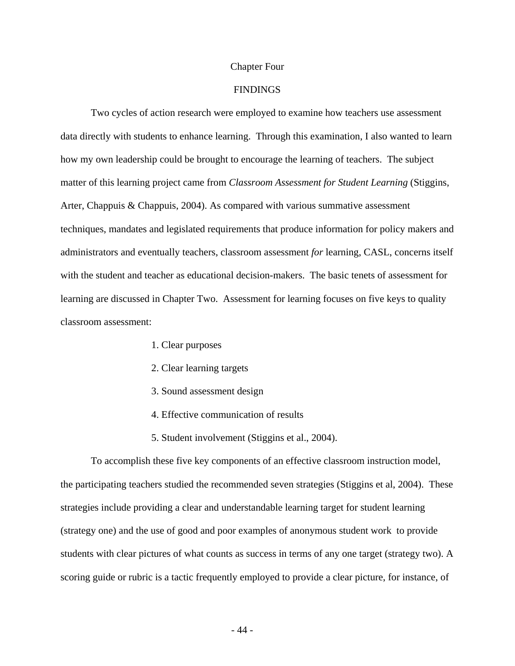#### Chapter Four

# FINDINGS

 Two cycles of action research were employed to examine how teachers use assessment data directly with students to enhance learning. Through this examination, I also wanted to learn how my own leadership could be brought to encourage the learning of teachers. The subject matter of this learning project came from *Classroom Assessment for Student Learning* (Stiggins, Arter, Chappuis & Chappuis, 2004). As compared with various summative assessment techniques, mandates and legislated requirements that produce information for policy makers and administrators and eventually teachers, classroom assessment *for* learning, CASL, concerns itself with the student and teacher as educational decision-makers. The basic tenets of assessment for learning are discussed in Chapter Two. Assessment for learning focuses on five keys to quality classroom assessment:

- 1. Clear purposes
- 2. Clear learning targets
- 3. Sound assessment design
- 4. Effective communication of results
- 5. Student involvement (Stiggins et al., 2004).

 To accomplish these five key components of an effective classroom instruction model, the participating teachers studied the recommended seven strategies (Stiggins et al, 2004). These strategies include providing a clear and understandable learning target for student learning (strategy one) and the use of good and poor examples of anonymous student work to provide students with clear pictures of what counts as success in terms of any one target (strategy two). A scoring guide or rubric is a tactic frequently employed to provide a clear picture, for instance, of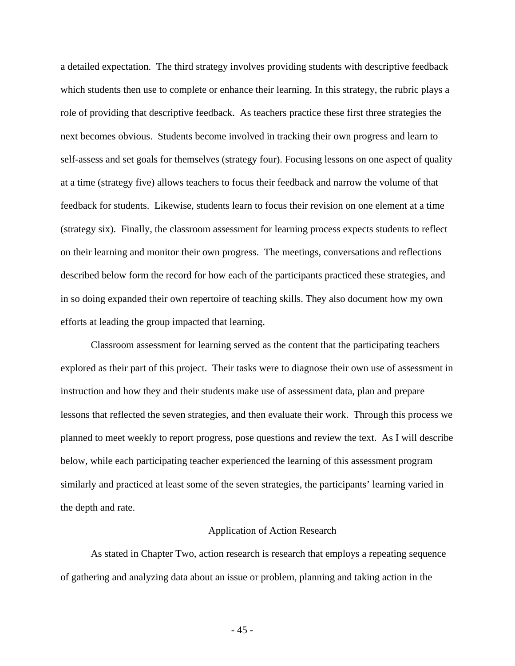a detailed expectation. The third strategy involves providing students with descriptive feedback which students then use to complete or enhance their learning. In this strategy, the rubric plays a role of providing that descriptive feedback. As teachers practice these first three strategies the next becomes obvious. Students become involved in tracking their own progress and learn to self-assess and set goals for themselves (strategy four). Focusing lessons on one aspect of quality at a time (strategy five) allows teachers to focus their feedback and narrow the volume of that feedback for students. Likewise, students learn to focus their revision on one element at a time (strategy six). Finally, the classroom assessment for learning process expects students to reflect on their learning and monitor their own progress. The meetings, conversations and reflections described below form the record for how each of the participants practiced these strategies, and in so doing expanded their own repertoire of teaching skills. They also document how my own efforts at leading the group impacted that learning.

 Classroom assessment for learning served as the content that the participating teachers explored as their part of this project. Their tasks were to diagnose their own use of assessment in instruction and how they and their students make use of assessment data, plan and prepare lessons that reflected the seven strategies, and then evaluate their work. Through this process we planned to meet weekly to report progress, pose questions and review the text. As I will describe below, while each participating teacher experienced the learning of this assessment program similarly and practiced at least some of the seven strategies, the participants' learning varied in the depth and rate.

#### Application of Action Research

 As stated in Chapter Two, action research is research that employs a repeating sequence of gathering and analyzing data about an issue or problem, planning and taking action in the

- 45 -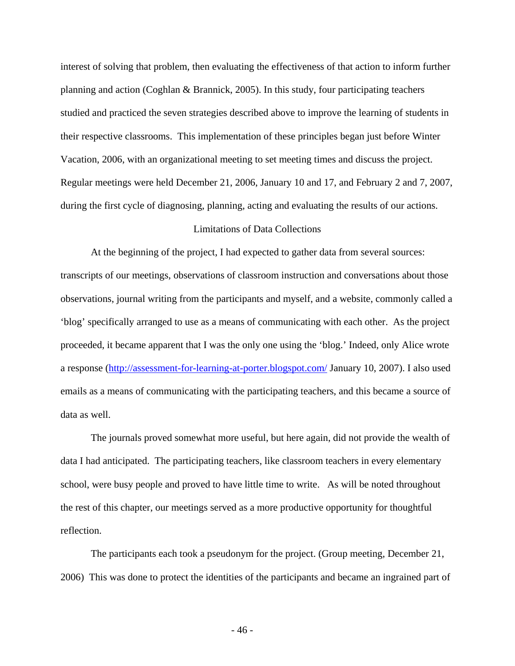interest of solving that problem, then evaluating the effectiveness of that action to inform further planning and action (Coghlan & Brannick, 2005). In this study, four participating teachers studied and practiced the seven strategies described above to improve the learning of students in their respective classrooms. This implementation of these principles began just before Winter Vacation, 2006, with an organizational meeting to set meeting times and discuss the project. Regular meetings were held December 21, 2006, January 10 and 17, and February 2 and 7, 2007, during the first cycle of diagnosing, planning, acting and evaluating the results of our actions.

# Limitations of Data Collections

At the beginning of the project, I had expected to gather data from several sources: transcripts of our meetings, observations of classroom instruction and conversations about those observations, journal writing from the participants and myself, and a website, commonly called a 'blog' specifically arranged to use as a means of communicating with each other. As the project proceeded, it became apparent that I was the only one using the 'blog.' Indeed, only Alice wrote a response [\(http://assessment-for-learning-at-porter.blogspot.com/](http://assessment-for-learning-at-porter.blogspot.com/) January 10, 2007). I also used emails as a means of communicating with the participating teachers, and this became a source of data as well.

The journals proved somewhat more useful, but here again, did not provide the wealth of data I had anticipated. The participating teachers, like classroom teachers in every elementary school, were busy people and proved to have little time to write. As will be noted throughout the rest of this chapter, our meetings served as a more productive opportunity for thoughtful reflection.

The participants each took a pseudonym for the project. (Group meeting, December 21, 2006) This was done to protect the identities of the participants and became an ingrained part of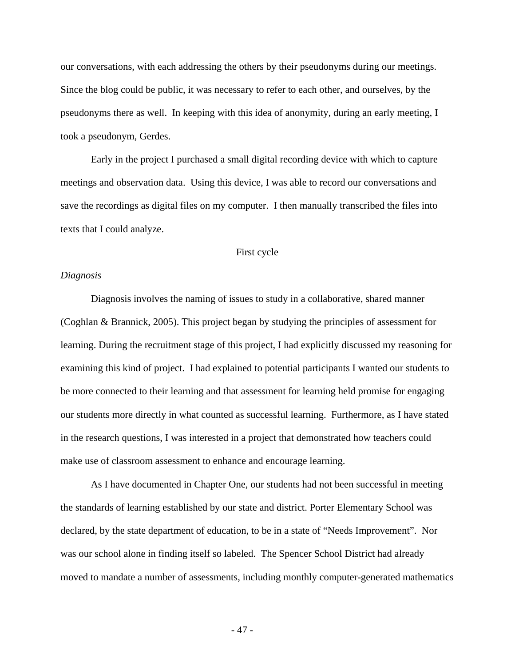our conversations, with each addressing the others by their pseudonyms during our meetings. Since the blog could be public, it was necessary to refer to each other, and ourselves, by the pseudonyms there as well. In keeping with this idea of anonymity, during an early meeting, I took a pseudonym, Gerdes.

Early in the project I purchased a small digital recording device with which to capture meetings and observation data. Using this device, I was able to record our conversations and save the recordings as digital files on my computer. I then manually transcribed the files into texts that I could analyze.

# First cycle

### *Diagnosis*

 Diagnosis involves the naming of issues to study in a collaborative, shared manner (Coghlan & Brannick, 2005). This project began by studying the principles of assessment for learning. During the recruitment stage of this project, I had explicitly discussed my reasoning for examining this kind of project. I had explained to potential participants I wanted our students to be more connected to their learning and that assessment for learning held promise for engaging our students more directly in what counted as successful learning. Furthermore, as I have stated in the research questions, I was interested in a project that demonstrated how teachers could make use of classroom assessment to enhance and encourage learning.

As I have documented in Chapter One, our students had not been successful in meeting the standards of learning established by our state and district. Porter Elementary School was declared, by the state department of education, to be in a state of "Needs Improvement". Nor was our school alone in finding itself so labeled. The Spencer School District had already moved to mandate a number of assessments, including monthly computer-generated mathematics

- 47 -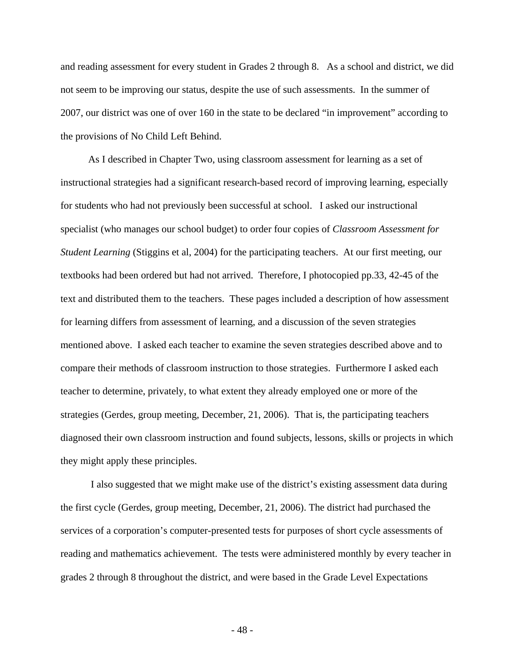and reading assessment for every student in Grades 2 through 8. As a school and district, we did not seem to be improving our status, despite the use of such assessments. In the summer of 2007, our district was one of over 160 in the state to be declared "in improvement" according to the provisions of No Child Left Behind.

 As I described in Chapter Two, using classroom assessment for learning as a set of instructional strategies had a significant research-based record of improving learning, especially for students who had not previously been successful at school. I asked our instructional specialist (who manages our school budget) to order four copies of *Classroom Assessment for Student Learning* (Stiggins et al, 2004) for the participating teachers. At our first meeting, our textbooks had been ordered but had not arrived. Therefore, I photocopied pp.33, 42-45 of the text and distributed them to the teachers. These pages included a description of how assessment for learning differs from assessment of learning, and a discussion of the seven strategies mentioned above. I asked each teacher to examine the seven strategies described above and to compare their methods of classroom instruction to those strategies. Furthermore I asked each teacher to determine, privately, to what extent they already employed one or more of the strategies (Gerdes, group meeting, December, 21, 2006). That is, the participating teachers diagnosed their own classroom instruction and found subjects, lessons, skills or projects in which they might apply these principles.

 I also suggested that we might make use of the district's existing assessment data during the first cycle (Gerdes, group meeting, December, 21, 2006). The district had purchased the services of a corporation's computer-presented tests for purposes of short cycle assessments of reading and mathematics achievement. The tests were administered monthly by every teacher in grades 2 through 8 throughout the district, and were based in the Grade Level Expectations

- 48 -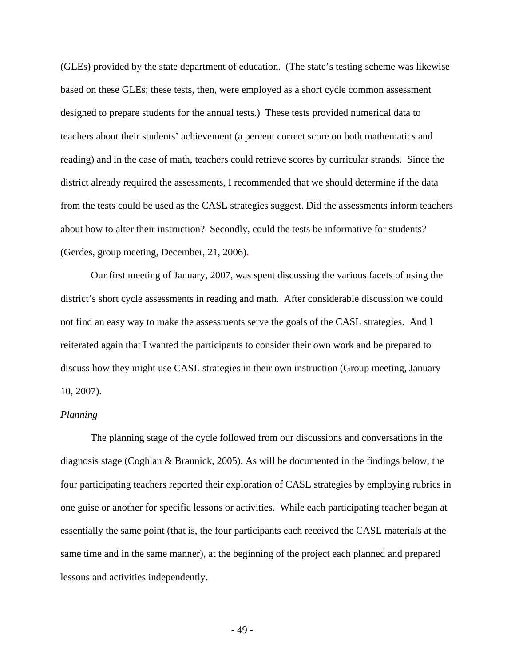(GLEs) provided by the state department of education. (The state's testing scheme was likewise based on these GLEs; these tests, then, were employed as a short cycle common assessment designed to prepare students for the annual tests.) These tests provided numerical data to teachers about their students' achievement (a percent correct score on both mathematics and reading) and in the case of math, teachers could retrieve scores by curricular strands. Since the district already required the assessments, I recommended that we should determine if the data from the tests could be used as the CASL strategies suggest. Did the assessments inform teachers about how to alter their instruction? Secondly, could the tests be informative for students? (Gerdes, group meeting, December, 21, 2006).

Our first meeting of January, 2007, was spent discussing the various facets of using the district's short cycle assessments in reading and math. After considerable discussion we could not find an easy way to make the assessments serve the goals of the CASL strategies. And I reiterated again that I wanted the participants to consider their own work and be prepared to discuss how they might use CASL strategies in their own instruction (Group meeting, January 10, 2007).

#### *Planning*

 The planning stage of the cycle followed from our discussions and conversations in the diagnosis stage (Coghlan & Brannick, 2005). As will be documented in the findings below, the four participating teachers reported their exploration of CASL strategies by employing rubrics in one guise or another for specific lessons or activities. While each participating teacher began at essentially the same point (that is, the four participants each received the CASL materials at the same time and in the same manner), at the beginning of the project each planned and prepared lessons and activities independently.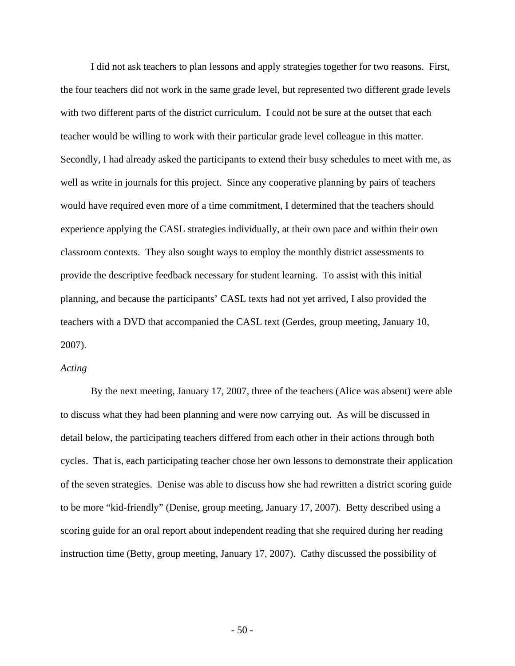I did not ask teachers to plan lessons and apply strategies together for two reasons. First, the four teachers did not work in the same grade level, but represented two different grade levels with two different parts of the district curriculum. I could not be sure at the outset that each teacher would be willing to work with their particular grade level colleague in this matter. Secondly, I had already asked the participants to extend their busy schedules to meet with me, as well as write in journals for this project. Since any cooperative planning by pairs of teachers would have required even more of a time commitment, I determined that the teachers should experience applying the CASL strategies individually, at their own pace and within their own classroom contexts. They also sought ways to employ the monthly district assessments to provide the descriptive feedback necessary for student learning. To assist with this initial planning, and because the participants' CASL texts had not yet arrived, I also provided the teachers with a DVD that accompanied the CASL text (Gerdes, group meeting, January 10, 2007).

### *Acting*

 By the next meeting, January 17, 2007, three of the teachers (Alice was absent) were able to discuss what they had been planning and were now carrying out. As will be discussed in detail below, the participating teachers differed from each other in their actions through both cycles. That is, each participating teacher chose her own lessons to demonstrate their application of the seven strategies. Denise was able to discuss how she had rewritten a district scoring guide to be more "kid-friendly" (Denise, group meeting, January 17, 2007). Betty described using a scoring guide for an oral report about independent reading that she required during her reading instruction time (Betty, group meeting, January 17, 2007). Cathy discussed the possibility of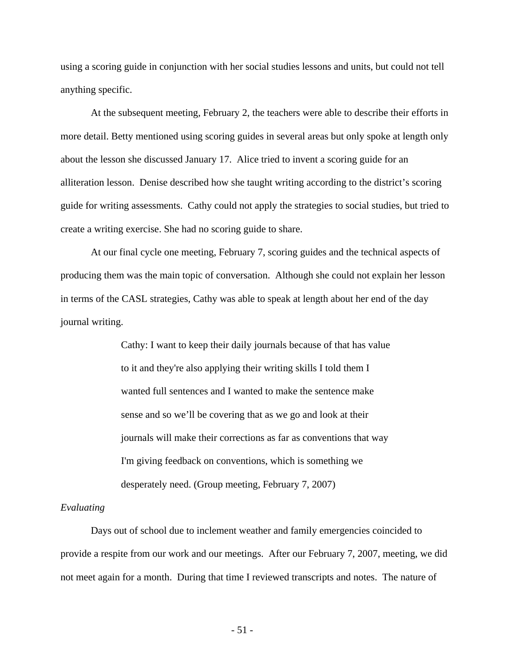using a scoring guide in conjunction with her social studies lessons and units, but could not tell anything specific.

At the subsequent meeting, February 2, the teachers were able to describe their efforts in more detail. Betty mentioned using scoring guides in several areas but only spoke at length only about the lesson she discussed January 17. Alice tried to invent a scoring guide for an alliteration lesson. Denise described how she taught writing according to the district's scoring guide for writing assessments. Cathy could not apply the strategies to social studies, but tried to create a writing exercise. She had no scoring guide to share.

At our final cycle one meeting, February 7, scoring guides and the technical aspects of producing them was the main topic of conversation. Although she could not explain her lesson in terms of the CASL strategies, Cathy was able to speak at length about her end of the day journal writing.

> Cathy: I want to keep their daily journals because of that has value to it and they're also applying their writing skills I told them I wanted full sentences and I wanted to make the sentence make sense and so we'll be covering that as we go and look at their journals will make their corrections as far as conventions that way I'm giving feedback on conventions, which is something we desperately need. (Group meeting, February 7, 2007)

### *Evaluating*

 Days out of school due to inclement weather and family emergencies coincided to provide a respite from our work and our meetings. After our February 7, 2007, meeting, we did not meet again for a month. During that time I reviewed transcripts and notes. The nature of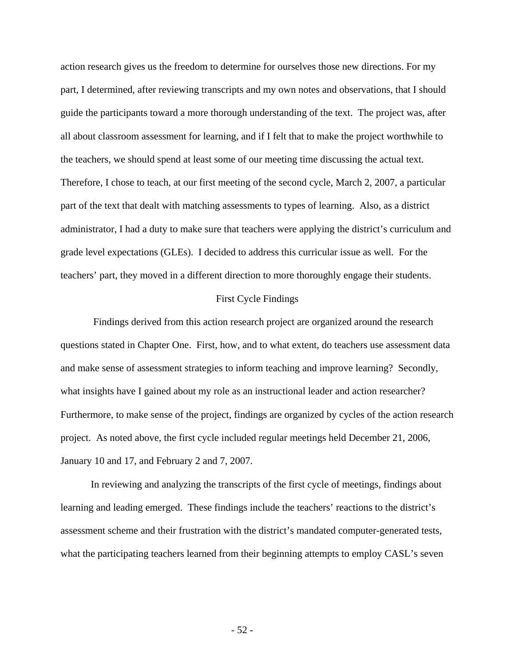action research gives us the freedom to determine for ourselves those new directions. For my part, I determined, after reviewing transcripts and my own notes and observations, that I should guide the participants toward a more thorough understanding of the text. The project was, after all about classroom assessment for learning, and if I felt that to make the project worthwhile to the teachers, we should spend at least some of our meeting time discussing the actual text. Therefore, I chose to teach, at our first meeting of the second cycle, March 2, 2007, a particular part of the text that dealt with matching assessments to types of learning. Also, as a district administrator, I had a duty to make sure that teachers were applying the district's curriculum and grade level expectations (GLEs). I decided to address this curricular issue as well. For the teachers' part, they moved in a different direction to more thoroughly engage their students.

# First Cycle Findings

Findings derived from this action research project are organized around the research questions stated in Chapter One. First, how, and to what extent, do teachers use assessment data and make sense of assessment strategies to inform teaching and improve learning? Secondly, what insights have I gained about my role as an instructional leader and action researcher? Furthermore, to make sense of the project, findings are organized by cycles of the action research project. As noted above, the first cycle included regular meetings held December 21, 2006, January 10 and 17, and February 2 and 7, 2007.

 In reviewing and analyzing the transcripts of the first cycle of meetings, findings about learning and leading emerged. These findings include the teachers' reactions to the district's assessment scheme and their frustration with the district's mandated computer-generated tests, what the participating teachers learned from their beginning attempts to employ CASL's seven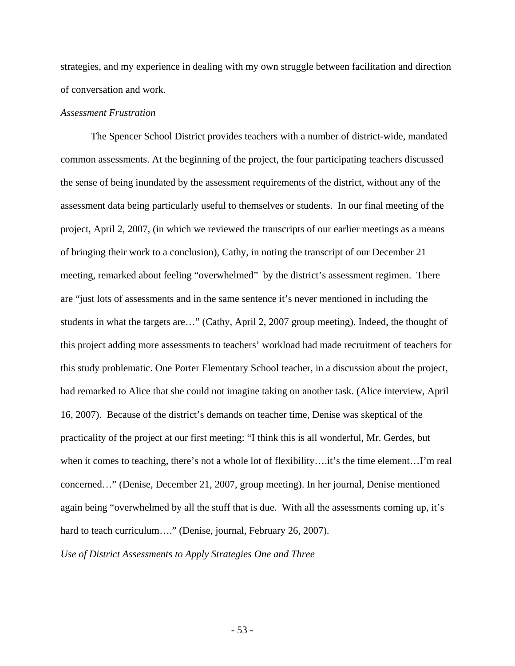strategies, and my experience in dealing with my own struggle between facilitation and direction of conversation and work.

# *Assessment Frustration*

The Spencer School District provides teachers with a number of district-wide, mandated common assessments. At the beginning of the project, the four participating teachers discussed the sense of being inundated by the assessment requirements of the district, without any of the assessment data being particularly useful to themselves or students. In our final meeting of the project, April 2, 2007, (in which we reviewed the transcripts of our earlier meetings as a means of bringing their work to a conclusion), Cathy, in noting the transcript of our December 21 meeting, remarked about feeling "overwhelmed" by the district's assessment regimen. There are "just lots of assessments and in the same sentence it's never mentioned in including the students in what the targets are…" (Cathy, April 2, 2007 group meeting). Indeed, the thought of this project adding more assessments to teachers' workload had made recruitment of teachers for this study problematic. One Porter Elementary School teacher, in a discussion about the project, had remarked to Alice that she could not imagine taking on another task. (Alice interview, April 16, 2007). Because of the district's demands on teacher time, Denise was skeptical of the practicality of the project at our first meeting: "I think this is all wonderful, Mr. Gerdes, but when it comes to teaching, there's not a whole lot of flexibility….it's the time element…I'm real concerned…" (Denise, December 21, 2007, group meeting). In her journal, Denise mentioned again being "overwhelmed by all the stuff that is due. With all the assessments coming up, it's hard to teach curriculum…." (Denise, journal, February 26, 2007).

*Use of District Assessments to Apply Strategies One and Three*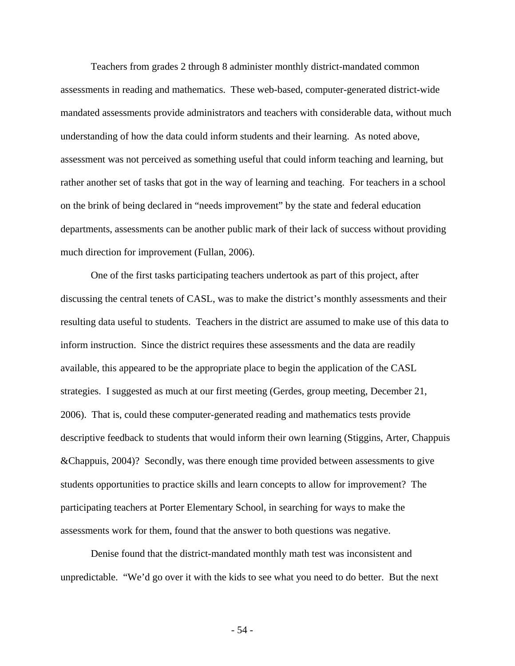Teachers from grades 2 through 8 administer monthly district-mandated common assessments in reading and mathematics. These web-based, computer-generated district-wide mandated assessments provide administrators and teachers with considerable data, without much understanding of how the data could inform students and their learning. As noted above, assessment was not perceived as something useful that could inform teaching and learning, but rather another set of tasks that got in the way of learning and teaching. For teachers in a school on the brink of being declared in "needs improvement" by the state and federal education departments, assessments can be another public mark of their lack of success without providing much direction for improvement (Fullan, 2006).

 One of the first tasks participating teachers undertook as part of this project, after discussing the central tenets of CASL, was to make the district's monthly assessments and their resulting data useful to students. Teachers in the district are assumed to make use of this data to inform instruction. Since the district requires these assessments and the data are readily available, this appeared to be the appropriate place to begin the application of the CASL strategies. I suggested as much at our first meeting (Gerdes, group meeting, December 21, 2006). That is, could these computer-generated reading and mathematics tests provide descriptive feedback to students that would inform their own learning (Stiggins, Arter, Chappuis &Chappuis, 2004)? Secondly, was there enough time provided between assessments to give students opportunities to practice skills and learn concepts to allow for improvement? The participating teachers at Porter Elementary School, in searching for ways to make the assessments work for them, found that the answer to both questions was negative.

 Denise found that the district-mandated monthly math test was inconsistent and unpredictable. "We'd go over it with the kids to see what you need to do better. But the next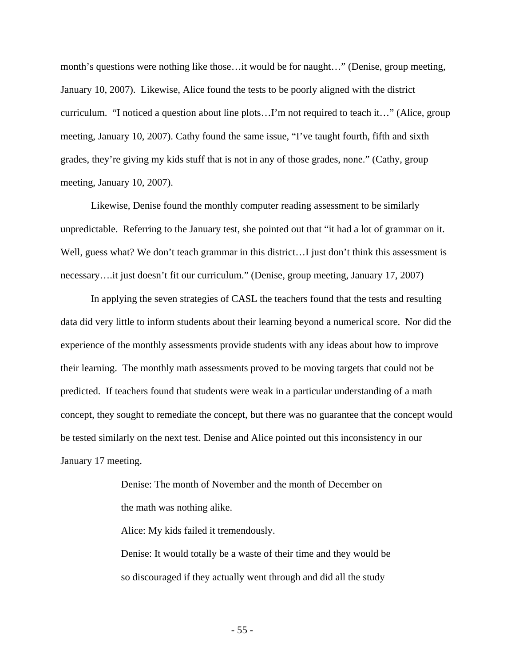month's questions were nothing like those…it would be for naught…" (Denise, group meeting, January 10, 2007). Likewise, Alice found the tests to be poorly aligned with the district curriculum. "I noticed a question about line plots…I'm not required to teach it…" (Alice, group meeting, January 10, 2007). Cathy found the same issue, "I've taught fourth, fifth and sixth grades, they're giving my kids stuff that is not in any of those grades, none." (Cathy, group meeting, January 10, 2007).

 Likewise, Denise found the monthly computer reading assessment to be similarly unpredictable. Referring to the January test, she pointed out that "it had a lot of grammar on it. Well, guess what? We don't teach grammar in this district... I just don't think this assessment is necessary….it just doesn't fit our curriculum." (Denise, group meeting, January 17, 2007)

 In applying the seven strategies of CASL the teachers found that the tests and resulting data did very little to inform students about their learning beyond a numerical score. Nor did the experience of the monthly assessments provide students with any ideas about how to improve their learning. The monthly math assessments proved to be moving targets that could not be predicted. If teachers found that students were weak in a particular understanding of a math concept, they sought to remediate the concept, but there was no guarantee that the concept would be tested similarly on the next test. Denise and Alice pointed out this inconsistency in our January 17 meeting.

> Denise: The month of November and the month of December on the math was nothing alike.

Alice: My kids failed it tremendously.

Denise: It would totally be a waste of their time and they would be so discouraged if they actually went through and did all the study

- 55 -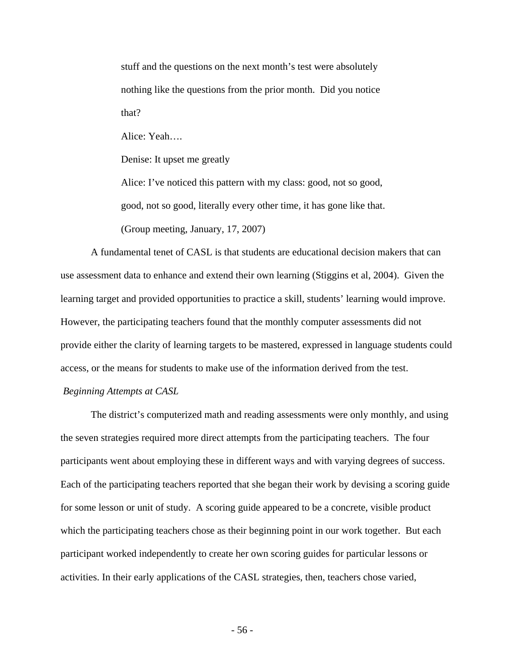stuff and the questions on the next month's test were absolutely nothing like the questions from the prior month. Did you notice that? Alice: Yeah…. Denise: It upset me greatly Alice: I've noticed this pattern with my class: good, not so good, good, not so good, literally every other time, it has gone like that.

(Group meeting, January, 17, 2007)

 A fundamental tenet of CASL is that students are educational decision makers that can use assessment data to enhance and extend their own learning (Stiggins et al, 2004).Given the learning target and provided opportunities to practice a skill, students' learning would improve. However, the participating teachers found that the monthly computer assessments did not provide either the clarity of learning targets to be mastered, expressed in language students could access, or the means for students to make use of the information derived from the test.

# *Beginning Attempts at CASL*

 The district's computerized math and reading assessments were only monthly, and using the seven strategies required more direct attempts from the participating teachers. The four participants went about employing these in different ways and with varying degrees of success. Each of the participating teachers reported that she began their work by devising a scoring guide for some lesson or unit of study. A scoring guide appeared to be a concrete, visible product which the participating teachers chose as their beginning point in our work together. But each participant worked independently to create her own scoring guides for particular lessons or activities. In their early applications of the CASL strategies, then, teachers chose varied,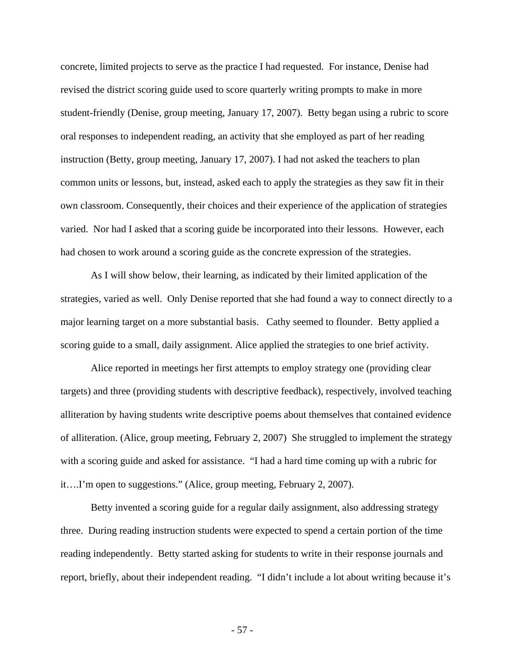concrete, limited projects to serve as the practice I had requested. For instance, Denise had revised the district scoring guide used to score quarterly writing prompts to make in more student-friendly (Denise, group meeting, January 17, 2007). Betty began using a rubric to score oral responses to independent reading, an activity that she employed as part of her reading instruction (Betty, group meeting, January 17, 2007). I had not asked the teachers to plan common units or lessons, but, instead, asked each to apply the strategies as they saw fit in their own classroom. Consequently, their choices and their experience of the application of strategies varied. Nor had I asked that a scoring guide be incorporated into their lessons. However, each had chosen to work around a scoring guide as the concrete expression of the strategies.

As I will show below, their learning, as indicated by their limited application of the strategies, varied as well. Only Denise reported that she had found a way to connect directly to a major learning target on a more substantial basis. Cathy seemed to flounder. Betty applied a scoring guide to a small, daily assignment. Alice applied the strategies to one brief activity.

Alice reported in meetings her first attempts to employ strategy one (providing clear targets) and three (providing students with descriptive feedback), respectively, involved teaching alliteration by having students write descriptive poems about themselves that contained evidence of alliteration. (Alice, group meeting, February 2, 2007) She struggled to implement the strategy with a scoring guide and asked for assistance. "I had a hard time coming up with a rubric for it….I'm open to suggestions." (Alice, group meeting, February 2, 2007).

 Betty invented a scoring guide for a regular daily assignment, also addressing strategy three. During reading instruction students were expected to spend a certain portion of the time reading independently. Betty started asking for students to write in their response journals and report, briefly, about their independent reading. "I didn't include a lot about writing because it's

- 57 -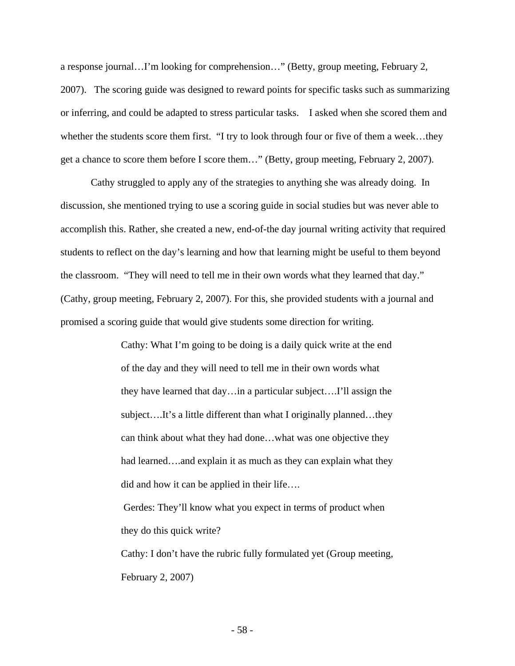a response journal…I'm looking for comprehension…" (Betty, group meeting, February 2, 2007). The scoring guide was designed to reward points for specific tasks such as summarizing or inferring, and could be adapted to stress particular tasks. I asked when she scored them and whether the students score them first. "I try to look through four or five of them a week...they get a chance to score them before I score them…" (Betty, group meeting, February 2, 2007).

 Cathy struggled to apply any of the strategies to anything she was already doing. In discussion, she mentioned trying to use a scoring guide in social studies but was never able to accomplish this. Rather, she created a new, end-of-the day journal writing activity that required students to reflect on the day's learning and how that learning might be useful to them beyond the classroom. "They will need to tell me in their own words what they learned that day." (Cathy, group meeting, February 2, 2007). For this, she provided students with a journal and promised a scoring guide that would give students some direction for writing.

> Cathy: What I'm going to be doing is a daily quick write at the end of the day and they will need to tell me in their own words what they have learned that day…in a particular subject….I'll assign the subject....It's a little different than what I originally planned...they can think about what they had done…what was one objective they had learned....and explain it as much as they can explain what they did and how it can be applied in their life….

 Gerdes: They'll know what you expect in terms of product when they do this quick write?

Cathy: I don't have the rubric fully formulated yet (Group meeting, February 2, 2007)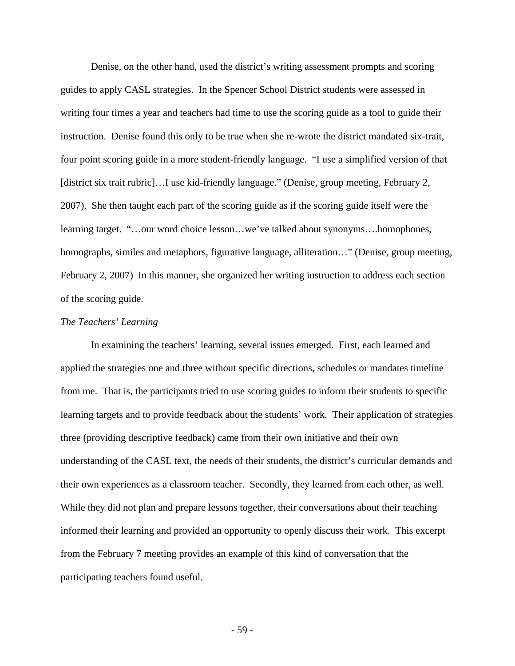Denise, on the other hand, used the district's writing assessment prompts and scoring guides to apply CASL strategies. In the Spencer School District students were assessed in writing four times a year and teachers had time to use the scoring guide as a tool to guide their instruction. Denise found this only to be true when she re-wrote the district mandated six-trait, four point scoring guide in a more student-friendly language. "I use a simplified version of that [district six trait rubric]...I use kid-friendly language." (Denise, group meeting, February 2, 2007). She then taught each part of the scoring guide as if the scoring guide itself were the learning target. "…our word choice lesson…we've talked about synonyms….homophones, homographs, similes and metaphors, figurative language, alliteration…" (Denise, group meeting, February 2, 2007) In this manner, she organized her writing instruction to address each section of the scoring guide.

# *The Teachers' Learning*

In examining the teachers' learning, several issues emerged. First, each learned and applied the strategies one and three without specific directions, schedules or mandates timeline from me. That is, the participants tried to use scoring guides to inform their students to specific learning targets and to provide feedback about the students' work. Their application of strategies three (providing descriptive feedback) came from their own initiative and their own understanding of the CASL text, the needs of their students, the district's curricular demands and their own experiences as a classroom teacher. Secondly, they learned from each other, as well. While they did not plan and prepare lessons together, their conversations about their teaching informed their learning and provided an opportunity to openly discuss their work. This excerpt from the February 7 meeting provides an example of this kind of conversation that the participating teachers found useful.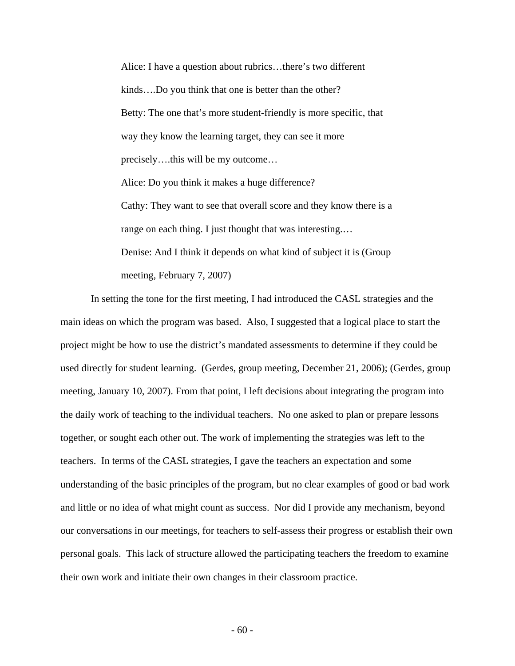Alice: I have a question about rubrics…there's two different kinds….Do you think that one is better than the other? Betty: The one that's more student-friendly is more specific, that way they know the learning target, they can see it more precisely….this will be my outcome… Alice: Do you think it makes a huge difference? Cathy: They want to see that overall score and they know there is a

range on each thing. I just thought that was interesting....

Denise: And I think it depends on what kind of subject it is (Group meeting, February 7, 2007)

 In setting the tone for the first meeting, I had introduced the CASL strategies and the main ideas on which the program was based. Also, I suggested that a logical place to start the project might be how to use the district's mandated assessments to determine if they could be used directly for student learning. (Gerdes, group meeting, December 21, 2006); (Gerdes, group meeting, January 10, 2007). From that point, I left decisions about integrating the program into the daily work of teaching to the individual teachers. No one asked to plan or prepare lessons together, or sought each other out. The work of implementing the strategies was left to the teachers. In terms of the CASL strategies, I gave the teachers an expectation and some understanding of the basic principles of the program, but no clear examples of good or bad work and little or no idea of what might count as success. Nor did I provide any mechanism, beyond our conversations in our meetings, for teachers to self-assess their progress or establish their own personal goals. This lack of structure allowed the participating teachers the freedom to examine their own work and initiate their own changes in their classroom practice.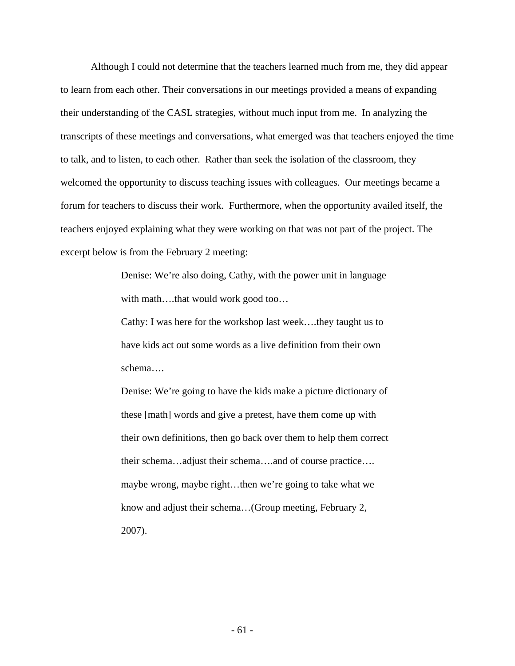Although I could not determine that the teachers learned much from me, they did appear to learn from each other. Their conversations in our meetings provided a means of expanding their understanding of the CASL strategies, without much input from me. In analyzing the transcripts of these meetings and conversations, what emerged was that teachers enjoyed the time to talk, and to listen, to each other. Rather than seek the isolation of the classroom, they welcomed the opportunity to discuss teaching issues with colleagues. Our meetings became a forum for teachers to discuss their work. Furthermore, when the opportunity availed itself, the teachers enjoyed explaining what they were working on that was not part of the project. The excerpt below is from the February 2 meeting:

> Denise: We're also doing, Cathy, with the power unit in language with math....that would work good too...

> Cathy: I was here for the workshop last week….they taught us to have kids act out some words as a live definition from their own schema….

Denise: We're going to have the kids make a picture dictionary of these [math] words and give a pretest, have them come up with their own definitions, then go back over them to help them correct their schema…adjust their schema….and of course practice…. maybe wrong, maybe right…then we're going to take what we know and adjust their schema…(Group meeting, February 2, 2007).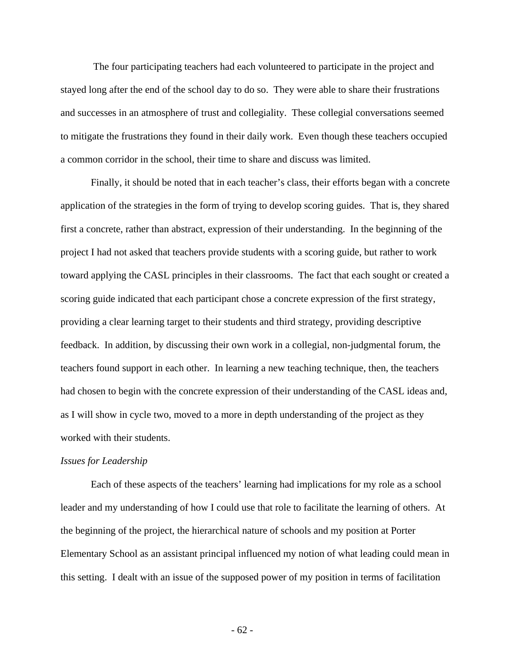The four participating teachers had each volunteered to participate in the project and stayed long after the end of the school day to do so. They were able to share their frustrations and successes in an atmosphere of trust and collegiality. These collegial conversations seemed to mitigate the frustrations they found in their daily work. Even though these teachers occupied a common corridor in the school, their time to share and discuss was limited.

Finally, it should be noted that in each teacher's class, their efforts began with a concrete application of the strategies in the form of trying to develop scoring guides. That is, they shared first a concrete, rather than abstract, expression of their understanding. In the beginning of the project I had not asked that teachers provide students with a scoring guide, but rather to work toward applying the CASL principles in their classrooms. The fact that each sought or created a scoring guide indicated that each participant chose a concrete expression of the first strategy, providing a clear learning target to their students and third strategy, providing descriptive feedback. In addition, by discussing their own work in a collegial, non-judgmental forum, the teachers found support in each other. In learning a new teaching technique, then, the teachers had chosen to begin with the concrete expression of their understanding of the CASL ideas and, as I will show in cycle two, moved to a more in depth understanding of the project as they worked with their students.

### *Issues for Leadership*

Each of these aspects of the teachers' learning had implications for my role as a school leader and my understanding of how I could use that role to facilitate the learning of others. At the beginning of the project, the hierarchical nature of schools and my position at Porter Elementary School as an assistant principal influenced my notion of what leading could mean in this setting. I dealt with an issue of the supposed power of my position in terms of facilitation

- 62 -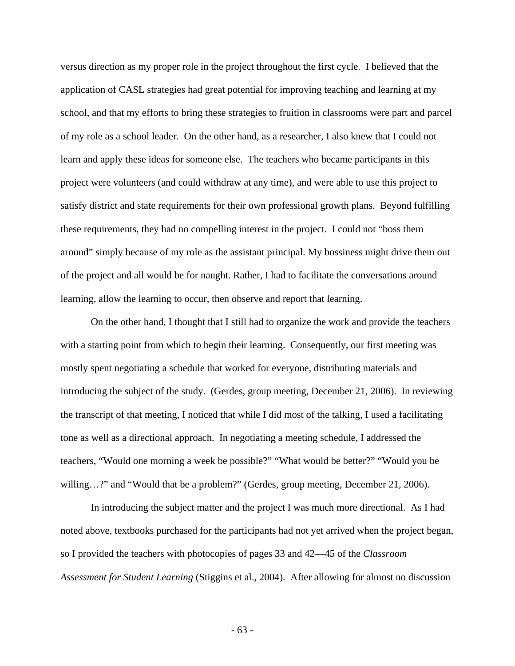versus direction as my proper role in the project throughout the first cycle. I believed that the application of CASL strategies had great potential for improving teaching and learning at my school, and that my efforts to bring these strategies to fruition in classrooms were part and parcel of my role as a school leader. On the other hand, as a researcher, I also knew that I could not learn and apply these ideas for someone else. The teachers who became participants in this project were volunteers (and could withdraw at any time), and were able to use this project to satisfy district and state requirements for their own professional growth plans. Beyond fulfilling these requirements, they had no compelling interest in the project. I could not "boss them around" simply because of my role as the assistant principal. My bossiness might drive them out of the project and all would be for naught. Rather, I had to facilitate the conversations around learning, allow the learning to occur, then observe and report that learning.

 On the other hand, I thought that I still had to organize the work and provide the teachers with a starting point from which to begin their learning. Consequently, our first meeting was mostly spent negotiating a schedule that worked for everyone, distributing materials and introducing the subject of the study. (Gerdes, group meeting, December 21, 2006). In reviewing the transcript of that meeting, I noticed that while I did most of the talking, I used a facilitating tone as well as a directional approach. In negotiating a meeting schedule, I addressed the teachers, "Would one morning a week be possible?" "What would be better?" "Would you be willing...?" and "Would that be a problem?" (Gerdes, group meeting, December 21, 2006).

 In introducing the subject matter and the project I was much more directional. As I had noted above, textbooks purchased for the participants had not yet arrived when the project began, so I provided the teachers with photocopies of pages 33 and 42—45 of the *Classroom Assessment for Student Learning* (Stiggins et al., 2004). After allowing for almost no discussion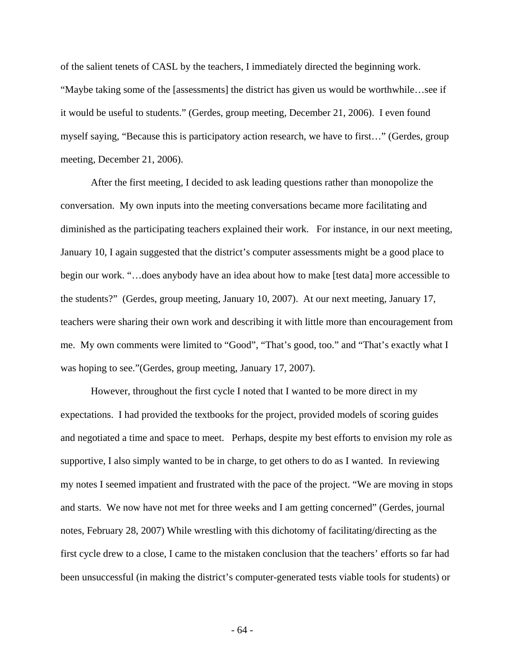of the salient tenets of CASL by the teachers, I immediately directed the beginning work. "Maybe taking some of the [assessments] the district has given us would be worthwhile…see if it would be useful to students." (Gerdes, group meeting, December 21, 2006). I even found myself saying, "Because this is participatory action research, we have to first…" (Gerdes, group meeting, December 21, 2006).

 After the first meeting, I decided to ask leading questions rather than monopolize the conversation. My own inputs into the meeting conversations became more facilitating and diminished as the participating teachers explained their work. For instance, in our next meeting, January 10, I again suggested that the district's computer assessments might be a good place to begin our work. "…does anybody have an idea about how to make [test data] more accessible to the students?" (Gerdes, group meeting, January 10, 2007). At our next meeting, January 17, teachers were sharing their own work and describing it with little more than encouragement from me. My own comments were limited to "Good", "That's good, too." and "That's exactly what I was hoping to see." (Gerdes, group meeting, January 17, 2007).

 However, throughout the first cycle I noted that I wanted to be more direct in my expectations. I had provided the textbooks for the project, provided models of scoring guides and negotiated a time and space to meet. Perhaps, despite my best efforts to envision my role as supportive, I also simply wanted to be in charge, to get others to do as I wanted. In reviewing my notes I seemed impatient and frustrated with the pace of the project. "We are moving in stops and starts. We now have not met for three weeks and I am getting concerned" (Gerdes, journal notes, February 28, 2007) While wrestling with this dichotomy of facilitating/directing as the first cycle drew to a close, I came to the mistaken conclusion that the teachers' efforts so far had been unsuccessful (in making the district's computer-generated tests viable tools for students) or

- 64 -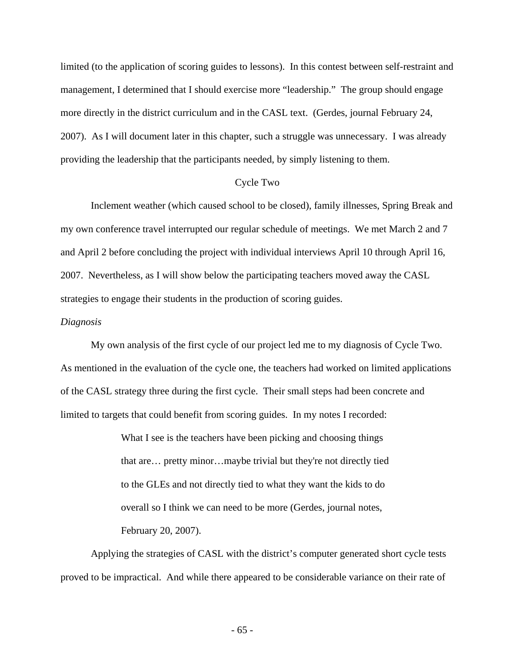limited (to the application of scoring guides to lessons). In this contest between self-restraint and management, I determined that I should exercise more "leadership." The group should engage more directly in the district curriculum and in the CASL text. (Gerdes, journal February 24, 2007). As I will document later in this chapter, such a struggle was unnecessary. I was already providing the leadership that the participants needed, by simply listening to them.

## Cycle Two

 Inclement weather (which caused school to be closed), family illnesses, Spring Break and my own conference travel interrupted our regular schedule of meetings. We met March 2 and 7 and April 2 before concluding the project with individual interviews April 10 through April 16, 2007. Nevertheless, as I will show below the participating teachers moved away the CASL strategies to engage their students in the production of scoring guides.

### *Diagnosis*

 My own analysis of the first cycle of our project led me to my diagnosis of Cycle Two. As mentioned in the evaluation of the cycle one, the teachers had worked on limited applications of the CASL strategy three during the first cycle. Their small steps had been concrete and limited to targets that could benefit from scoring guides. In my notes I recorded:

> What I see is the teachers have been picking and choosing things that are… pretty minor…maybe trivial but they're not directly tied to the GLEs and not directly tied to what they want the kids to do overall so I think we can need to be more (Gerdes, journal notes, February 20, 2007).

Applying the strategies of CASL with the district's computer generated short cycle tests proved to be impractical. And while there appeared to be considerable variance on their rate of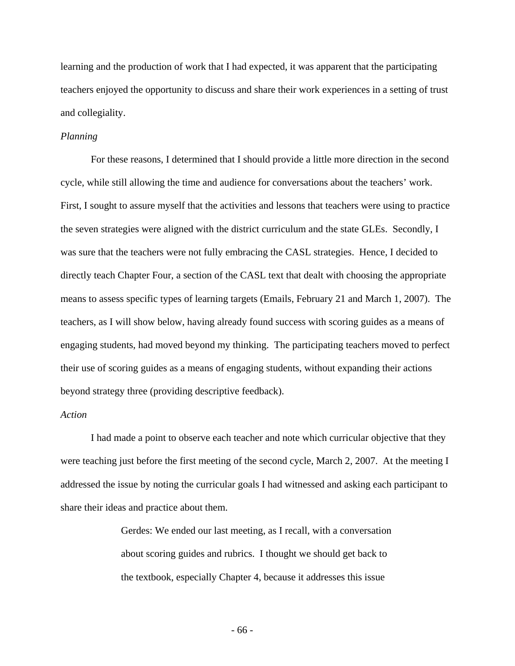learning and the production of work that I had expected, it was apparent that the participating teachers enjoyed the opportunity to discuss and share their work experiences in a setting of trust and collegiality.

# *Planning*

 For these reasons, I determined that I should provide a little more direction in the second cycle, while still allowing the time and audience for conversations about the teachers' work. First, I sought to assure myself that the activities and lessons that teachers were using to practice the seven strategies were aligned with the district curriculum and the state GLEs. Secondly, I was sure that the teachers were not fully embracing the CASL strategies. Hence, I decided to directly teach Chapter Four, a section of the CASL text that dealt with choosing the appropriate means to assess specific types of learning targets (Emails, February 21 and March 1, 2007). The teachers, as I will show below, having already found success with scoring guides as a means of engaging students, had moved beyond my thinking. The participating teachers moved to perfect their use of scoring guides as a means of engaging students, without expanding their actions beyond strategy three (providing descriptive feedback).

## *Action*

I had made a point to observe each teacher and note which curricular objective that they were teaching just before the first meeting of the second cycle, March 2, 2007. At the meeting I addressed the issue by noting the curricular goals I had witnessed and asking each participant to share their ideas and practice about them.

> Gerdes: We ended our last meeting, as I recall, with a conversation about scoring guides and rubrics. I thought we should get back to the textbook, especially Chapter 4, because it addresses this issue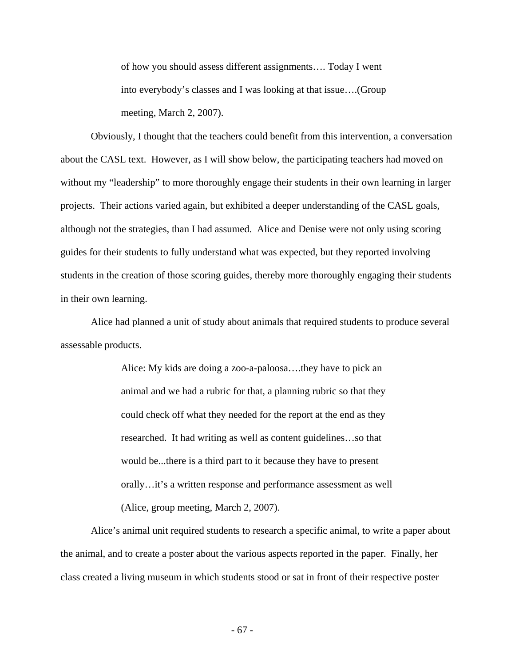of how you should assess different assignments…. Today I went into everybody's classes and I was looking at that issue….(Group meeting, March 2, 2007).

Obviously, I thought that the teachers could benefit from this intervention, a conversation about the CASL text. However, as I will show below, the participating teachers had moved on without my "leadership" to more thoroughly engage their students in their own learning in larger projects. Their actions varied again, but exhibited a deeper understanding of the CASL goals, although not the strategies, than I had assumed. Alice and Denise were not only using scoring guides for their students to fully understand what was expected, but they reported involving students in the creation of those scoring guides, thereby more thoroughly engaging their students in their own learning.

Alice had planned a unit of study about animals that required students to produce several assessable products.

> Alice: My kids are doing a zoo-a-paloosa….they have to pick an animal and we had a rubric for that, a planning rubric so that they could check off what they needed for the report at the end as they researched. It had writing as well as content guidelines…so that would be...there is a third part to it because they have to present orally…it's a written response and performance assessment as well (Alice, group meeting, March 2, 2007).

Alice's animal unit required students to research a specific animal, to write a paper about the animal, and to create a poster about the various aspects reported in the paper. Finally, her class created a living museum in which students stood or sat in front of their respective poster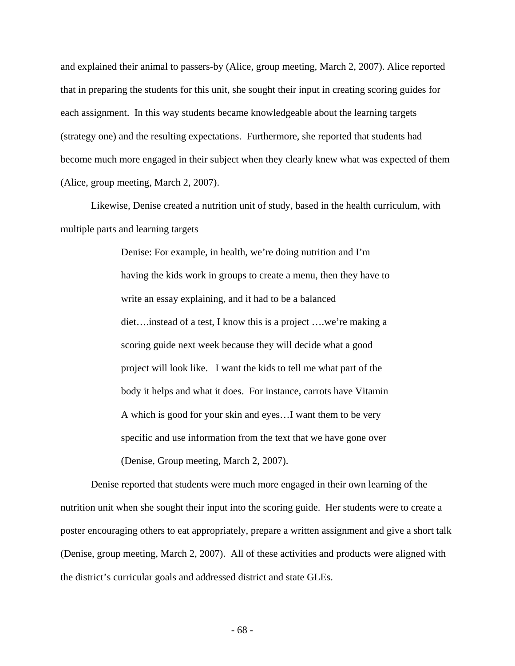and explained their animal to passers-by (Alice, group meeting, March 2, 2007). Alice reported that in preparing the students for this unit, she sought their input in creating scoring guides for each assignment. In this way students became knowledgeable about the learning targets (strategy one) and the resulting expectations. Furthermore, she reported that students had become much more engaged in their subject when they clearly knew what was expected of them (Alice, group meeting, March 2, 2007).

Likewise, Denise created a nutrition unit of study, based in the health curriculum, with multiple parts and learning targets

> Denise: For example, in health, we're doing nutrition and I'm having the kids work in groups to create a menu, then they have to write an essay explaining, and it had to be a balanced diet….instead of a test, I know this is a project ….we're making a scoring guide next week because they will decide what a good project will look like. I want the kids to tell me what part of the body it helps and what it does. For instance, carrots have Vitamin A which is good for your skin and eyes…I want them to be very specific and use information from the text that we have gone over (Denise, Group meeting, March 2, 2007).

Denise reported that students were much more engaged in their own learning of the nutrition unit when she sought their input into the scoring guide. Her students were to create a poster encouraging others to eat appropriately, prepare a written assignment and give a short talk (Denise, group meeting, March 2, 2007). All of these activities and products were aligned with the district's curricular goals and addressed district and state GLEs.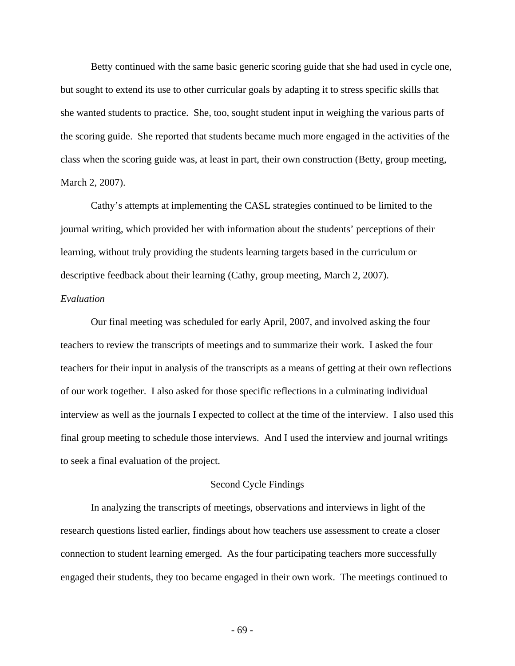Betty continued with the same basic generic scoring guide that she had used in cycle one, but sought to extend its use to other curricular goals by adapting it to stress specific skills that she wanted students to practice. She, too, sought student input in weighing the various parts of the scoring guide. She reported that students became much more engaged in the activities of the class when the scoring guide was, at least in part, their own construction (Betty, group meeting, March 2, 2007).

 Cathy's attempts at implementing the CASL strategies continued to be limited to the journal writing, which provided her with information about the students' perceptions of their learning, without truly providing the students learning targets based in the curriculum or descriptive feedback about their learning (Cathy, group meeting, March 2, 2007).

# *Evaluation*

 Our final meeting was scheduled for early April, 2007, and involved asking the four teachers to review the transcripts of meetings and to summarize their work. I asked the four teachers for their input in analysis of the transcripts as a means of getting at their own reflections of our work together. I also asked for those specific reflections in a culminating individual interview as well as the journals I expected to collect at the time of the interview. I also used this final group meeting to schedule those interviews. And I used the interview and journal writings to seek a final evaluation of the project.

### Second Cycle Findings

 In analyzing the transcripts of meetings, observations and interviews in light of the research questions listed earlier, findings about how teachers use assessment to create a closer connection to student learning emerged. As the four participating teachers more successfully engaged their students, they too became engaged in their own work. The meetings continued to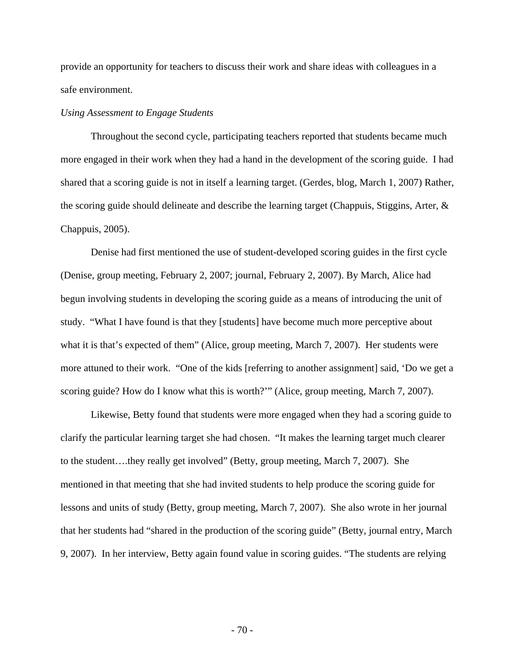provide an opportunity for teachers to discuss their work and share ideas with colleagues in a safe environment.

#### *Using Assessment to Engage Students*

 Throughout the second cycle, participating teachers reported that students became much more engaged in their work when they had a hand in the development of the scoring guide. I had shared that a scoring guide is not in itself a learning target. (Gerdes, blog, March 1, 2007) Rather, the scoring guide should delineate and describe the learning target (Chappuis, Stiggins, Arter,  $\&$ Chappuis, 2005).

 Denise had first mentioned the use of student-developed scoring guides in the first cycle (Denise, group meeting, February 2, 2007; journal, February 2, 2007). By March, Alice had begun involving students in developing the scoring guide as a means of introducing the unit of study. "What I have found is that they [students] have become much more perceptive about what it is that's expected of them" (Alice, group meeting, March 7, 2007). Her students were more attuned to their work. "One of the kids [referring to another assignment] said, 'Do we get a scoring guide? How do I know what this is worth?'" (Alice, group meeting, March 7, 2007).

 Likewise, Betty found that students were more engaged when they had a scoring guide to clarify the particular learning target she had chosen. "It makes the learning target much clearer to the student….they really get involved" (Betty, group meeting, March 7, 2007). She mentioned in that meeting that she had invited students to help produce the scoring guide for lessons and units of study (Betty, group meeting, March 7, 2007). She also wrote in her journal that her students had "shared in the production of the scoring guide" (Betty, journal entry, March 9, 2007). In her interview, Betty again found value in scoring guides. "The students are relying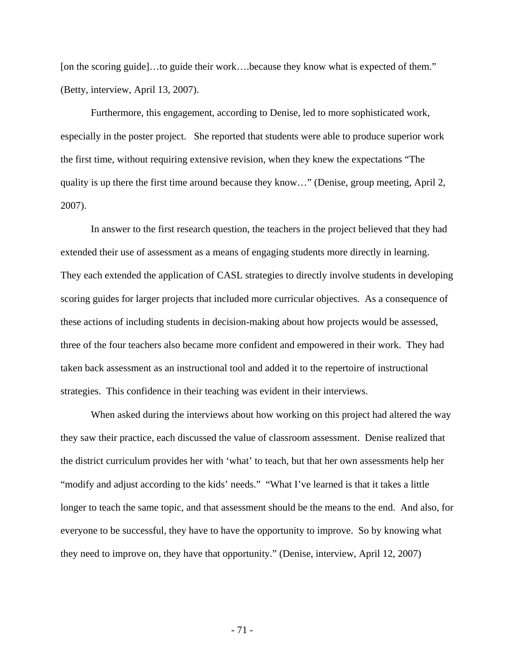[on the scoring guide]...to guide their work....because they know what is expected of them." (Betty, interview, April 13, 2007).

 Furthermore, this engagement, according to Denise, led to more sophisticated work, especially in the poster project. She reported that students were able to produce superior work the first time, without requiring extensive revision, when they knew the expectations "The quality is up there the first time around because they know…" (Denise, group meeting, April 2, 2007).

 In answer to the first research question, the teachers in the project believed that they had extended their use of assessment as a means of engaging students more directly in learning. They each extended the application of CASL strategies to directly involve students in developing scoring guides for larger projects that included more curricular objectives. As a consequence of these actions of including students in decision-making about how projects would be assessed, three of the four teachers also became more confident and empowered in their work. They had taken back assessment as an instructional tool and added it to the repertoire of instructional strategies. This confidence in their teaching was evident in their interviews.

 When asked during the interviews about how working on this project had altered the way they saw their practice, each discussed the value of classroom assessment. Denise realized that the district curriculum provides her with 'what' to teach, but that her own assessments help her "modify and adjust according to the kids' needs." "What I've learned is that it takes a little longer to teach the same topic, and that assessment should be the means to the end. And also, for everyone to be successful, they have to have the opportunity to improve. So by knowing what they need to improve on, they have that opportunity." (Denise, interview, April 12, 2007)

- 71 -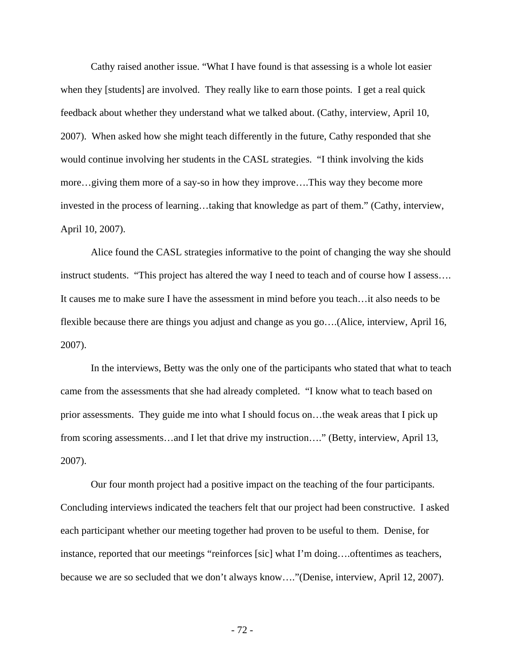Cathy raised another issue. "What I have found is that assessing is a whole lot easier when they [students] are involved. They really like to earn those points. I get a real quick feedback about whether they understand what we talked about. (Cathy, interview, April 10, 2007). When asked how she might teach differently in the future, Cathy responded that she would continue involving her students in the CASL strategies. "I think involving the kids more…giving them more of a say-so in how they improve….This way they become more invested in the process of learning…taking that knowledge as part of them." (Cathy, interview, April 10, 2007).

 Alice found the CASL strategies informative to the point of changing the way she should instruct students. "This project has altered the way I need to teach and of course how I assess…. It causes me to make sure I have the assessment in mind before you teach…it also needs to be flexible because there are things you adjust and change as you go….(Alice, interview, April 16, 2007).

 In the interviews, Betty was the only one of the participants who stated that what to teach came from the assessments that she had already completed. "I know what to teach based on prior assessments. They guide me into what I should focus on…the weak areas that I pick up from scoring assessments…and I let that drive my instruction…." (Betty, interview, April 13, 2007).

Our four month project had a positive impact on the teaching of the four participants. Concluding interviews indicated the teachers felt that our project had been constructive. I asked each participant whether our meeting together had proven to be useful to them. Denise, for instance, reported that our meetings "reinforces [sic] what I'm doing….oftentimes as teachers, because we are so secluded that we don't always know…."(Denise, interview, April 12, 2007).

- 72 -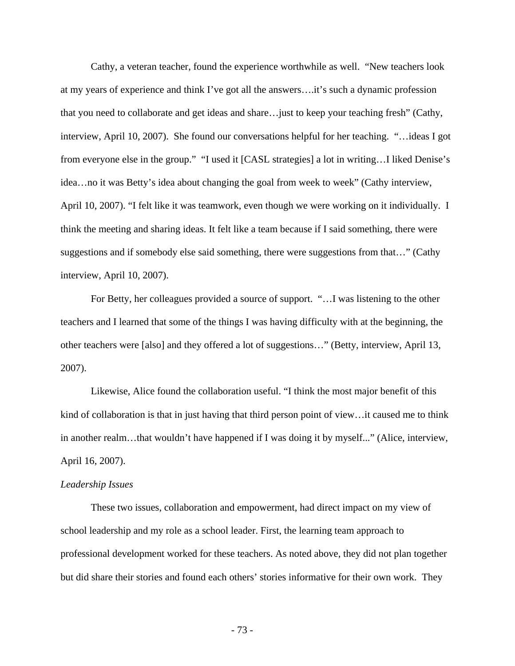Cathy, a veteran teacher, found the experience worthwhile as well. "New teachers look at my years of experience and think I've got all the answers….it's such a dynamic profession that you need to collaborate and get ideas and share…just to keep your teaching fresh" (Cathy, interview, April 10, 2007). She found our conversations helpful for her teaching. "…ideas I got from everyone else in the group." "I used it [CASL strategies] a lot in writing…I liked Denise's idea…no it was Betty's idea about changing the goal from week to week" (Cathy interview, April 10, 2007). "I felt like it was teamwork, even though we were working on it individually. I think the meeting and sharing ideas. It felt like a team because if I said something, there were suggestions and if somebody else said something, there were suggestions from that…" (Cathy interview, April 10, 2007).

 For Betty, her colleagues provided a source of support. "…I was listening to the other teachers and I learned that some of the things I was having difficulty with at the beginning, the other teachers were [also] and they offered a lot of suggestions…" (Betty, interview, April 13, 2007).

 Likewise, Alice found the collaboration useful. "I think the most major benefit of this kind of collaboration is that in just having that third person point of view... it caused me to think in another realm…that wouldn't have happened if I was doing it by myself..." (Alice, interview, April 16, 2007).

#### *Leadership Issues*

 These two issues, collaboration and empowerment, had direct impact on my view of school leadership and my role as a school leader. First, the learning team approach to professional development worked for these teachers. As noted above, they did not plan together but did share their stories and found each others' stories informative for their own work. They

- 73 -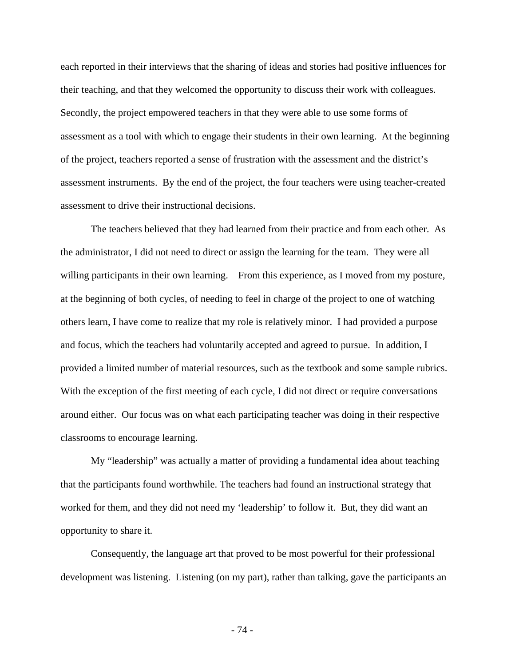each reported in their interviews that the sharing of ideas and stories had positive influences for their teaching, and that they welcomed the opportunity to discuss their work with colleagues. Secondly, the project empowered teachers in that they were able to use some forms of assessment as a tool with which to engage their students in their own learning. At the beginning of the project, teachers reported a sense of frustration with the assessment and the district's assessment instruments. By the end of the project, the four teachers were using teacher-created assessment to drive their instructional decisions.

 The teachers believed that they had learned from their practice and from each other. As the administrator, I did not need to direct or assign the learning for the team. They were all willing participants in their own learning. From this experience, as I moved from my posture, at the beginning of both cycles, of needing to feel in charge of the project to one of watching others learn, I have come to realize that my role is relatively minor. I had provided a purpose and focus, which the teachers had voluntarily accepted and agreed to pursue. In addition, I provided a limited number of material resources, such as the textbook and some sample rubrics. With the exception of the first meeting of each cycle, I did not direct or require conversations around either. Our focus was on what each participating teacher was doing in their respective classrooms to encourage learning.

 My "leadership" was actually a matter of providing a fundamental idea about teaching that the participants found worthwhile. The teachers had found an instructional strategy that worked for them, and they did not need my 'leadership' to follow it. But, they did want an opportunity to share it.

Consequently, the language art that proved to be most powerful for their professional development was listening. Listening (on my part), rather than talking, gave the participants an

- 74 -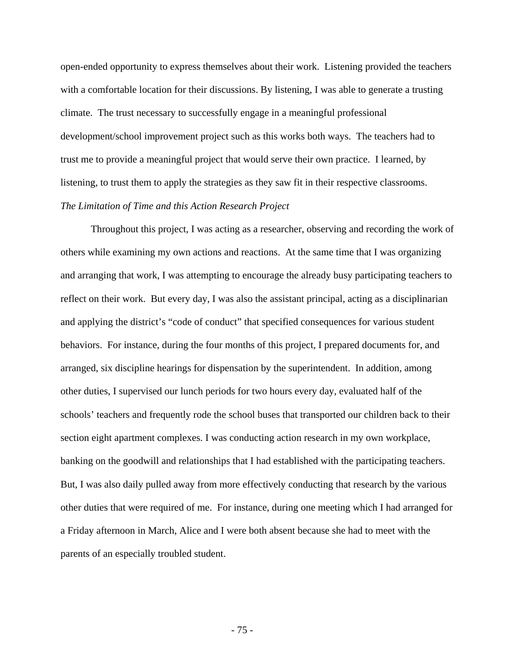open-ended opportunity to express themselves about their work. Listening provided the teachers with a comfortable location for their discussions. By listening, I was able to generate a trusting climate. The trust necessary to successfully engage in a meaningful professional development/school improvement project such as this works both ways. The teachers had to trust me to provide a meaningful project that would serve their own practice. I learned, by listening, to trust them to apply the strategies as they saw fit in their respective classrooms. *The Limitation of Time and this Action Research Project* 

Throughout this project, I was acting as a researcher, observing and recording the work of others while examining my own actions and reactions. At the same time that I was organizing and arranging that work, I was attempting to encourage the already busy participating teachers to reflect on their work. But every day, I was also the assistant principal, acting as a disciplinarian and applying the district's "code of conduct" that specified consequences for various student behaviors. For instance, during the four months of this project, I prepared documents for, and arranged, six discipline hearings for dispensation by the superintendent. In addition, among other duties, I supervised our lunch periods for two hours every day, evaluated half of the schools' teachers and frequently rode the school buses that transported our children back to their section eight apartment complexes. I was conducting action research in my own workplace, banking on the goodwill and relationships that I had established with the participating teachers. But, I was also daily pulled away from more effectively conducting that research by the various other duties that were required of me. For instance, during one meeting which I had arranged for a Friday afternoon in March, Alice and I were both absent because she had to meet with the parents of an especially troubled student.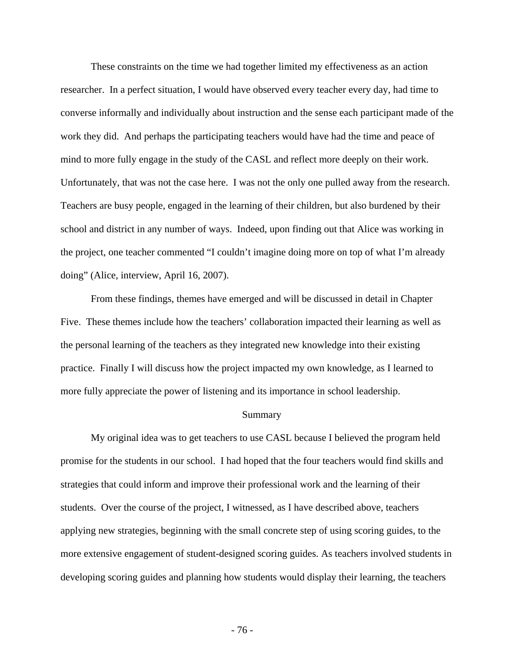These constraints on the time we had together limited my effectiveness as an action researcher. In a perfect situation, I would have observed every teacher every day, had time to converse informally and individually about instruction and the sense each participant made of the work they did. And perhaps the participating teachers would have had the time and peace of mind to more fully engage in the study of the CASL and reflect more deeply on their work. Unfortunately, that was not the case here. I was not the only one pulled away from the research. Teachers are busy people, engaged in the learning of their children, but also burdened by their school and district in any number of ways. Indeed, upon finding out that Alice was working in the project, one teacher commented "I couldn't imagine doing more on top of what I'm already doing" (Alice, interview, April 16, 2007).

From these findings, themes have emerged and will be discussed in detail in Chapter Five. These themes include how the teachers' collaboration impacted their learning as well as the personal learning of the teachers as they integrated new knowledge into their existing practice. Finally I will discuss how the project impacted my own knowledge, as I learned to more fully appreciate the power of listening and its importance in school leadership.

#### Summary

 My original idea was to get teachers to use CASL because I believed the program held promise for the students in our school. I had hoped that the four teachers would find skills and strategies that could inform and improve their professional work and the learning of their students. Over the course of the project, I witnessed, as I have described above, teachers applying new strategies, beginning with the small concrete step of using scoring guides, to the more extensive engagement of student-designed scoring guides. As teachers involved students in developing scoring guides and planning how students would display their learning, the teachers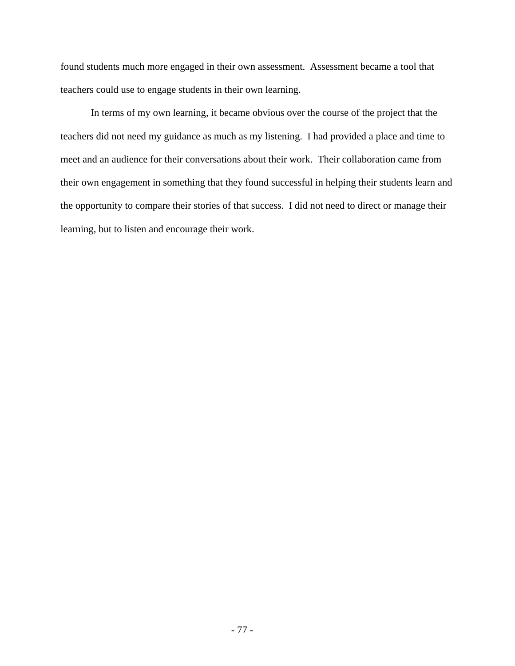found students much more engaged in their own assessment. Assessment became a tool that teachers could use to engage students in their own learning.

 In terms of my own learning, it became obvious over the course of the project that the teachers did not need my guidance as much as my listening. I had provided a place and time to meet and an audience for their conversations about their work. Their collaboration came from their own engagement in something that they found successful in helping their students learn and the opportunity to compare their stories of that success. I did not need to direct or manage their learning, but to listen and encourage their work.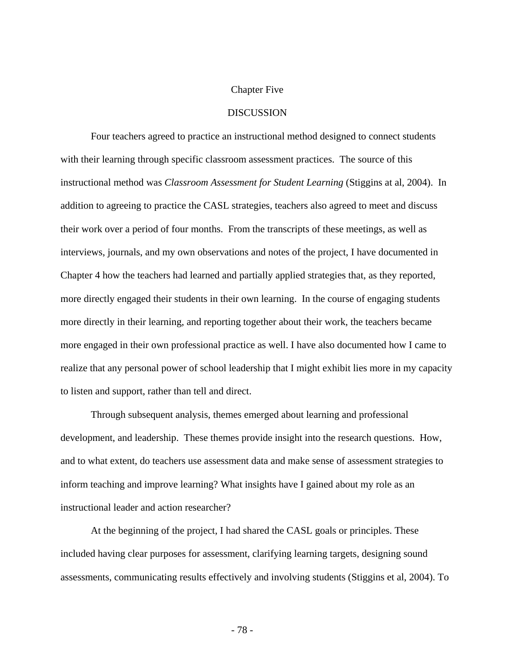## Chapter Five

# **DISCUSSION**

Four teachers agreed to practice an instructional method designed to connect students with their learning through specific classroom assessment practices. The source of this instructional method was *Classroom Assessment for Student Learning* (Stiggins at al, 2004). In addition to agreeing to practice the CASL strategies, teachers also agreed to meet and discuss their work over a period of four months. From the transcripts of these meetings, as well as interviews, journals, and my own observations and notes of the project, I have documented in Chapter 4 how the teachers had learned and partially applied strategies that, as they reported, more directly engaged their students in their own learning. In the course of engaging students more directly in their learning, and reporting together about their work, the teachers became more engaged in their own professional practice as well. I have also documented how I came to realize that any personal power of school leadership that I might exhibit lies more in my capacity to listen and support, rather than tell and direct.

Through subsequent analysis, themes emerged about learning and professional development, and leadership. These themes provide insight into the research questions. How, and to what extent, do teachers use assessment data and make sense of assessment strategies to inform teaching and improve learning? What insights have I gained about my role as an instructional leader and action researcher?

At the beginning of the project, I had shared the CASL goals or principles. These included having clear purposes for assessment, clarifying learning targets, designing sound assessments, communicating results effectively and involving students (Stiggins et al, 2004). To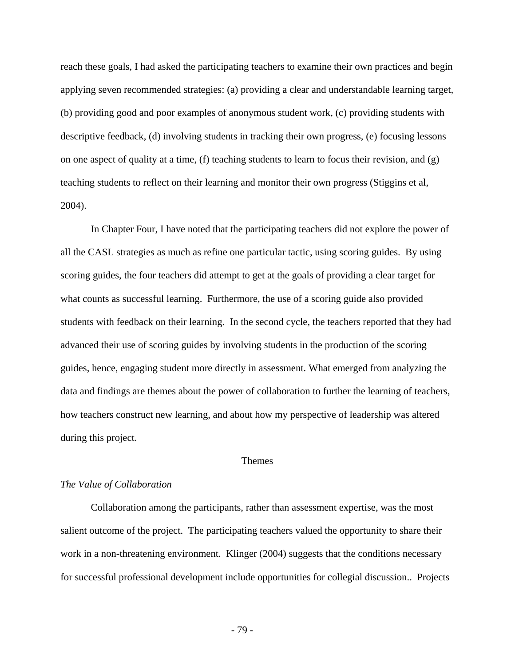reach these goals, I had asked the participating teachers to examine their own practices and begin applying seven recommended strategies: (a) providing a clear and understandable learning target, (b) providing good and poor examples of anonymous student work, (c) providing students with descriptive feedback, (d) involving students in tracking their own progress, (e) focusing lessons on one aspect of quality at a time, (f) teaching students to learn to focus their revision, and  $(g)$ teaching students to reflect on their learning and monitor their own progress (Stiggins et al, 2004).

In Chapter Four, I have noted that the participating teachers did not explore the power of all the CASL strategies as much as refine one particular tactic, using scoring guides. By using scoring guides, the four teachers did attempt to get at the goals of providing a clear target for what counts as successful learning. Furthermore, the use of a scoring guide also provided students with feedback on their learning. In the second cycle, the teachers reported that they had advanced their use of scoring guides by involving students in the production of the scoring guides, hence, engaging student more directly in assessment. What emerged from analyzing the data and findings are themes about the power of collaboration to further the learning of teachers, how teachers construct new learning, and about how my perspective of leadership was altered during this project.

## Themes

#### *The Value of Collaboration*

Collaboration among the participants, rather than assessment expertise, was the most salient outcome of the project. The participating teachers valued the opportunity to share their work in a non-threatening environment. Klinger (2004) suggests that the conditions necessary for successful professional development include opportunities for collegial discussion.. Projects

- 79 -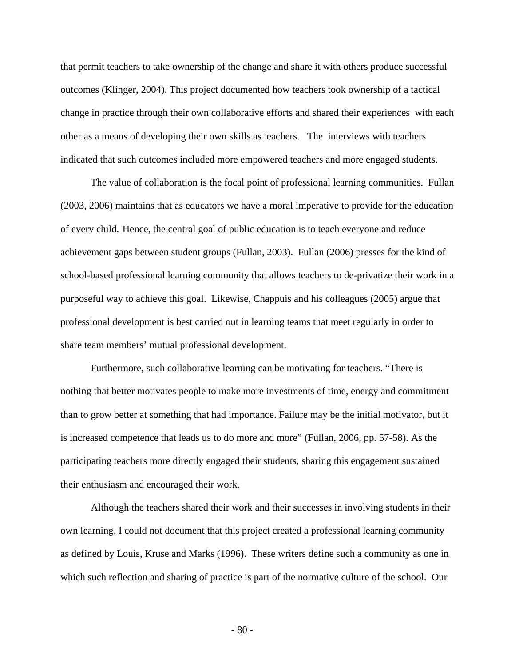that permit teachers to take ownership of the change and share it with others produce successful outcomes (Klinger, 2004). This project documented how teachers took ownership of a tactical change in practice through their own collaborative efforts and shared their experiences with each other as a means of developing their own skills as teachers. The interviews with teachers indicated that such outcomes included more empowered teachers and more engaged students.

The value of collaboration is the focal point of professional learning communities. Fullan (2003, 2006) maintains that as educators we have a moral imperative to provide for the education of every child. Hence, the central goal of public education is to teach everyone and reduce achievement gaps between student groups (Fullan, 2003). Fullan (2006) presses for the kind of school-based professional learning community that allows teachers to de-privatize their work in a purposeful way to achieve this goal. Likewise, Chappuis and his colleagues (2005) argue that professional development is best carried out in learning teams that meet regularly in order to share team members' mutual professional development.

Furthermore, such collaborative learning can be motivating for teachers. "There is nothing that better motivates people to make more investments of time, energy and commitment than to grow better at something that had importance. Failure may be the initial motivator, but it is increased competence that leads us to do more and more" (Fullan, 2006, pp. 57-58). As the participating teachers more directly engaged their students, sharing this engagement sustained their enthusiasm and encouraged their work.

Although the teachers shared their work and their successes in involving students in their own learning, I could not document that this project created a professional learning community as defined by Louis, Kruse and Marks (1996). These writers define such a community as one in which such reflection and sharing of practice is part of the normative culture of the school. Our

- 80 -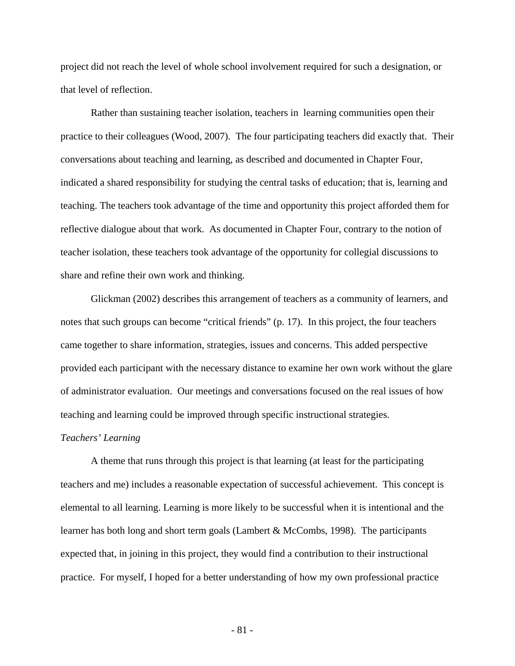project did not reach the level of whole school involvement required for such a designation, or that level of reflection.

Rather than sustaining teacher isolation, teachers in learning communities open their practice to their colleagues (Wood, 2007). The four participating teachers did exactly that. Their conversations about teaching and learning, as described and documented in Chapter Four, indicated a shared responsibility for studying the central tasks of education; that is, learning and teaching. The teachers took advantage of the time and opportunity this project afforded them for reflective dialogue about that work. As documented in Chapter Four, contrary to the notion of teacher isolation, these teachers took advantage of the opportunity for collegial discussions to share and refine their own work and thinking.

Glickman (2002) describes this arrangement of teachers as a community of learners, and notes that such groups can become "critical friends" (p. 17). In this project, the four teachers came together to share information, strategies, issues and concerns. This added perspective provided each participant with the necessary distance to examine her own work without the glare of administrator evaluation. Our meetings and conversations focused on the real issues of how teaching and learning could be improved through specific instructional strategies.

## *Teachers' Learning*

A theme that runs through this project is that learning (at least for the participating teachers and me) includes a reasonable expectation of successful achievement. This concept is elemental to all learning. Learning is more likely to be successful when it is intentional and the learner has both long and short term goals (Lambert & McCombs, 1998). The participants expected that, in joining in this project, they would find a contribution to their instructional practice. For myself, I hoped for a better understanding of how my own professional practice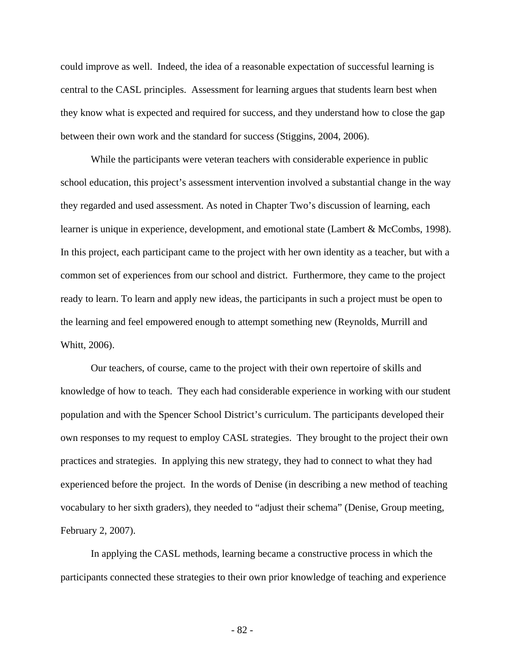could improve as well. Indeed, the idea of a reasonable expectation of successful learning is central to the CASL principles. Assessment for learning argues that students learn best when they know what is expected and required for success, and they understand how to close the gap between their own work and the standard for success (Stiggins, 2004, 2006).

While the participants were veteran teachers with considerable experience in public school education, this project's assessment intervention involved a substantial change in the way they regarded and used assessment. As noted in Chapter Two's discussion of learning, each learner is unique in experience, development, and emotional state (Lambert & McCombs, 1998). In this project, each participant came to the project with her own identity as a teacher, but with a common set of experiences from our school and district. Furthermore, they came to the project ready to learn. To learn and apply new ideas, the participants in such a project must be open to the learning and feel empowered enough to attempt something new (Reynolds, Murrill and Whitt, 2006).

Our teachers, of course, came to the project with their own repertoire of skills and knowledge of how to teach. They each had considerable experience in working with our student population and with the Spencer School District's curriculum. The participants developed their own responses to my request to employ CASL strategies. They brought to the project their own practices and strategies. In applying this new strategy, they had to connect to what they had experienced before the project. In the words of Denise (in describing a new method of teaching vocabulary to her sixth graders), they needed to "adjust their schema" (Denise, Group meeting, February 2, 2007).

In applying the CASL methods, learning became a constructive process in which the participants connected these strategies to their own prior knowledge of teaching and experience

- 82 -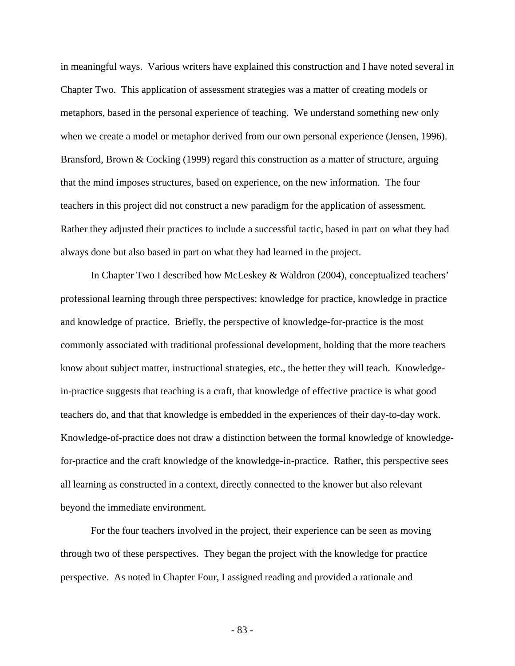in meaningful ways. Various writers have explained this construction and I have noted several in Chapter Two. This application of assessment strategies was a matter of creating models or metaphors, based in the personal experience of teaching. We understand something new only when we create a model or metaphor derived from our own personal experience (Jensen, 1996). Bransford, Brown & Cocking (1999) regard this construction as a matter of structure, arguing that the mind imposes structures, based on experience, on the new information. The four teachers in this project did not construct a new paradigm for the application of assessment. Rather they adjusted their practices to include a successful tactic, based in part on what they had always done but also based in part on what they had learned in the project.

In Chapter Two I described how McLeskey & Waldron (2004), conceptualized teachers' professional learning through three perspectives: knowledge for practice, knowledge in practice and knowledge of practice. Briefly, the perspective of knowledge-for-practice is the most commonly associated with traditional professional development, holding that the more teachers know about subject matter, instructional strategies, etc., the better they will teach. Knowledgein-practice suggests that teaching is a craft, that knowledge of effective practice is what good teachers do, and that that knowledge is embedded in the experiences of their day-to-day work. Knowledge-of-practice does not draw a distinction between the formal knowledge of knowledgefor-practice and the craft knowledge of the knowledge-in-practice. Rather, this perspective sees all learning as constructed in a context, directly connected to the knower but also relevant beyond the immediate environment.

For the four teachers involved in the project, their experience can be seen as moving through two of these perspectives. They began the project with the knowledge for practice perspective. As noted in Chapter Four, I assigned reading and provided a rationale and

- 83 -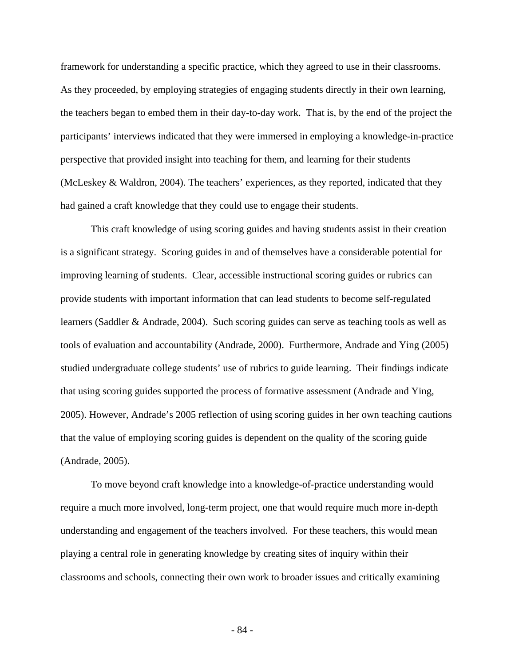framework for understanding a specific practice, which they agreed to use in their classrooms. As they proceeded, by employing strategies of engaging students directly in their own learning, the teachers began to embed them in their day-to-day work. That is, by the end of the project the participants' interviews indicated that they were immersed in employing a knowledge-in-practice perspective that provided insight into teaching for them, and learning for their students (McLeskey & Waldron, 2004). The teachers' experiences, as they reported, indicated that they had gained a craft knowledge that they could use to engage their students.

This craft knowledge of using scoring guides and having students assist in their creation is a significant strategy. Scoring guides in and of themselves have a considerable potential for improving learning of students. Clear, accessible instructional scoring guides or rubrics can provide students with important information that can lead students to become self-regulated learners (Saddler & Andrade, 2004). Such scoring guides can serve as teaching tools as well as tools of evaluation and accountability (Andrade, 2000). Furthermore, Andrade and Ying (2005) studied undergraduate college students' use of rubrics to guide learning. Their findings indicate that using scoring guides supported the process of formative assessment (Andrade and Ying, 2005). However, Andrade's 2005 reflection of using scoring guides in her own teaching cautions that the value of employing scoring guides is dependent on the quality of the scoring guide (Andrade, 2005).

To move beyond craft knowledge into a knowledge-of-practice understanding would require a much more involved, long-term project, one that would require much more in-depth understanding and engagement of the teachers involved. For these teachers, this would mean playing a central role in generating knowledge by creating sites of inquiry within their classrooms and schools, connecting their own work to broader issues and critically examining

- 84 -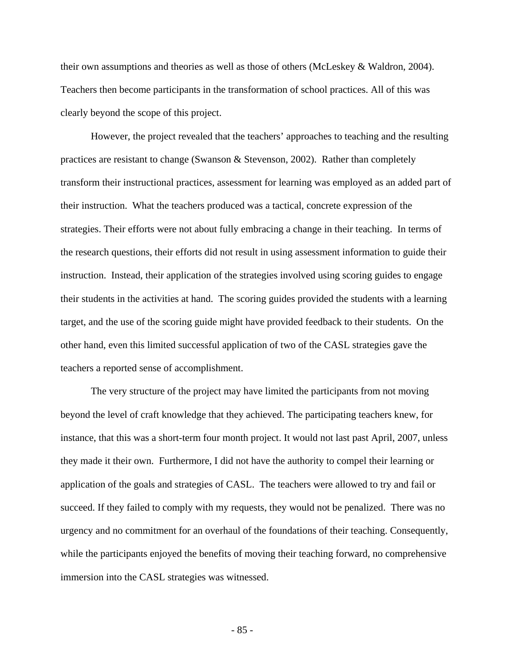their own assumptions and theories as well as those of others (McLeskey & Waldron, 2004). Teachers then become participants in the transformation of school practices. All of this was clearly beyond the scope of this project.

However, the project revealed that the teachers' approaches to teaching and the resulting practices are resistant to change (Swanson & Stevenson, 2002). Rather than completely transform their instructional practices, assessment for learning was employed as an added part of their instruction. What the teachers produced was a tactical, concrete expression of the strategies. Their efforts were not about fully embracing a change in their teaching. In terms of the research questions, their efforts did not result in using assessment information to guide their instruction. Instead, their application of the strategies involved using scoring guides to engage their students in the activities at hand. The scoring guides provided the students with a learning target, and the use of the scoring guide might have provided feedback to their students. On the other hand, even this limited successful application of two of the CASL strategies gave the teachers a reported sense of accomplishment.

The very structure of the project may have limited the participants from not moving beyond the level of craft knowledge that they achieved. The participating teachers knew, for instance, that this was a short-term four month project. It would not last past April, 2007, unless they made it their own. Furthermore, I did not have the authority to compel their learning or application of the goals and strategies of CASL. The teachers were allowed to try and fail or succeed. If they failed to comply with my requests, they would not be penalized. There was no urgency and no commitment for an overhaul of the foundations of their teaching. Consequently, while the participants enjoyed the benefits of moving their teaching forward, no comprehensive immersion into the CASL strategies was witnessed.

- 85 -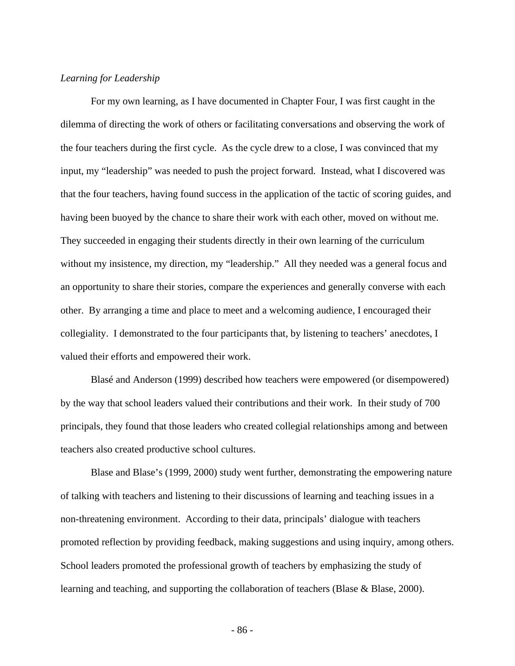# *Learning for Leadership*

For my own learning, as I have documented in Chapter Four, I was first caught in the dilemma of directing the work of others or facilitating conversations and observing the work of the four teachers during the first cycle. As the cycle drew to a close, I was convinced that my input, my "leadership" was needed to push the project forward. Instead, what I discovered was that the four teachers, having found success in the application of the tactic of scoring guides, and having been buoyed by the chance to share their work with each other, moved on without me. They succeeded in engaging their students directly in their own learning of the curriculum without my insistence, my direction, my "leadership." All they needed was a general focus and an opportunity to share their stories, compare the experiences and generally converse with each other. By arranging a time and place to meet and a welcoming audience, I encouraged their collegiality. I demonstrated to the four participants that, by listening to teachers' anecdotes, I valued their efforts and empowered their work.

Blasé and Anderson (1999) described how teachers were empowered (or disempowered) by the way that school leaders valued their contributions and their work. In their study of 700 principals, they found that those leaders who created collegial relationships among and between teachers also created productive school cultures.

Blase and Blase's (1999, 2000) study went further, demonstrating the empowering nature of talking with teachers and listening to their discussions of learning and teaching issues in a non-threatening environment. According to their data, principals' dialogue with teachers promoted reflection by providing feedback, making suggestions and using inquiry, among others. School leaders promoted the professional growth of teachers by emphasizing the study of learning and teaching, and supporting the collaboration of teachers (Blase & Blase, 2000).

- 86 -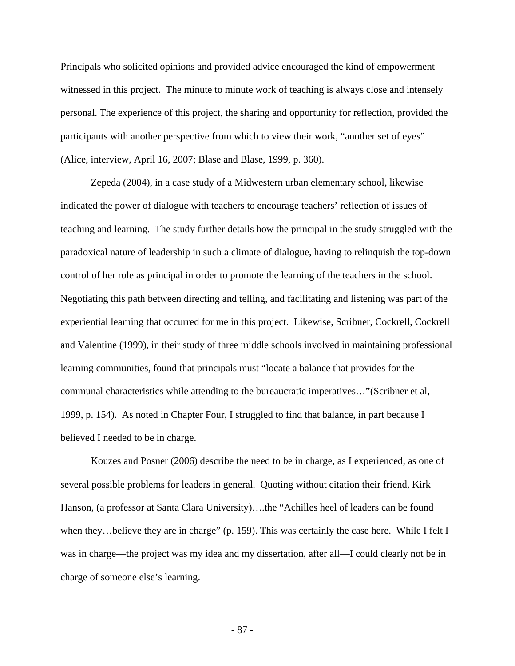Principals who solicited opinions and provided advice encouraged the kind of empowerment witnessed in this project. The minute to minute work of teaching is always close and intensely personal. The experience of this project, the sharing and opportunity for reflection, provided the participants with another perspective from which to view their work, "another set of eyes" (Alice, interview, April 16, 2007; Blase and Blase, 1999, p. 360).

Zepeda (2004), in a case study of a Midwestern urban elementary school, likewise indicated the power of dialogue with teachers to encourage teachers' reflection of issues of teaching and learning. The study further details how the principal in the study struggled with the paradoxical nature of leadership in such a climate of dialogue, having to relinquish the top-down control of her role as principal in order to promote the learning of the teachers in the school. Negotiating this path between directing and telling, and facilitating and listening was part of the experiential learning that occurred for me in this project. Likewise, Scribner, Cockrell, Cockrell and Valentine (1999), in their study of three middle schools involved in maintaining professional learning communities, found that principals must "locate a balance that provides for the communal characteristics while attending to the bureaucratic imperatives…"(Scribner et al, 1999, p. 154). As noted in Chapter Four, I struggled to find that balance, in part because I believed I needed to be in charge.

Kouzes and Posner (2006) describe the need to be in charge, as I experienced, as one of several possible problems for leaders in general. Quoting without citation their friend, Kirk Hanson, (a professor at Santa Clara University)….the "Achilles heel of leaders can be found when they...believe they are in charge" (p. 159). This was certainly the case here. While I felt I was in charge—the project was my idea and my dissertation, after all—I could clearly not be in charge of someone else's learning.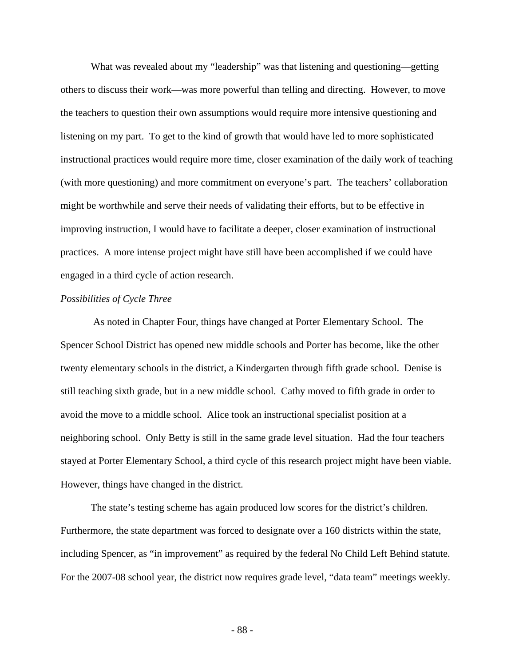What was revealed about my "leadership" was that listening and questioning—getting others to discuss their work—was more powerful than telling and directing. However, to move the teachers to question their own assumptions would require more intensive questioning and listening on my part. To get to the kind of growth that would have led to more sophisticated instructional practices would require more time, closer examination of the daily work of teaching (with more questioning) and more commitment on everyone's part. The teachers' collaboration might be worthwhile and serve their needs of validating their efforts, but to be effective in improving instruction, I would have to facilitate a deeper, closer examination of instructional practices. A more intense project might have still have been accomplished if we could have engaged in a third cycle of action research.

#### *Possibilities of Cycle Three*

 As noted in Chapter Four, things have changed at Porter Elementary School. The Spencer School District has opened new middle schools and Porter has become, like the other twenty elementary schools in the district, a Kindergarten through fifth grade school. Denise is still teaching sixth grade, but in a new middle school. Cathy moved to fifth grade in order to avoid the move to a middle school. Alice took an instructional specialist position at a neighboring school. Only Betty is still in the same grade level situation. Had the four teachers stayed at Porter Elementary School, a third cycle of this research project might have been viable. However, things have changed in the district.

 The state's testing scheme has again produced low scores for the district's children. Furthermore, the state department was forced to designate over a 160 districts within the state, including Spencer, as "in improvement" as required by the federal No Child Left Behind statute. For the 2007-08 school year, the district now requires grade level, "data team" meetings weekly.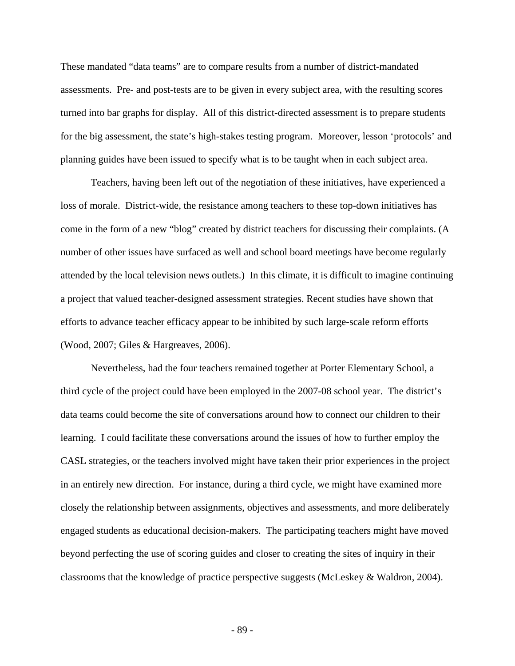These mandated "data teams" are to compare results from a number of district-mandated assessments. Pre- and post-tests are to be given in every subject area, with the resulting scores turned into bar graphs for display. All of this district-directed assessment is to prepare students for the big assessment, the state's high-stakes testing program. Moreover, lesson 'protocols' and planning guides have been issued to specify what is to be taught when in each subject area.

Teachers, having been left out of the negotiation of these initiatives, have experienced a loss of morale. District-wide, the resistance among teachers to these top-down initiatives has come in the form of a new "blog" created by district teachers for discussing their complaints. (A number of other issues have surfaced as well and school board meetings have become regularly attended by the local television news outlets.) In this climate, it is difficult to imagine continuing a project that valued teacher-designed assessment strategies. Recent studies have shown that efforts to advance teacher efficacy appear to be inhibited by such large-scale reform efforts (Wood, 2007; Giles & Hargreaves, 2006).

Nevertheless, had the four teachers remained together at Porter Elementary School, a third cycle of the project could have been employed in the 2007-08 school year. The district's data teams could become the site of conversations around how to connect our children to their learning. I could facilitate these conversations around the issues of how to further employ the CASL strategies, or the teachers involved might have taken their prior experiences in the project in an entirely new direction. For instance, during a third cycle, we might have examined more closely the relationship between assignments, objectives and assessments, and more deliberately engaged students as educational decision-makers. The participating teachers might have moved beyond perfecting the use of scoring guides and closer to creating the sites of inquiry in their classrooms that the knowledge of practice perspective suggests (McLeskey & Waldron, 2004).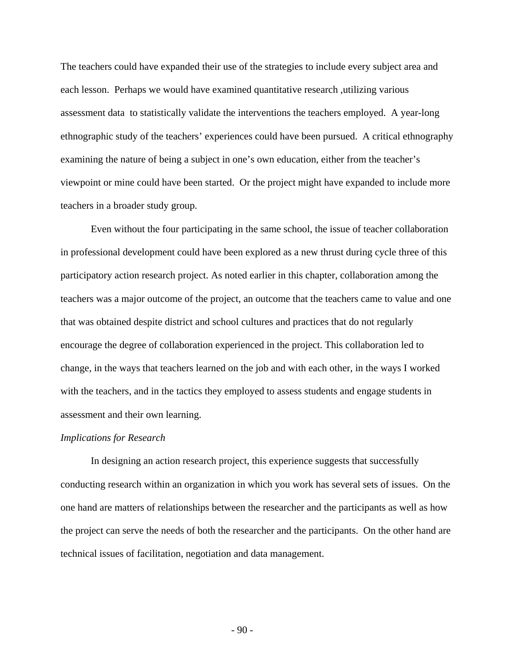The teachers could have expanded their use of the strategies to include every subject area and each lesson. Perhaps we would have examined quantitative research ,utilizing various assessment data to statistically validate the interventions the teachers employed. A year-long ethnographic study of the teachers' experiences could have been pursued. A critical ethnography examining the nature of being a subject in one's own education, either from the teacher's viewpoint or mine could have been started. Or the project might have expanded to include more teachers in a broader study group.

Even without the four participating in the same school, the issue of teacher collaboration in professional development could have been explored as a new thrust during cycle three of this participatory action research project. As noted earlier in this chapter, collaboration among the teachers was a major outcome of the project, an outcome that the teachers came to value and one that was obtained despite district and school cultures and practices that do not regularly encourage the degree of collaboration experienced in the project. This collaboration led to change, in the ways that teachers learned on the job and with each other, in the ways I worked with the teachers, and in the tactics they employed to assess students and engage students in assessment and their own learning.

#### *Implications for Research*

 In designing an action research project, this experience suggests that successfully conducting research within an organization in which you work has several sets of issues. On the one hand are matters of relationships between the researcher and the participants as well as how the project can serve the needs of both the researcher and the participants. On the other hand are technical issues of facilitation, negotiation and data management.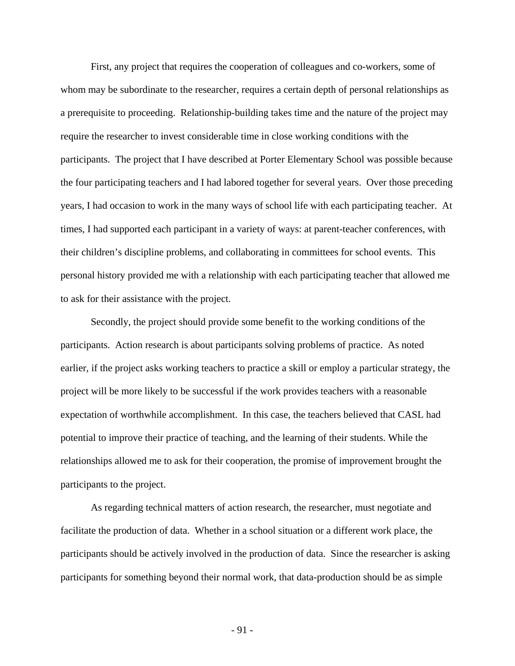First, any project that requires the cooperation of colleagues and co-workers, some of whom may be subordinate to the researcher, requires a certain depth of personal relationships as a prerequisite to proceeding. Relationship-building takes time and the nature of the project may require the researcher to invest considerable time in close working conditions with the participants. The project that I have described at Porter Elementary School was possible because the four participating teachers and I had labored together for several years. Over those preceding years, I had occasion to work in the many ways of school life with each participating teacher. At times, I had supported each participant in a variety of ways: at parent-teacher conferences, with their children's discipline problems, and collaborating in committees for school events. This personal history provided me with a relationship with each participating teacher that allowed me to ask for their assistance with the project.

Secondly, the project should provide some benefit to the working conditions of the participants. Action research is about participants solving problems of practice. As noted earlier, if the project asks working teachers to practice a skill or employ a particular strategy, the project will be more likely to be successful if the work provides teachers with a reasonable expectation of worthwhile accomplishment. In this case, the teachers believed that CASL had potential to improve their practice of teaching, and the learning of their students. While the relationships allowed me to ask for their cooperation, the promise of improvement brought the participants to the project.

As regarding technical matters of action research, the researcher, must negotiate and facilitate the production of data. Whether in a school situation or a different work place, the participants should be actively involved in the production of data. Since the researcher is asking participants for something beyond their normal work, that data-production should be as simple

- 91 -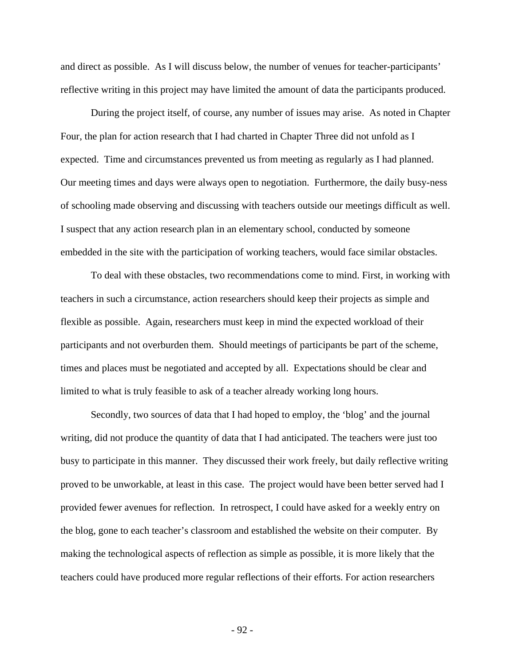and direct as possible. As I will discuss below, the number of venues for teacher-participants' reflective writing in this project may have limited the amount of data the participants produced.

During the project itself, of course, any number of issues may arise. As noted in Chapter Four, the plan for action research that I had charted in Chapter Three did not unfold as I expected. Time and circumstances prevented us from meeting as regularly as I had planned. Our meeting times and days were always open to negotiation. Furthermore, the daily busy-ness of schooling made observing and discussing with teachers outside our meetings difficult as well. I suspect that any action research plan in an elementary school, conducted by someone embedded in the site with the participation of working teachers, would face similar obstacles.

To deal with these obstacles, two recommendations come to mind. First, in working with teachers in such a circumstance, action researchers should keep their projects as simple and flexible as possible. Again, researchers must keep in mind the expected workload of their participants and not overburden them. Should meetings of participants be part of the scheme, times and places must be negotiated and accepted by all. Expectations should be clear and limited to what is truly feasible to ask of a teacher already working long hours.

Secondly, two sources of data that I had hoped to employ, the 'blog' and the journal writing, did not produce the quantity of data that I had anticipated. The teachers were just too busy to participate in this manner. They discussed their work freely, but daily reflective writing proved to be unworkable, at least in this case. The project would have been better served had I provided fewer avenues for reflection. In retrospect, I could have asked for a weekly entry on the blog, gone to each teacher's classroom and established the website on their computer. By making the technological aspects of reflection as simple as possible, it is more likely that the teachers could have produced more regular reflections of their efforts. For action researchers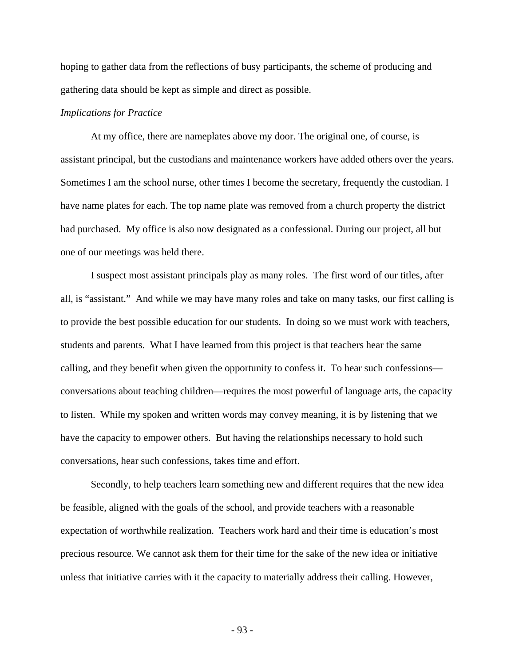hoping to gather data from the reflections of busy participants, the scheme of producing and gathering data should be kept as simple and direct as possible.

## *Implications for Practice*

At my office, there are nameplates above my door. The original one, of course, is assistant principal, but the custodians and maintenance workers have added others over the years. Sometimes I am the school nurse, other times I become the secretary, frequently the custodian. I have name plates for each. The top name plate was removed from a church property the district had purchased. My office is also now designated as a confessional. During our project, all but one of our meetings was held there.

 I suspect most assistant principals play as many roles. The first word of our titles, after all, is "assistant." And while we may have many roles and take on many tasks, our first calling is to provide the best possible education for our students. In doing so we must work with teachers, students and parents. What I have learned from this project is that teachers hear the same calling, and they benefit when given the opportunity to confess it. To hear such confessions conversations about teaching children—requires the most powerful of language arts, the capacity to listen. While my spoken and written words may convey meaning, it is by listening that we have the capacity to empower others. But having the relationships necessary to hold such conversations, hear such confessions, takes time and effort.

Secondly, to help teachers learn something new and different requires that the new idea be feasible, aligned with the goals of the school, and provide teachers with a reasonable expectation of worthwhile realization. Teachers work hard and their time is education's most precious resource. We cannot ask them for their time for the sake of the new idea or initiative unless that initiative carries with it the capacity to materially address their calling. However,

- 93 -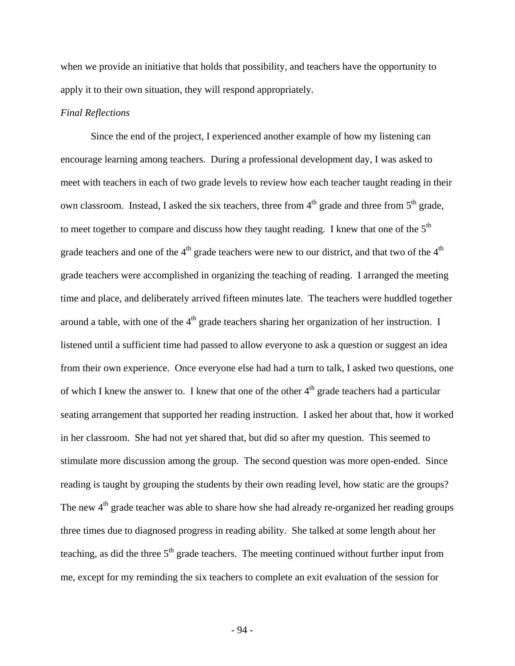when we provide an initiative that holds that possibility, and teachers have the opportunity to apply it to their own situation, they will respond appropriately.

## *Final Reflections*

Since the end of the project, I experienced another example of how my listening can encourage learning among teachers. During a professional development day, I was asked to meet with teachers in each of two grade levels to review how each teacher taught reading in their own classroom. Instead, I asked the six teachers, three from  $4<sup>th</sup>$  grade and three from  $5<sup>th</sup>$  grade, to meet together to compare and discuss how they taught reading. I knew that one of the  $5<sup>th</sup>$ grade teachers and one of the  $4<sup>th</sup>$  grade teachers were new to our district, and that two of the  $4<sup>th</sup>$ grade teachers were accomplished in organizing the teaching of reading. I arranged the meeting time and place, and deliberately arrived fifteen minutes late. The teachers were huddled together around a table, with one of the  $4<sup>th</sup>$  grade teachers sharing her organization of her instruction. I listened until a sufficient time had passed to allow everyone to ask a question or suggest an idea from their own experience. Once everyone else had had a turn to talk, I asked two questions, one of which I knew the answer to. I knew that one of the other  $4<sup>th</sup>$  grade teachers had a particular seating arrangement that supported her reading instruction. I asked her about that, how it worked in her classroom. She had not yet shared that, but did so after my question. This seemed to stimulate more discussion among the group. The second question was more open-ended. Since reading is taught by grouping the students by their own reading level, how static are the groups? The new 4<sup>th</sup> grade teacher was able to share how she had already re-organized her reading groups three times due to diagnosed progress in reading ability. She talked at some length about her teaching, as did the three  $5<sup>th</sup>$  grade teachers. The meeting continued without further input from me, except for my reminding the six teachers to complete an exit evaluation of the session for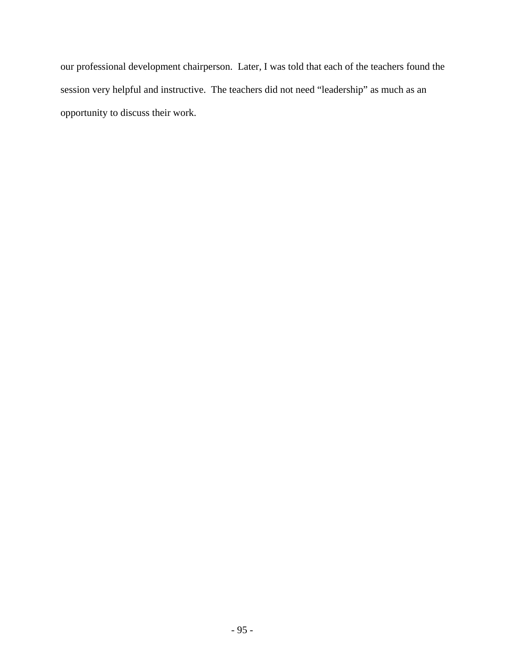our professional development chairperson. Later, I was told that each of the teachers found the session very helpful and instructive. The teachers did not need "leadership" as much as an opportunity to discuss their work.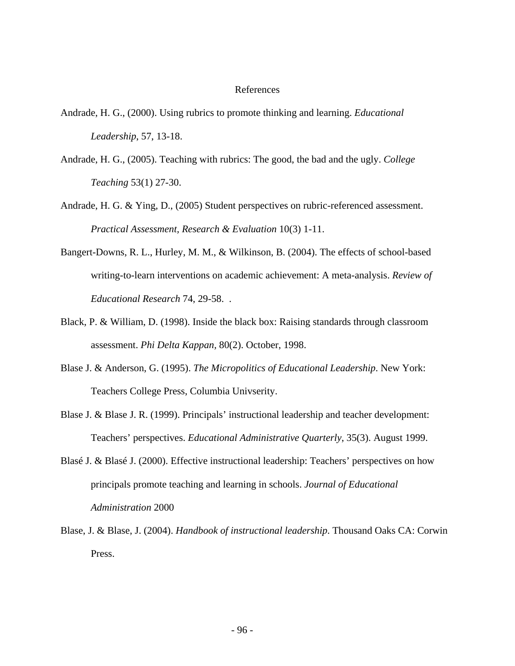### References

- Andrade, H. G., (2000). Using rubrics to promote thinking and learning. *Educational Leadership*, 57, 13-18.
- Andrade, H. G., (2005). Teaching with rubrics: The good, the bad and the ugly. *College Teaching* 53(1) 27-30.
- Andrade, H. G. & Ying, D., (2005) Student perspectives on rubric-referenced assessment. *Practical Assessment, Research & Evaluation* 10(3) 1-11.
- Bangert-Downs, R. L., Hurley, M. M., & Wilkinson, B. (2004). The effects of school-based writing-to-learn interventions on academic achievement: A meta-analysis. *Review of Educational Research* 74, 29-58. .
- Black, P. & William, D. (1998). Inside the black box: Raising standards through classroom assessment. *Phi Delta Kappan,* 80(2). October, 1998.
- Blase J. & Anderson, G. (1995). *The Micropolitics of Educational Leadership*. New York: Teachers College Press, Columbia Univserity.
- Blase J. & Blase J. R. (1999). Principals' instructional leadership and teacher development: Teachers' perspectives. *Educational Administrative Quarterly*, 35(3). August 1999.
- Blasé J. & Blasé J. (2000). Effective instructional leadership: Teachers' perspectives on how principals promote teaching and learning in schools. *Journal of Educational Administration* 2000
- Blase, J. & Blase, J. (2004). *Handbook of instructional leadership*. Thousand Oaks CA: Corwin Press.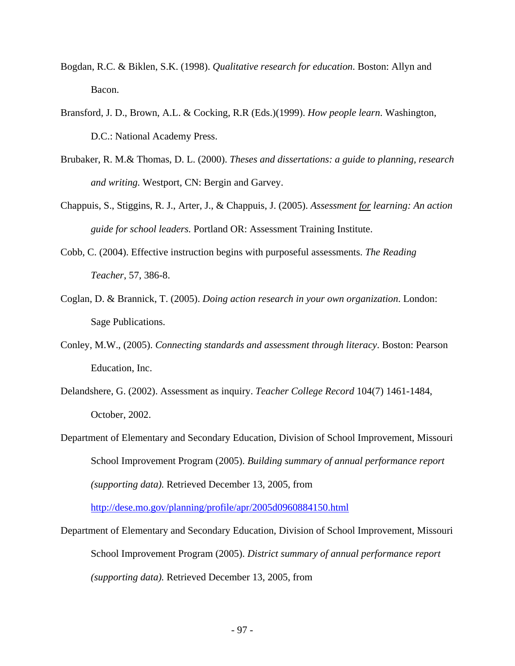- Bogdan, R.C. & Biklen, S.K. (1998). *Qualitative research for education*. Boston: Allyn and Bacon.
- Bransford, J. D., Brown, A.L. & Cocking, R.R (Eds.)(1999). *How people learn*. Washington, D.C.: National Academy Press.
- Brubaker, R. M.& Thomas, D. L. (2000). *Theses and dissertations: a guide to planning, research and writing.* Westport, CN: Bergin and Garvey.
- Chappuis, S., Stiggins, R. J., Arter, J., & Chappuis, J. (2005). *Assessment for learning: An action guide for school leaders.* Portland OR: Assessment Training Institute.
- Cobb, C. (2004). Effective instruction begins with purposeful assessments. *The Reading Teacher*, 57, 386-8.
- Coglan, D. & Brannick, T. (2005). *Doing action research in your own organization*. London: Sage Publications.
- Conley, M.W., (2005). *Connecting standards and assessment through literacy*. Boston: Pearson Education, Inc.
- Delandshere, G. (2002). Assessment as inquiry. *Teacher College Record* 104(7) 1461-1484, October, 2002.

Department of Elementary and Secondary Education, Division of School Improvement, Missouri School Improvement Program (2005). *Building summary of annual performance report (supporting data).* Retrieved December 13, 2005, from

<http://dese.mo.gov/planning/profile/apr/2005d0960884150.html>

Department of Elementary and Secondary Education, Division of School Improvement, Missouri School Improvement Program (2005). *District summary of annual performance report (supporting data).* Retrieved December 13, 2005, from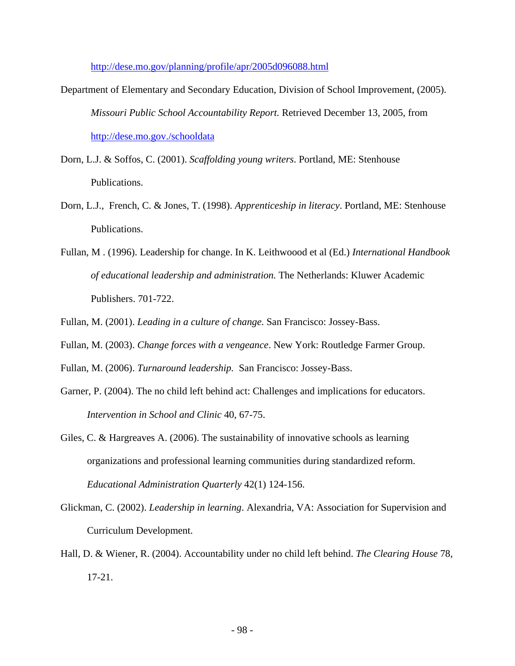<http://dese.mo.gov/planning/profile/apr/2005d096088.html>

- Department of Elementary and Secondary Education, Division of School Improvement, (2005). *Missouri Public School Accountability Report.* Retrieved December 13, 2005, from <http://dese.mo.gov./schooldata>
- Dorn, L.J. & Soffos, C. (2001). *Scaffolding young writers*. Portland, ME: Stenhouse Publications.
- Dorn, L.J., French, C. & Jones, T. (1998). *Apprenticeship in literacy*. Portland, ME: Stenhouse Publications.
- Fullan, M . (1996). Leadership for change. In K. Leithwoood et al (Ed.) *International Handbook of educational leadership and administration.* The Netherlands: Kluwer Academic Publishers. 701-722.
- Fullan, M. (2001). *Leading in a culture of change*. San Francisco: Jossey-Bass.
- Fullan, M. (2003). *Change forces with a vengeance*. New York: Routledge Farmer Group.
- Fullan, M. (2006). *Turnaround leadership.* San Francisco: Jossey-Bass.
- Garner, P. (2004). The no child left behind act: Challenges and implications for educators. *Intervention in School and Clinic* 40, 67-75.
- Giles, C. & Hargreaves A. (2006). The sustainability of innovative schools as learning organizations and professional learning communities during standardized reform. *Educational Administration Quarterly* 42(1) 124-156.
- Glickman, C. (2002). *Leadership in learning*. Alexandria, VA: Association for Supervision and Curriculum Development.
- Hall, D. & Wiener, R. (2004). Accountability under no child left behind. *The Clearing House* 78, 17-21.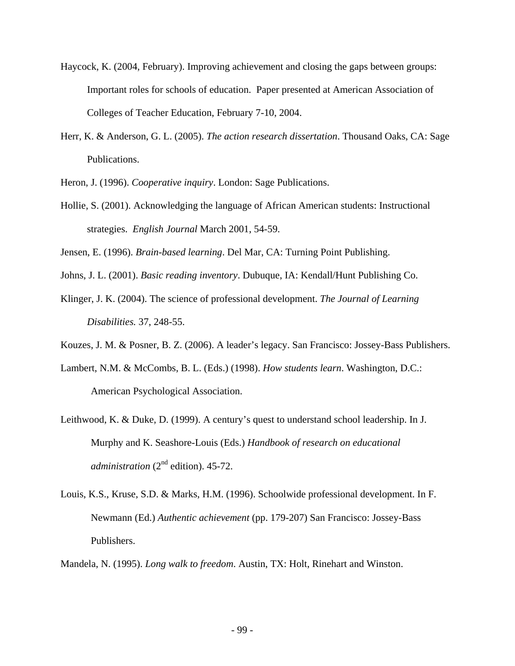- Haycock, K. (2004, February). Improving achievement and closing the gaps between groups: Important roles for schools of education. Paper presented at American Association of Colleges of Teacher Education, February 7-10, 2004.
- Herr, K. & Anderson, G. L. (2005). *The action research dissertation*. Thousand Oaks, CA: Sage Publications.

Heron, J. (1996). *Cooperative inquiry*. London: Sage Publications.

- Hollie, S. (2001). Acknowledging the language of African American students: Instructional strategies. *English Journal* March 2001, 54-59.
- Jensen, E. (1996). *Brain-based learning*. Del Mar, CA: Turning Point Publishing.
- Johns, J. L. (2001). *Basic reading inventory*. Dubuque, IA: Kendall/Hunt Publishing Co.
- Klinger, J. K. (2004). The science of professional development. *The Journal of Learning Disabilities.* 37, 248-55.
- Kouzes, J. M. & Posner, B. Z. (2006). A leader's legacy. San Francisco: Jossey-Bass Publishers.
- Lambert, N.M. & McCombs, B. L. (Eds.) (1998). *How students learn*. Washington, D.C.: American Psychological Association.
- Leithwood, K. & Duke, D. (1999). A century's quest to understand school leadership. In J. Murphy and K. Seashore-Louis (Eds.) *Handbook of research on educational administration* ( $2<sup>nd</sup>$  edition). 45-72.
- Louis, K.S., Kruse, S.D. & Marks, H.M. (1996). Schoolwide professional development. In F. Newmann (Ed.) *Authentic achievement* (pp. 179-207) San Francisco: Jossey-Bass Publishers.

Mandela, N. (1995). *Long walk to freedom*. Austin, TX: Holt, Rinehart and Winston.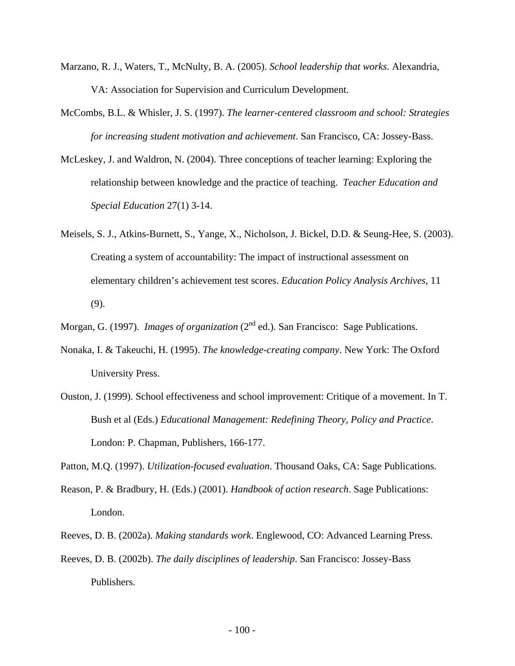- Marzano, R. J., Waters, T., McNulty, B. A. (2005). *School leadership that works*. Alexandria, VA: Association for Supervision and Curriculum Development.
- McCombs, B.L. & Whisler, J. S. (1997). *The learner-centered classroom and school: Strategies for increasing student motivation and achievement*. San Francisco, CA: Jossey-Bass.
- McLeskey, J. and Waldron, N. (2004). Three conceptions of teacher learning: Exploring the relationship between knowledge and the practice of teaching. *Teacher Education and Special Education* 27(1) 3-14.
- Meisels, S. J., Atkins-Burnett, S., Yange, X., Nicholson, J. Bickel, D.D. & Seung-Hee, S. (2003). Creating a system of accountability: The impact of instructional assessment on elementary children's achievement test scores. *Education Policy Analysis Archives*, 11 (9).
- Morgan, G. (1997). *Images of organization* (2<sup>nd</sup> ed.). San Francisco: Sage Publications.
- Nonaka, I. & Takeuchi, H. (1995). *The knowledge-creating company*. New York: The Oxford University Press.
- Ouston, J. (1999). School effectiveness and school improvement: Critique of a movement. In T. Bush et al (Eds.) *Educational Management: Redefining Theory, Policy and Practice*. London: P. Chapman, Publishers, 166-177.

Patton, M.Q. (1997). *Utilization-focused evaluation*. Thousand Oaks, CA: Sage Publications.

- Reason, P. & Bradbury, H. (Eds.) (2001). *Handbook of action research*. Sage Publications: London.
- Reeves, D. B. (2002a). *Making standards work*. Englewood, CO: Advanced Learning Press.
- Reeves, D. B. (2002b). *The daily disciplines of leadership*. San Francisco: Jossey-Bass Publishers.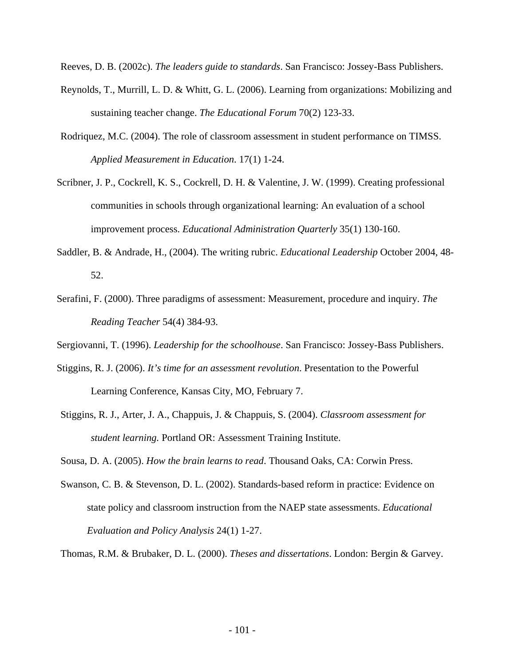Reeves, D. B. (2002c). *The leaders guide to standards*. San Francisco: Jossey-Bass Publishers.

- Reynolds, T., Murrill, L. D. & Whitt, G. L. (2006). Learning from organizations: Mobilizing and sustaining teacher change. *The Educational Forum* 70(2) 123-33.
- Rodriquez, M.C. (2004). The role of classroom assessment in student performance on TIMSS. *Applied Measurement in Education*. 17(1) 1-24.
- Scribner, J. P., Cockrell, K. S., Cockrell, D. H. & Valentine, J. W. (1999). Creating professional communities in schools through organizational learning: An evaluation of a school improvement process. *Educational Administration Quarterly* 35(1) 130-160.
- Saddler, B. & Andrade, H., (2004). The writing rubric. *Educational Leadership* October 2004, 48- 52.
- Serafini, F. (2000). Three paradigms of assessment: Measurement, procedure and inquiry. *The Reading Teacher* 54(4) 384-93.
- Sergiovanni, T. (1996). *Leadership for the schoolhouse*. San Francisco: Jossey-Bass Publishers.
- Stiggins, R. J. (2006). *It's time for an assessment revolution*. Presentation to the Powerful Learning Conference, Kansas City, MO, February 7.
- Stiggins, R. J., Arter, J. A., Chappuis, J. & Chappuis, S. (2004). *Classroom assessment for student learning.* Portland OR: Assessment Training Institute.

Sousa, D. A. (2005). *How the brain learns to read*. Thousand Oaks, CA: Corwin Press.

Swanson, C. B. & Stevenson, D. L. (2002). Standards-based reform in practice: Evidence on state policy and classroom instruction from the NAEP state assessments. *Educational Evaluation and Policy Analysis* 24(1) 1-27.

Thomas, R.M. & Brubaker, D. L. (2000). *Theses and dissertations*. London: Bergin & Garvey.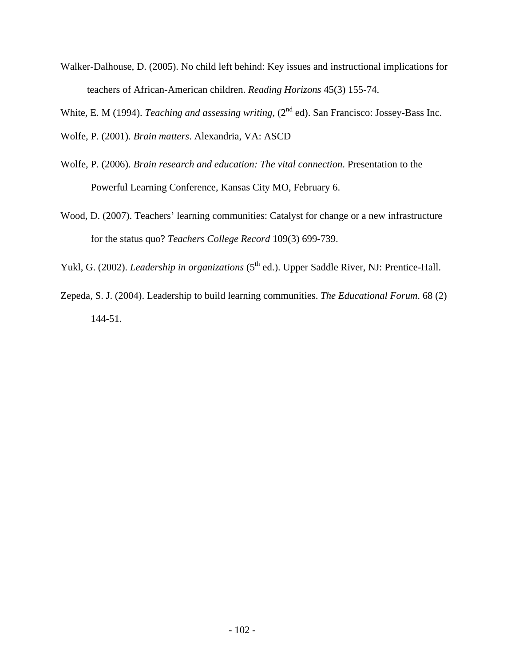Walker-Dalhouse, D. (2005). No child left behind: Key issues and instructional implications for teachers of African-American children. *Reading Horizons* 45(3) 155-74.

White, E. M (1994). *Teaching and assessing writing*, (2<sup>nd</sup> ed). San Francisco: Jossey-Bass Inc.

Wolfe, P. (2001). *Brain matters*. Alexandria, VA: ASCD

- Wolfe, P. (2006). *Brain research and education: The vital connection*. Presentation to the Powerful Learning Conference, Kansas City MO, February 6.
- Wood, D. (2007). Teachers' learning communities: Catalyst for change or a new infrastructure for the status quo? *Teachers College Record* 109(3) 699-739.
- Yukl, G. (2002). *Leadership in organizations* (5<sup>th</sup> ed.). Upper Saddle River, NJ: Prentice-Hall.
- Zepeda, S. J. (2004). Leadership to build learning communities. *The Educational Forum*. 68 (2) 144-51.